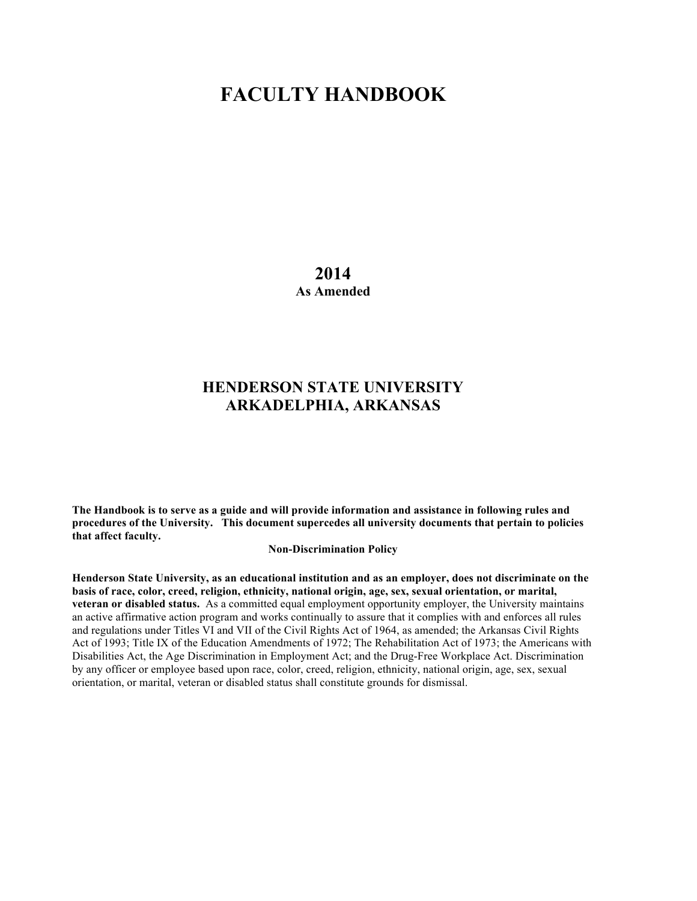# **FACULTY HANDBOOK**

**2014 As Amended**

# **HENDERSON STATE UNIVERSITY ARKADELPHIA, ARKANSAS**

**The Handbook is to serve as a guide and will provide information and assistance in following rules and procedures of the University. This document supercedes all university documents that pertain to policies that affect faculty.**

**Non-Discrimination Policy**

**Henderson State University, as an educational institution and as an employer, does not discriminate on the basis of race, color, creed, religion, ethnicity, national origin, age, sex, sexual orientation, or marital, veteran or disabled status.** As a committed equal employment opportunity employer, the University maintains an active affirmative action program and works continually to assure that it complies with and enforces all rules and regulations under Titles VI and VII of the Civil Rights Act of 1964, as amended; the Arkansas Civil Rights Act of 1993; Title IX of the Education Amendments of 1972; The Rehabilitation Act of 1973; the Americans with Disabilities Act, the Age Discrimination in Employment Act; and the Drug-Free Workplace Act. Discrimination by any officer or employee based upon race, color, creed, religion, ethnicity, national origin, age, sex, sexual orientation, or marital, veteran or disabled status shall constitute grounds for dismissal.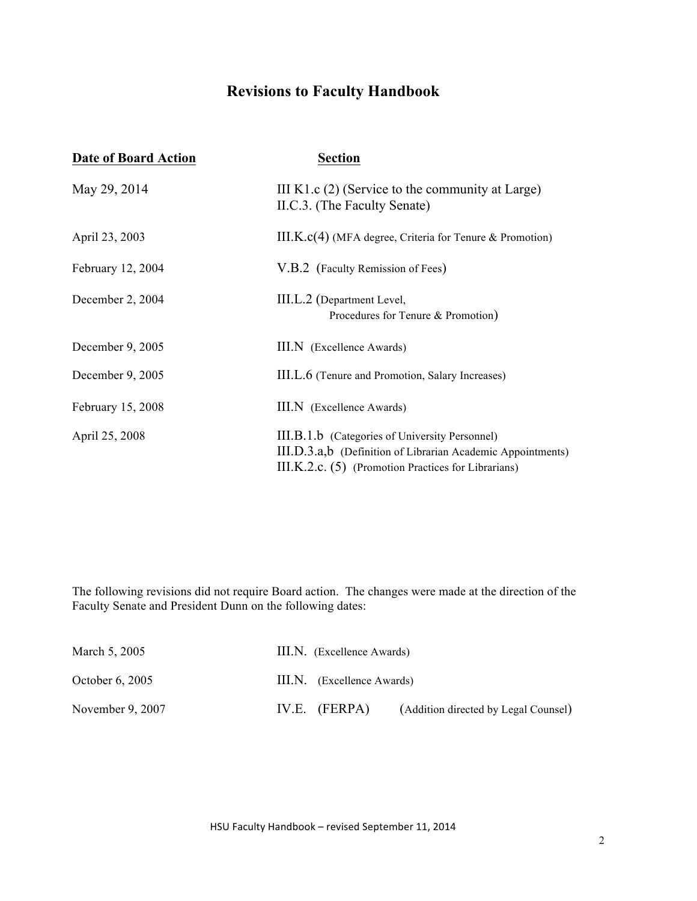# **Revisions to Faculty Handbook**

| <b>Date of Board Action</b> | <b>Section</b>                                                                                                                                                       |
|-----------------------------|----------------------------------------------------------------------------------------------------------------------------------------------------------------------|
| May 29, 2014                | III K1.c $(2)$ (Service to the community at Large)<br>II.C.3. (The Faculty Senate)                                                                                   |
| April 23, 2003              | $III.K.c(4)$ (MFA degree, Criteria for Tenure & Promotion)                                                                                                           |
| February 12, 2004           | V.B.2 (Faculty Remission of Fees)                                                                                                                                    |
| December 2, 2004            | III.L.2 (Department Level,<br>Procedures for Tenure & Promotion)                                                                                                     |
| December 9, 2005            | III.N (Excellence Awards)                                                                                                                                            |
| December 9, 2005            | III.L.6 (Tenure and Promotion, Salary Increases)                                                                                                                     |
| February 15, 2008           | III.N (Excellence Awards)                                                                                                                                            |
| April 25, 2008              | III.B.1.b (Categories of University Personnel)<br>III.D.3.a,b (Definition of Librarian Academic Appointments)<br>III.K.2.c. (5) (Promotion Practices for Librarians) |

The following revisions did not require Board action. The changes were made at the direction of the Faculty Senate and President Dunn on the following dates:

| March 5, 2005     | III.N. (Excellence Awards)                              |
|-------------------|---------------------------------------------------------|
| October $6, 2005$ | III.N. (Excellence Awards)                              |
| November 9, 2007  | IV.E. $(FERPA)$<br>(Addition directed by Legal Counsel) |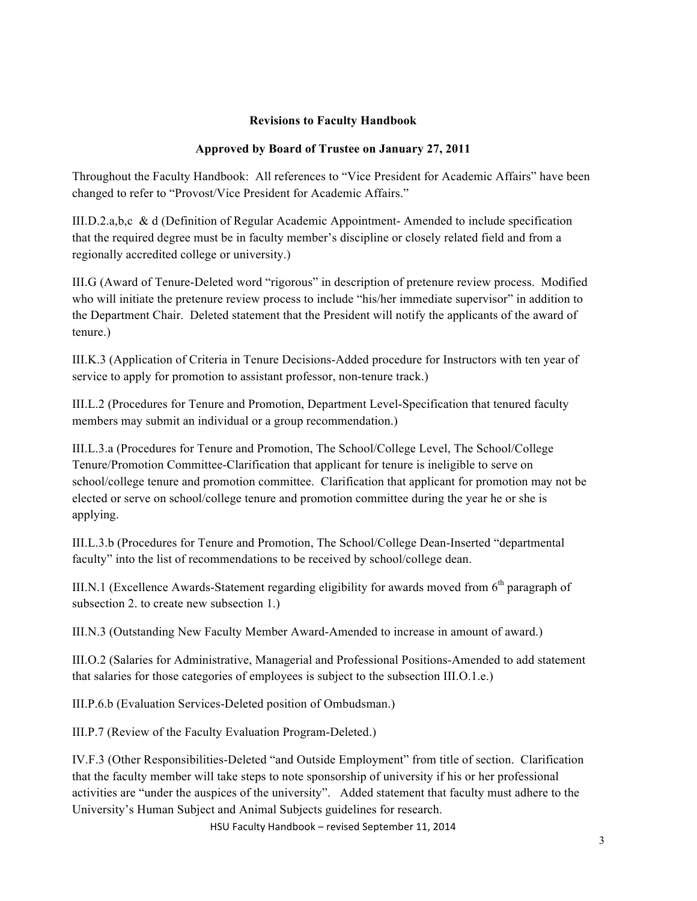## **Revisions to Faculty Handbook**

# **Approved by Board of Trustee on January 27, 2011**

Throughout the Faculty Handbook: All references to "Vice President for Academic Affairs" have been changed to refer to "Provost/Vice President for Academic Affairs."

III.D.2.a,b,c & d (Definition of Regular Academic Appointment- Amended to include specification that the required degree must be in faculty member's discipline or closely related field and from a regionally accredited college or university.)

III.G (Award of Tenure-Deleted word "rigorous" in description of pretenure review process. Modified who will initiate the pretenure review process to include "his/her immediate supervisor" in addition to the Department Chair. Deleted statement that the President will notify the applicants of the award of tenure.)

III.K.3 (Application of Criteria in Tenure Decisions-Added procedure for Instructors with ten year of service to apply for promotion to assistant professor, non-tenure track.)

III.L.2 (Procedures for Tenure and Promotion, Department Level-Specification that tenured faculty members may submit an individual or a group recommendation.)

III.L.3.a (Procedures for Tenure and Promotion, The School/College Level, The School/College Tenure/Promotion Committee-Clarification that applicant for tenure is ineligible to serve on school/college tenure and promotion committee. Clarification that applicant for promotion may not be elected or serve on school/college tenure and promotion committee during the year he or she is applying.

III.L.3.b (Procedures for Tenure and Promotion, The School/College Dean-Inserted "departmental faculty" into the list of recommendations to be received by school/college dean.

III.N.1 (Excellence Awards-Statement regarding eligibility for awards moved from  $6<sup>th</sup>$  paragraph of subsection 2. to create new subsection 1.)

III.N.3 (Outstanding New Faculty Member Award-Amended to increase in amount of award.)

III.O.2 (Salaries for Administrative, Managerial and Professional Positions-Amended to add statement that salaries for those categories of employees is subject to the subsection III.O.1.e.)

III.P.6.b (Evaluation Services-Deleted position of Ombudsman.)

III.P.7 (Review of the Faculty Evaluation Program-Deleted.)

IV.F.3 (Other Responsibilities-Deleted "and Outside Employment" from title of section. Clarification that the faculty member will take steps to note sponsorship of university if his or her professional activities are "under the auspices of the university". Added statement that faculty must adhere to the University's Human Subject and Animal Subjects guidelines for research.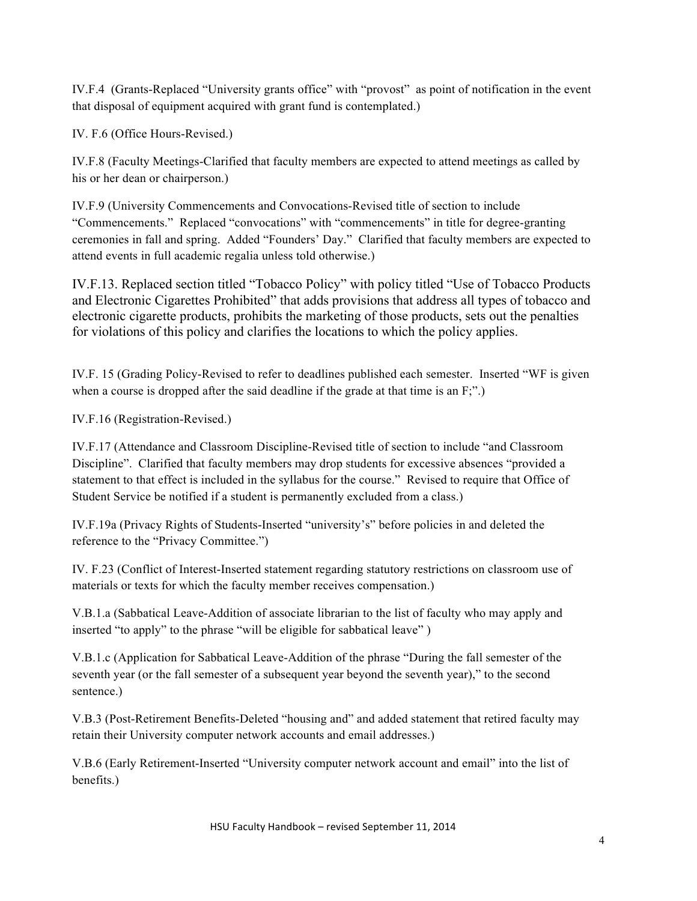IV.F.4 (Grants-Replaced "University grants office" with "provost" as point of notification in the event that disposal of equipment acquired with grant fund is contemplated.)

IV. F.6 (Office Hours-Revised.)

IV.F.8 (Faculty Meetings-Clarified that faculty members are expected to attend meetings as called by his or her dean or chairperson.)

IV.F.9 (University Commencements and Convocations-Revised title of section to include "Commencements." Replaced "convocations" with "commencements" in title for degree-granting ceremonies in fall and spring. Added "Founders' Day." Clarified that faculty members are expected to attend events in full academic regalia unless told otherwise.)

IV.F.13. Replaced section titled "Tobacco Policy" with policy titled "Use of Tobacco Products and Electronic Cigarettes Prohibited" that adds provisions that address all types of tobacco and electronic cigarette products, prohibits the marketing of those products, sets out the penalties for violations of this policy and clarifies the locations to which the policy applies.

IV.F. 15 (Grading Policy-Revised to refer to deadlines published each semester. Inserted "WF is given when a course is dropped after the said deadline if the grade at that time is an F;".)

IV.F.16 (Registration-Revised.)

IV.F.17 (Attendance and Classroom Discipline-Revised title of section to include "and Classroom Discipline". Clarified that faculty members may drop students for excessive absences "provided a statement to that effect is included in the syllabus for the course." Revised to require that Office of Student Service be notified if a student is permanently excluded from a class.)

IV.F.19a (Privacy Rights of Students-Inserted "university's" before policies in and deleted the reference to the "Privacy Committee.")

IV. F.23 (Conflict of Interest-Inserted statement regarding statutory restrictions on classroom use of materials or texts for which the faculty member receives compensation.)

V.B.1.a (Sabbatical Leave-Addition of associate librarian to the list of faculty who may apply and inserted "to apply" to the phrase "will be eligible for sabbatical leave" )

V.B.1.c (Application for Sabbatical Leave-Addition of the phrase "During the fall semester of the seventh year (or the fall semester of a subsequent year beyond the seventh year)," to the second sentence.)

V.B.3 (Post-Retirement Benefits-Deleted "housing and" and added statement that retired faculty may retain their University computer network accounts and email addresses.)

V.B.6 (Early Retirement-Inserted "University computer network account and email" into the list of benefits.)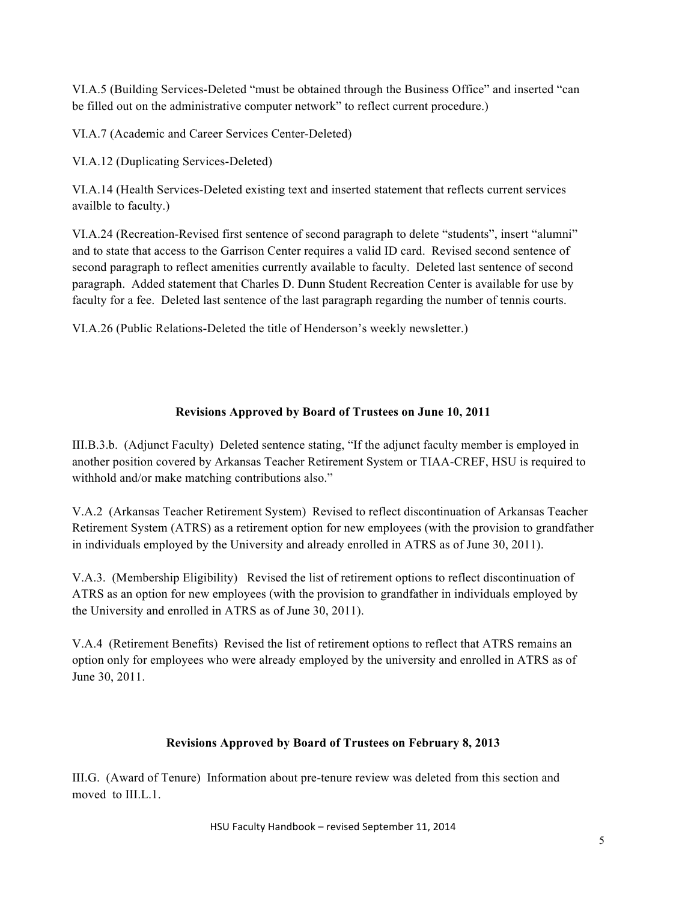VI.A.5 (Building Services-Deleted "must be obtained through the Business Office" and inserted "can be filled out on the administrative computer network" to reflect current procedure.)

VI.A.7 (Academic and Career Services Center-Deleted)

VI.A.12 (Duplicating Services-Deleted)

VI.A.14 (Health Services-Deleted existing text and inserted statement that reflects current services availble to faculty.)

VI.A.24 (Recreation-Revised first sentence of second paragraph to delete "students", insert "alumni" and to state that access to the Garrison Center requires a valid ID card. Revised second sentence of second paragraph to reflect amenities currently available to faculty. Deleted last sentence of second paragraph. Added statement that Charles D. Dunn Student Recreation Center is available for use by faculty for a fee. Deleted last sentence of the last paragraph regarding the number of tennis courts.

VI.A.26 (Public Relations-Deleted the title of Henderson's weekly newsletter.)

# **Revisions Approved by Board of Trustees on June 10, 2011**

III.B.3.b. (Adjunct Faculty) Deleted sentence stating, "If the adjunct faculty member is employed in another position covered by Arkansas Teacher Retirement System or TIAA-CREF, HSU is required to withhold and/or make matching contributions also."

V.A.2 (Arkansas Teacher Retirement System) Revised to reflect discontinuation of Arkansas Teacher Retirement System (ATRS) as a retirement option for new employees (with the provision to grandfather in individuals employed by the University and already enrolled in ATRS as of June 30, 2011).

V.A.3. (Membership Eligibility) Revised the list of retirement options to reflect discontinuation of ATRS as an option for new employees (with the provision to grandfather in individuals employed by the University and enrolled in ATRS as of June 30, 2011).

V.A.4 (Retirement Benefits) Revised the list of retirement options to reflect that ATRS remains an option only for employees who were already employed by the university and enrolled in ATRS as of June 30, 2011.

# **Revisions Approved by Board of Trustees on February 8, 2013**

III.G. (Award of Tenure) Information about pre-tenure review was deleted from this section and moved to III.L.1.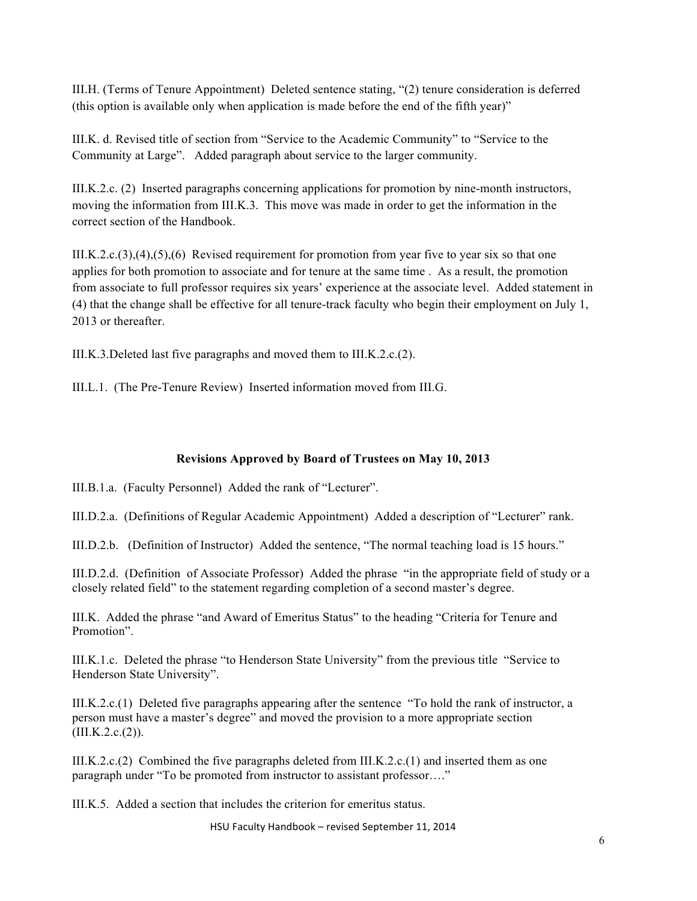III.H. (Terms of Tenure Appointment) Deleted sentence stating, "(2) tenure consideration is deferred (this option is available only when application is made before the end of the fifth year)"

III.K. d. Revised title of section from "Service to the Academic Community" to "Service to the Community at Large". Added paragraph about service to the larger community.

III.K.2.c. (2) Inserted paragraphs concerning applications for promotion by nine-month instructors, moving the information from III.K.3. This move was made in order to get the information in the correct section of the Handbook.

III.K.2.c.(3),(4),(5),(6) Revised requirement for promotion from year five to year six so that one applies for both promotion to associate and for tenure at the same time . As a result, the promotion from associate to full professor requires six years' experience at the associate level. Added statement in (4) that the change shall be effective for all tenure-track faculty who begin their employment on July 1, 2013 or thereafter.

III.K.3.Deleted last five paragraphs and moved them to III.K.2.c.(2).

III.L.1. (The Pre-Tenure Review) Inserted information moved from III.G.

# **Revisions Approved by Board of Trustees on May 10, 2013**

III.B.1.a. (Faculty Personnel) Added the rank of "Lecturer".

III.D.2.a. (Definitions of Regular Academic Appointment) Added a description of "Lecturer" rank.

III.D.2.b. (Definition of Instructor) Added the sentence, "The normal teaching load is 15 hours."

III.D.2.d. (Definition of Associate Professor) Added the phrase "in the appropriate field of study or a closely related field" to the statement regarding completion of a second master's degree.

III.K. Added the phrase "and Award of Emeritus Status" to the heading "Criteria for Tenure and Promotion".

III.K.1.c. Deleted the phrase "to Henderson State University" from the previous title "Service to Henderson State University".

III.K.2.c.(1) Deleted five paragraphs appearing after the sentence "To hold the rank of instructor, a person must have a master's degree" and moved the provision to a more appropriate section  $(III.K.2.c.(2)).$ 

III.K.2.c.(2) Combined the five paragraphs deleted from III.K.2.c.(1) and inserted them as one paragraph under "To be promoted from instructor to assistant professor…."

III.K.5. Added a section that includes the criterion for emeritus status.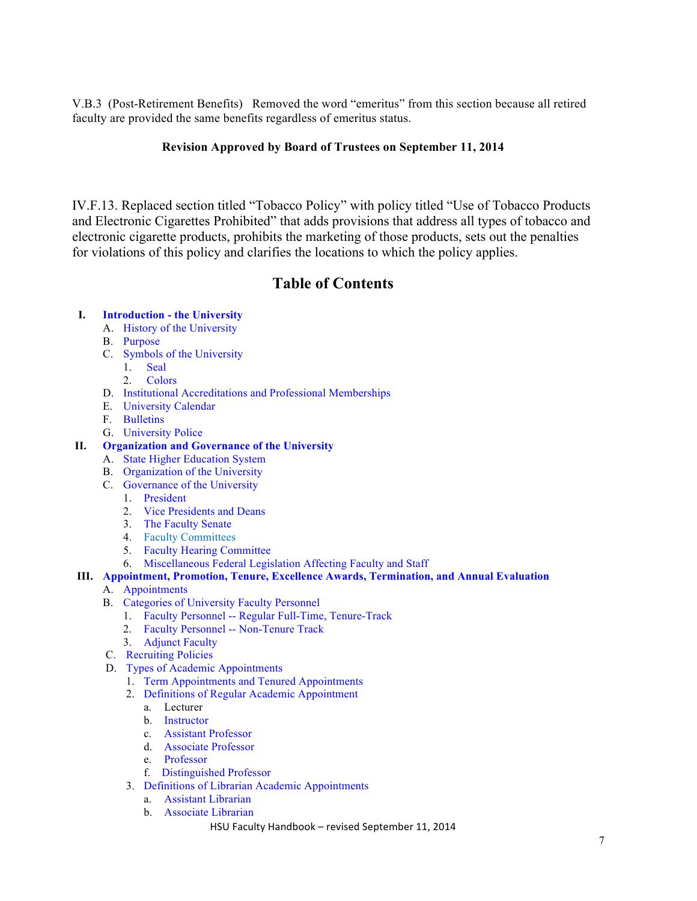V.B.3 (Post-Retirement Benefits) Removed the word "emeritus" from this section because all retired faculty are provided the same benefits regardless of emeritus status.

## **Revision Approved by Board of Trustees on September 11, 2014**

IV.F.13. Replaced section titled "Tobacco Policy" with policy titled "Use of Tobacco Products and Electronic Cigarettes Prohibited" that adds provisions that address all types of tobacco and electronic cigarette products, prohibits the marketing of those products, sets out the penalties for violations of this policy and clarifies the locations to which the policy applies.

# **Table of Contents**

### **I. Introduction - the University**

- A. History of the University
- B. Purpose
- C. Symbols of the University
	- 1. Seal
		- 2. Colors
- D. Institutional Accreditations and Professional Memberships
- E. University Calendar
- F. Bulletins
- G. University Police

# **II. Organization and Governance of the University**

- A. State Higher Education System
- B. Organization of the University
- C. Governance of the University
	- 1. President
	- 2. Vice Presidents and Deans
	- 3. The Faculty Senate
	- 4. Faculty Committees
	- 5. Faculty Hearing Committee
	- 6. Miscellaneous Federal Legislation Affecting Faculty and Staff

### **III. Appointment, Promotion, Tenure, Excellence Awards, Termination, and Annual Evaluation**

- A. Appointments
- B. Categories of University Faculty Personnel
	- 1. Faculty Personnel -- Regular Full-Time, Tenure-Track
	- 2. Faculty Personnel -- Non-Tenure Track
	- 3. Adjunct Faculty
- C. Recruiting Policies
- D. Types of Academic Appointments
	- 1. Term Appointments and Tenured Appointments
	- 2. Definitions of Regular Academic Appointment
		- a. Lecturer
		- b. Instructor
		- c. Assistant Professor
		- d. Associate Professor
		- e. Professor
		- f. Distinguished Professor
	- 3. Definitions of Librarian Academic Appointments
		- a. Assistant Librarian
		- b. Associate Librarian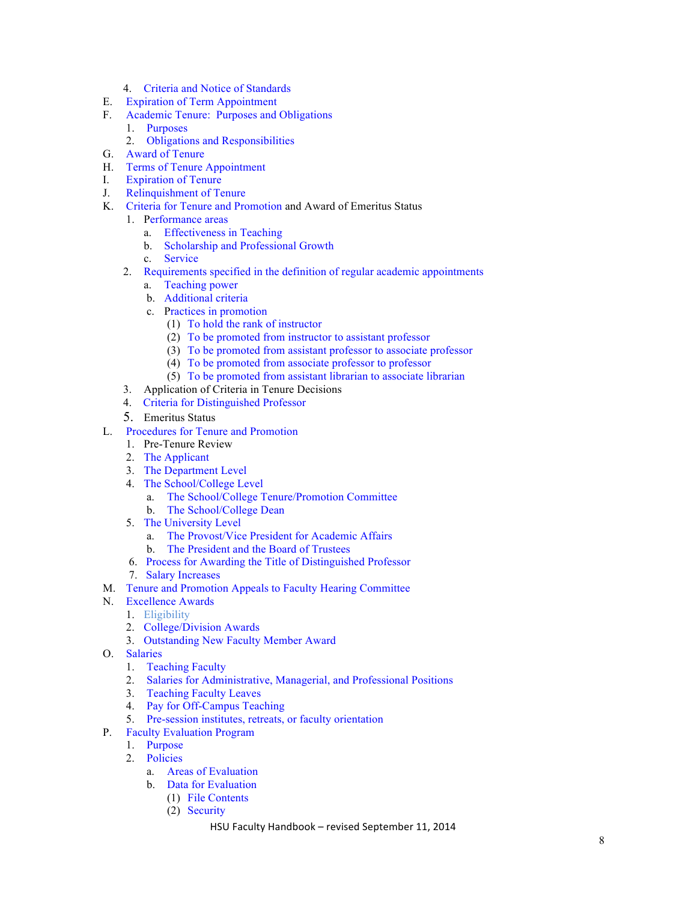- 4. Criteria and Notice of Standards
- E. Expiration of Term Appointment
- F. Academic Tenure: Purposes and Obligations
	- 1. Purposes
	- 2. Obligations and Responsibilities
- G. Award of Tenure
- H. Terms of Tenure Appointment
- I. Expiration of Tenure
- J. Relinquishment of Tenure
- K. Criteria for Tenure and Promotion and Award of Emeritus Status
- 1. Performance areas
	- a. Effectiveness in Teaching
	- b. Scholarship and Professional Growth
	- c. Service
	- 2. Requirements specified in the definition of regular academic appointments
		- a. Teaching power
		- b. Additional criteria
		- c. Practices in promotion
			- (1) To hold the rank of instructor
			- (2) To be promoted from instructor to assistant professor
			- (3) To be promoted from assistant professor to associate professor
			- (4) To be promoted from associate professor to professor
			- (5) To be promoted from assistant librarian to associate librarian
	- 3. Application of Criteria in Tenure Decisions
	- 4. Criteria for Distinguished Professor
	- 5. Emeritus Status
- L. Procedures for Tenure and Promotion
	- 1. Pre-Tenure Review
	- 2. The Applicant
	- 3. The Department Level
	- 4. The School/College Level
		- a. The School/College Tenure/Promotion Committee
		- The School/College Dean
	- 5. The University Level
		- a. The Provost/Vice President for Academic Affairs
		- b. The President and the Board of Trustees
	- 6. Process for Awarding the Title of Distinguished Professor
	- 7. Salary Increases
- M. Tenure and Promotion Appeals to Faculty Hearing Committee
- N. Excellence Awards
	- 1. Eligibility
	- 2. College/Division Awards
	- 3. Outstanding New Faculty Member Award
- O. Salaries
	- 1. Teaching Faculty
	- 2. Salaries for Administrative, Managerial, and Professional Positions
	- 3. Teaching Faculty Leaves
	- 4. Pay for Off-Campus Teaching
	- 5. Pre-session institutes, retreats, or faculty orientation
- P. Faculty Evaluation Program
	- 1. Purpose
		- 2. Policies
			- a. Areas of Evaluation
			- b. Data for Evaluation
				- (1) File Contents
				- (2) Security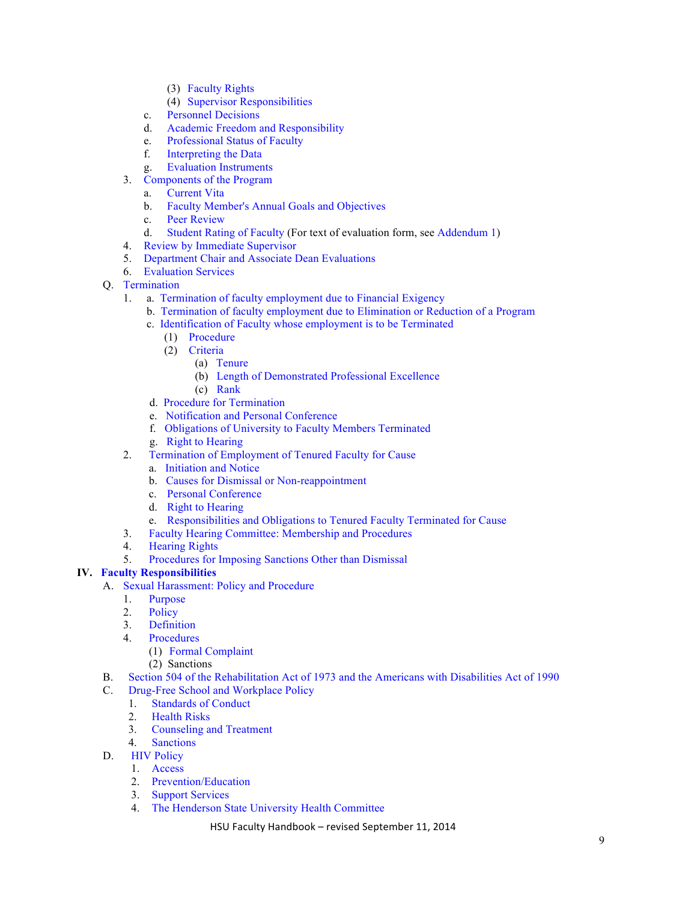- (3) Faculty Rights
- (4) Supervisor Responsibilities
- c. Personnel Decisions
- d. Academic Freedom and Responsibility
- e. Professional Status of Faculty
- f. Interpreting the Data
- g. Evaluation Instruments
- 3. Components of the Program
	- a. Current Vita
	- b. Faculty Member's Annual Goals and Objectives
	- c. Peer Review
	- d. Student Rating of Faculty (For text of evaluation form, see Addendum 1)
- 4. Review by Immediate Supervisor
- 5. Department Chair and Associate Dean Evaluations
- 6. Evaluation Services
- Q. Termination
	- 1. a. Termination of faculty employment due to Financial Exigency
		- b. Termination of faculty employment due to Elimination or Reduction of a Program
		- c. Identification of Faculty whose employment is to be Terminated
			- (1) Procedure
			- (2) Criteria
				- (a) Tenure
				- (b) Length of Demonstrated Professional Excellence
				- (c) Rank
		- d. Procedure for Termination
		- e. Notification and Personal Conference
		- f. Obligations of University to Faculty Members Terminated
		- g. Right to Hearing
	- 2. Termination of Employment of Tenured Faculty for Cause
		- a. Initiation and Notice
		- b. Causes for Dismissal or Non-reappointment
		- c. Personal Conference
		- d. Right to Hearing
		- e. Responsibilities and Obligations to Tenured Faculty Terminated for Cause
	- 3. Faculty Hearing Committee: Membership and Procedures
	- 4. Hearing Rights
	- 5. Procedures for Imposing Sanctions Other than Dismissal

### **IV. Faculty Responsibilities**

- A. Sexual Harassment: Policy and Procedure
	- 1. Purpose
	- 2. Policy
	- 3. Definition
	- 4. Procedures
		- (1) Formal Complaint
		- (2) Sanctions
- B. Section 504 of the Rehabilitation Act of 1973 and the Americans with Disabilities Act of 1990
- C. Drug-Free School and Workplace Policy
	- 1. Standards of Conduct
	- 2. Health Risks
	- 3. Counseling and Treatment
	- 4. Sanctions
- D. HIV Policy
	- 1. Access
	- 2. Prevention/Education
	- 3. Support Services
	- 4. The Henderson State University Health Committee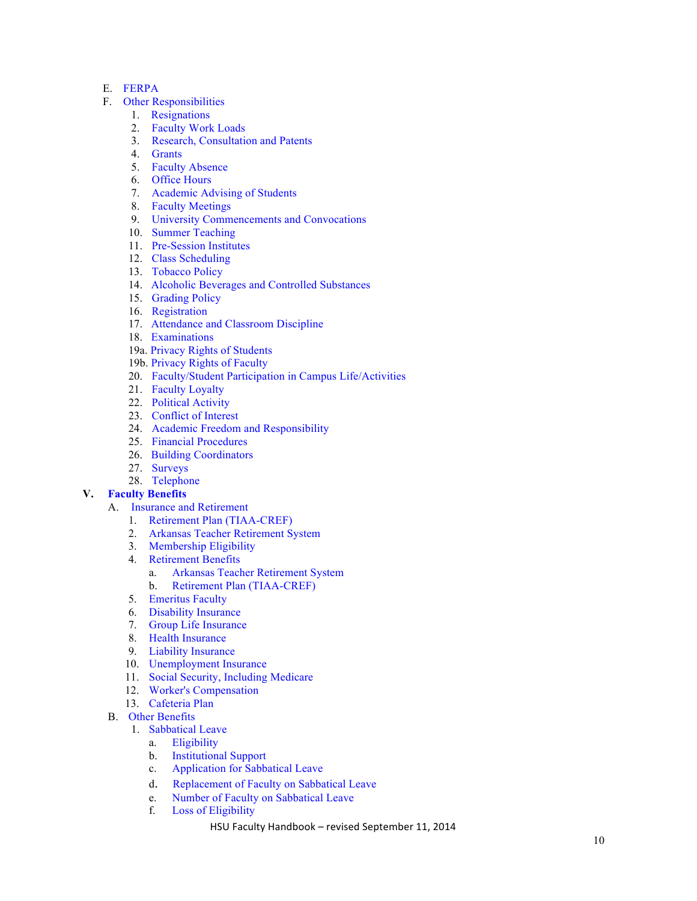#### E. FERPA

- F. Other Responsibilities
	- 1. Resignations
	- 2. Faculty Work Loads
	- 3. Research, Consultation and Patents
	- 4. Grants
	- 5. Faculty Absence
	- 6. Office Hours
	- 7. Academic Advising of Students
	- 8. Faculty Meetings
	- 9. University Commencements and Convocations
	- 10. Summer Teaching
- 11. Pre -Session Institutes
	- 12. Class Scheduling
	- 13. Tobacco Policy
	- 14. Alcoholic Beverages and Controlled Substances
	- 15. Grading Policy
	- 16. Registration
	- 17. Attendance and Classroom Discipline
	- 18. Examinations
	- 19a. Privacy Rights of Students
	- 19b. Privacy Rights of Faculty
	- 20. Faculty/Student Participation in Campus Life/Activities
	- 21. Faculty Loyalty
	- 22. Political Activity
	- 23. Conflict of Interest
	- 24. Academic Freedom and Responsibility
	- 25. Financial Procedures
	- 26. Building Coordinators
	- 27. Surveys
	- 28. Telephone

### **V. Faculty Benefits**

- A. Insurance and Retirement
	- 1. Retirement Plan (TIAA -CREF)
	- 2. Arkansas Teacher Retirement System
	- 3. Membership Eligibility
	- 4. Retirement Benefits
		- a. Arkansas Teacher Retirement System
		- b. Retirement Plan (TIAA -CREF)
	- 5. Emeritus Faculty
	- 6. Disability Insurance
	- 7. Group Life Insurance
	- 8. Health Insurance
	- 9. Liability Insurance
	- 10. Unemployment Insurance
	- 11. Social Security, Including Medicare
	- 12. Worker's Compensation
	- 13. Cafeteria Plan
- B. Other Benefits
	- 1. Sabbatical Leave
		- a. Eligibility
		- b. Institutional Support
		- c. Application for Sabbatical Leave
		- d. Replacement of Faculty on Sabbatical Leave
		- e. Number of Faculty on Sabbatical Leave
		- f. Loss of Eligibility
			- HSU Faculty Handbook revised September 11, 2014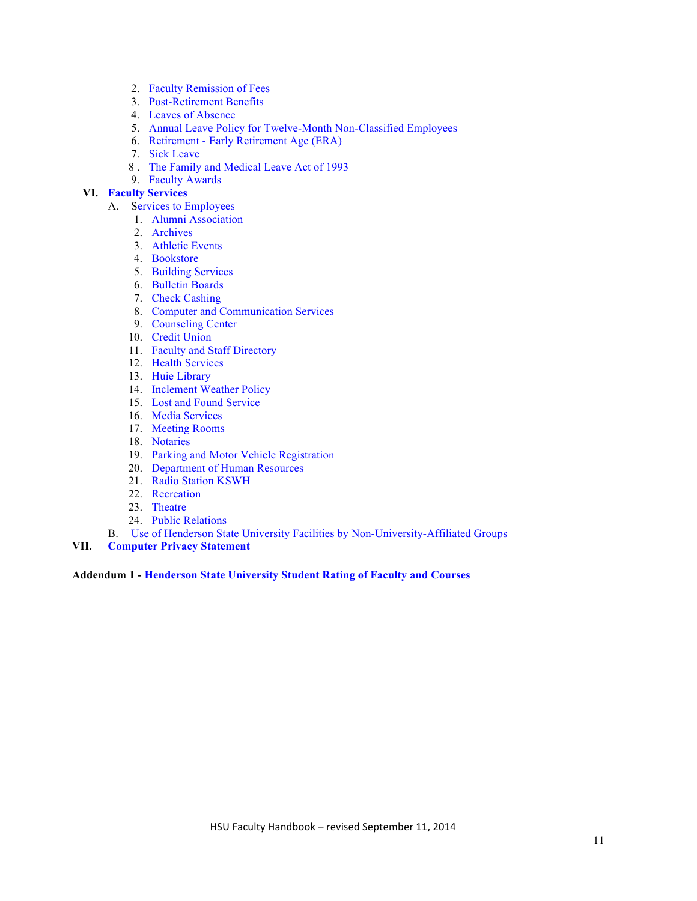- 2. Faculty Remission of Fees
- 3. Post-Retirement Benefits
- 4. Leaves of Absence
- 5. Annual Leave Policy for Twelve-Month Non-Classified Employees
- 6. Retirement Early Retirement Age (ERA)
- 7. Sick Leave
- 8 . The Family and Medical Leave Act of 1993
- 9. Faculty Awards

### **VI. Faculty Services**

- A. Services to Employees
	- 1. Alumni Association
	- 2. Archives
	- 3. Athletic Events
	- 4. Bookstore
	- 5. Building Services
	- 6. Bulletin Boards
	- 7. Check Cashing
	- 8. Computer and Communication Services
	- 9. Counseling Center
	- 10. Credit Union
	- 11. Faculty and Staff Directory
	- 12. Health Services
	- 13. Huie Library
	- 14. Inclement Weather Policy
	- 15. Lost and Found Service
	- 16. Media Services
	- 17. Meeting Rooms
	- 18. Notaries
	- 19. Parking and Motor Vehicle Registration
	- 20. Department of Human Resources
	- 21. Radio Station KSWH
	- 22. Recreation
	- 23. Theatre
	- 24. Public Relations
- B. Use of Henderson State University Facilities by Non-University-Affiliated Groups
- **VII. Computer Privacy Statement**

#### **Addendum 1 - Henderson State University Student Rating of Faculty and Courses**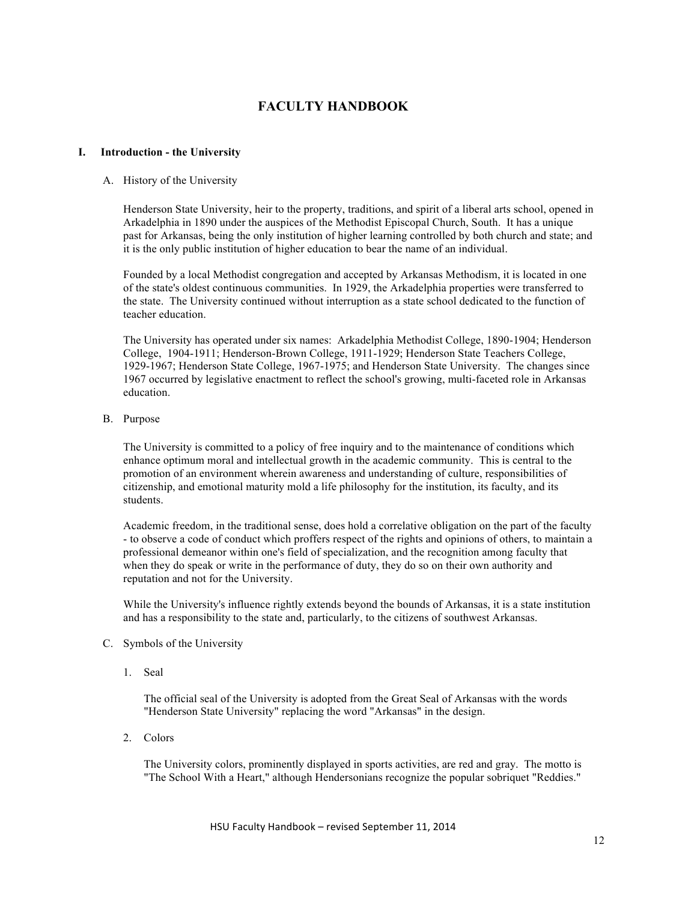# **FACULTY HANDBOOK**

#### **I. Introduction - the University**

#### A. History of the University

Henderson State University, heir to the property, traditions, and spirit of a liberal arts school, opened in Arkadelphia in 1890 under the auspices of the Methodist Episcopal Church, South. It has a unique past for Arkansas, being the only institution of higher learning controlled by both church and state; and it is the only public institution of higher education to bear the name of an individual.

Founded by a local Methodist congregation and accepted by Arkansas Methodism, it is located in one of the state's oldest continuous communities. In 1929, the Arkadelphia properties were transferred to the state. The University continued without interruption as a state school dedicated to the function of teacher education.

The University has operated under six names: Arkadelphia Methodist College, 1890-1904; Henderson College, 1904-1911; Henderson-Brown College, 1911-1929; Henderson State Teachers College, 1929-1967; Henderson State College, 1967-1975; and Henderson State University. The changes since 1967 occurred by legislative enactment to reflect the school's growing, multi-faceted role in Arkansas education.

B. Purpose

The University is committed to a policy of free inquiry and to the maintenance of conditions which enhance optimum moral and intellectual growth in the academic community. This is central to the promotion of an environment wherein awareness and understanding of culture, responsibilities of citizenship, and emotional maturity mold a life philosophy for the institution, its faculty, and its students.

Academic freedom, in the traditional sense, does hold a correlative obligation on the part of the faculty - to observe a code of conduct which proffers respect of the rights and opinions of others, to maintain a professional demeanor within one's field of specialization, and the recognition among faculty that when they do speak or write in the performance of duty, they do so on their own authority and reputation and not for the University.

While the University's influence rightly extends beyond the bounds of Arkansas, it is a state institution and has a responsibility to the state and, particularly, to the citizens of southwest Arkansas.

- C. Symbols of the University
	- 1. Seal

The official seal of the University is adopted from the Great Seal of Arkansas with the words "Henderson State University" replacing the word "Arkansas" in the design.

2. Colors

The University colors, prominently displayed in sports activities, are red and gray. The motto is "The School With a Heart," although Hendersonians recognize the popular sobriquet "Reddies."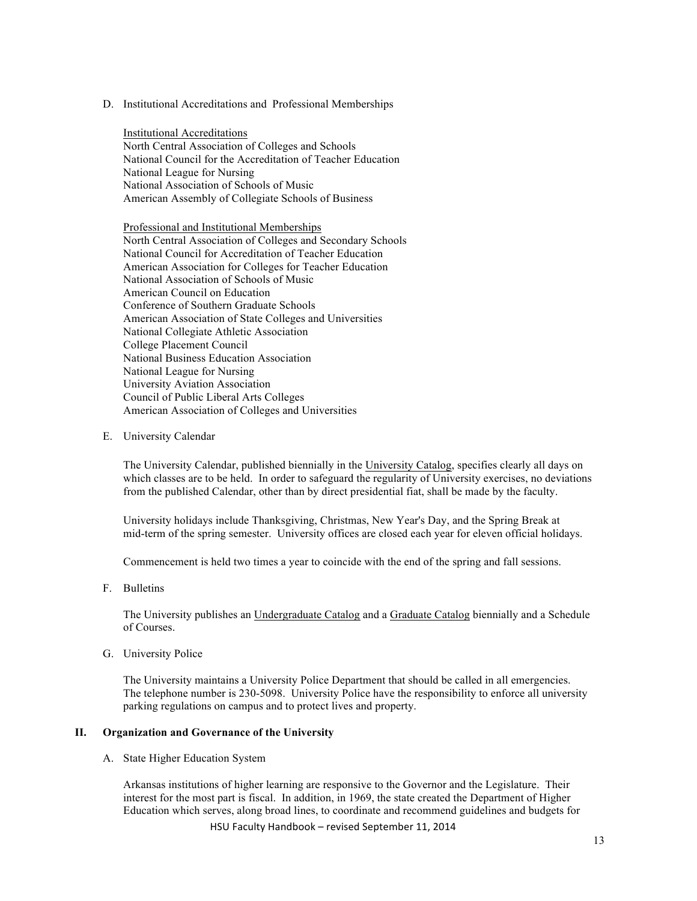D. Institutional Accreditations and Professional Memberships

Institutional Accreditations North Central Association of Colleges and Schools National Council for the Accreditation of Teacher Education National League for Nursing National Association of Schools of Music American Assembly of Collegiate Schools of Business

Professional and Institutional Memberships North Central Association of Colleges and Secondary Schools National Council for Accreditation of Teacher Education American Association for Colleges for Teacher Education National Association of Schools of Music American Council on Education Conference of Southern Graduate Schools American Association of State Colleges and Universities National Collegiate Athletic Association College Placement Council National Business Education Association National League for Nursing University Aviation Association Council of Public Liberal Arts Colleges American Association of Colleges and Universities

E. University Calendar

The University Calendar, published biennially in the University Catalog, specifies clearly all days on which classes are to be held. In order to safeguard the regularity of University exercises, no deviations from the published Calendar, other than by direct presidential fiat, shall be made by the faculty.

University holidays include Thanksgiving, Christmas, New Year's Day, and the Spring Break at mid-term of the spring semester. University offices are closed each year for eleven official holidays.

Commencement is held two times a year to coincide with the end of the spring and fall sessions.

F. Bulletins

The University publishes an Undergraduate Catalog and a Graduate Catalog biennially and a Schedule of Courses.

G. University Police

The University maintains a University Police Department that should be called in all emergencies. The telephone number is 230-5098. University Police have the responsibility to enforce all university parking regulations on campus and to protect lives and property.

#### **II. Organization and Governance of the University**

A. State Higher Education System

HSU Faculty Handbook - revised September 11, 2014 Arkansas institutions of higher learning are responsive to the Governor and the Legislature. Their interest for the most part is fiscal. In addition, in 1969, the state created the Department of Higher Education which serves, along broad lines, to coordinate and recommend guidelines and budgets for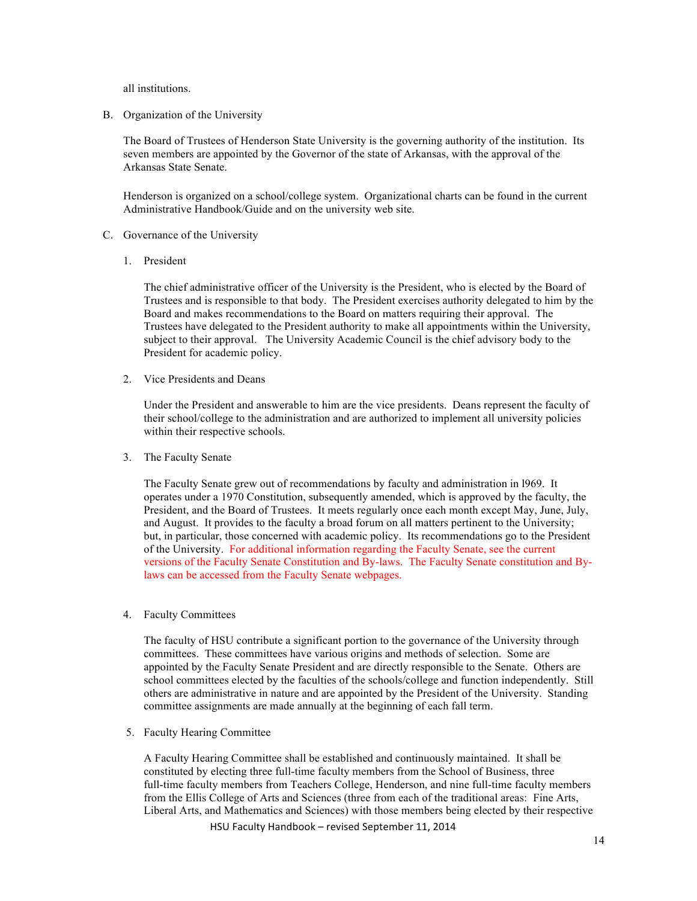all institutions.

B. Organization of the University

The Board of Trustees of Henderson State University is the governing authority of the institution. Its seven members are appointed by the Governor of the state of Arkansas, with the approval of the Arkansas State Senate.

Henderson is organized on a school/college system. Organizational charts can be found in the current Administrative Handbook/Guide and on the university web site.

- C. Governance of the University
	- 1. President

The chief administrative officer of the University is the President, who is elected by the Board of Trustees and is responsible to that body. The President exercises authority delegated to him by the Board and makes recommendations to the Board on matters requiring their approval. The Trustees have delegated to the President authority to make all appointments within the University, subject to their approval. The University Academic Council is the chief advisory body to the President for academic policy.

2. Vice Presidents and Deans

Under the President and answerable to him are the vice presidents. Deans represent the faculty of their school/college to the administration and are authorized to implement all university policies within their respective schools.

3. The Faculty Senate

The Faculty Senate grew out of recommendations by faculty and administration in l969. It operates under a 1970 Constitution, subsequently amended, which is approved by the faculty, the President, and the Board of Trustees. It meets regularly once each month except May, June, July, and August. It provides to the faculty a broad forum on all matters pertinent to the University; but, in particular, those concerned with academic policy. Its recommendations go to the President of the University. For additional information regarding the Faculty Senate, see the current versions of the Faculty Senate Constitution and By-laws. The Faculty Senate constitution and Bylaws can be accessed from the Faculty Senate webpages.

4. Faculty Committees

The faculty of HSU contribute a significant portion to the governance of the University through committees. These committees have various origins and methods of selection. Some are appointed by the Faculty Senate President and are directly responsible to the Senate. Others are school committees elected by the faculties of the schools/college and function independently. Still others are administrative in nature and are appointed by the President of the University. Standing committee assignments are made annually at the beginning of each fall term.

5. Faculty Hearing Committee

A Faculty Hearing Committee shall be established and continuously maintained. It shall be constituted by electing three full-time faculty members from the School of Business, three full-time faculty members from Teachers College, Henderson, and nine full-time faculty members from the Ellis College of Arts and Sciences (three from each of the traditional areas: Fine Arts, Liberal Arts, and Mathematics and Sciences) with those members being elected by their respective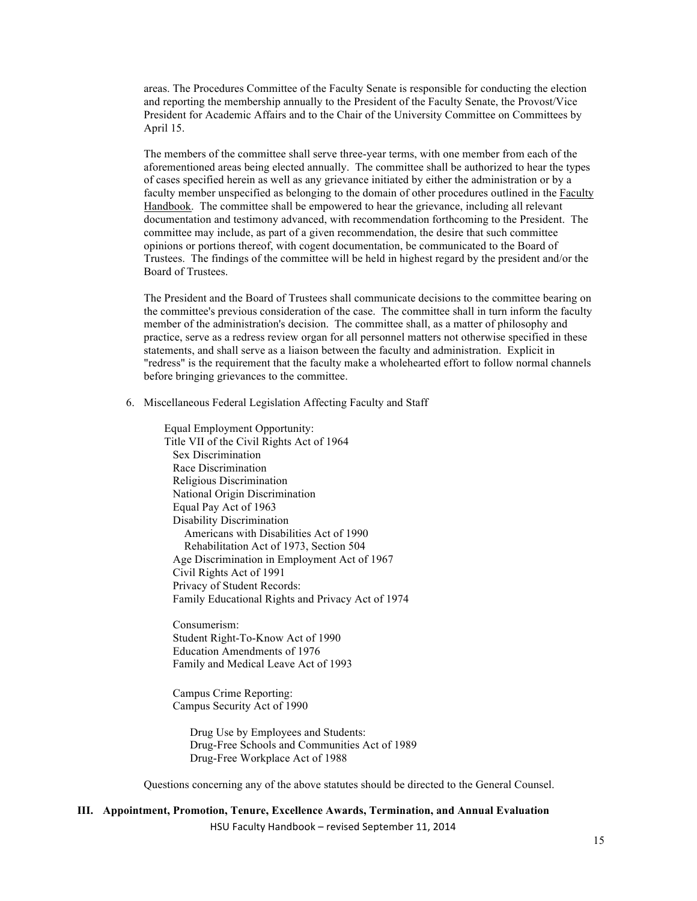areas. The Procedures Committee of the Faculty Senate is responsible for conducting the election and reporting the membership annually to the President of the Faculty Senate, the Provost/Vice President for Academic Affairs and to the Chair of the University Committee on Committees by April 15.

The members of the committee shall serve three-year terms, with one member from each of the aforementioned areas being elected annually. The committee shall be authorized to hear the types of cases specified herein as well as any grievance initiated by either the administration or by a faculty member unspecified as belonging to the domain of other procedures outlined in the Faculty Handbook. The committee shall be empowered to hear the grievance, including all relevant documentation and testimony advanced, with recommendation forthcoming to the President. The committee may include, as part of a given recommendation, the desire that such committee opinions or portions thereof, with cogent documentation, be communicated to the Board of Trustees. The findings of the committee will be held in highest regard by the president and/or the Board of Trustees.

The President and the Board of Trustees shall communicate decisions to the committee bearing on the committee's previous consideration of the case. The committee shall in turn inform the faculty member of the administration's decision. The committee shall, as a matter of philosophy and practice, serve as a redress review organ for all personnel matters not otherwise specified in these statements, and shall serve as a liaison between the faculty and administration. Explicit in "redress" is the requirement that the faculty make a wholehearted effort to follow normal channels before bringing grievances to the committee.

6. Miscellaneous Federal Legislation Affecting Faculty and Staff

Equal Employment Opportunity: Title VII of the Civil Rights Act of 1964 Sex Discrimination Race Discrimination Religious Discrimination National Origin Discrimination Equal Pay Act of 1963 Disability Discrimination Americans with Disabilities Act of 1990 Rehabilitation Act of 1973, Section 504 Age Discrimination in Employment Act of 1967 Civil Rights Act of 1991 Privacy of Student Records: Family Educational Rights and Privacy Act of 1974

 Consumerism: Student Right-To-Know Act of 1990 Education Amendments of 1976 Family and Medical Leave Act of 1993

 Campus Crime Reporting: Campus Security Act of 1990

> Drug Use by Employees and Students: Drug-Free Schools and Communities Act of 1989 Drug-Free Workplace Act of 1988

Questions concerning any of the above statutes should be directed to the General Counsel.

#### HSU Faculty Handbook - revised September 11, 2014 **III. Appointment, Promotion, Tenure, Excellence Awards, Termination, and Annual Evaluation**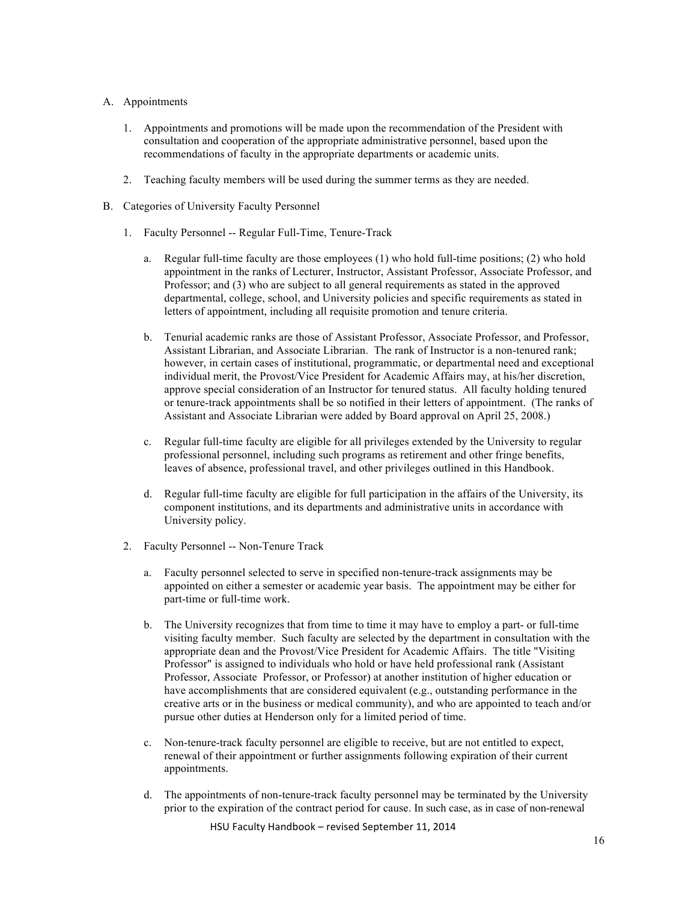#### A. Appointments

- 1. Appointments and promotions will be made upon the recommendation of the President with consultation and cooperation of the appropriate administrative personnel, based upon the recommendations of faculty in the appropriate departments or academic units.
- 2. Teaching faculty members will be used during the summer terms as they are needed.
- B. Categories of University Faculty Personnel
	- 1. Faculty Personnel -- Regular Full-Time, Tenure-Track
		- a. Regular full-time faculty are those employees (1) who hold full-time positions; (2) who hold appointment in the ranks of Lecturer, Instructor, Assistant Professor, Associate Professor, and Professor; and (3) who are subject to all general requirements as stated in the approved departmental, college, school, and University policies and specific requirements as stated in letters of appointment, including all requisite promotion and tenure criteria.
		- b. Tenurial academic ranks are those of Assistant Professor, Associate Professor, and Professor, Assistant Librarian, and Associate Librarian. The rank of Instructor is a non-tenured rank; however, in certain cases of institutional, programmatic, or departmental need and exceptional individual merit, the Provost/Vice President for Academic Affairs may, at his/her discretion, approve special consideration of an Instructor for tenured status. All faculty holding tenured or tenure-track appointments shall be so notified in their letters of appointment. (The ranks of Assistant and Associate Librarian were added by Board approval on April 25, 2008.)
		- c. Regular full-time faculty are eligible for all privileges extended by the University to regular professional personnel, including such programs as retirement and other fringe benefits, leaves of absence, professional travel, and other privileges outlined in this Handbook.
		- d. Regular full-time faculty are eligible for full participation in the affairs of the University, its component institutions, and its departments and administrative units in accordance with University policy.
	- 2. Faculty Personnel -- Non-Tenure Track
		- a. Faculty personnel selected to serve in specified non-tenure-track assignments may be appointed on either a semester or academic year basis. The appointment may be either for part-time or full-time work.
		- b. The University recognizes that from time to time it may have to employ a part- or full-time visiting faculty member. Such faculty are selected by the department in consultation with the appropriate dean and the Provost/Vice President for Academic Affairs. The title "Visiting Professor" is assigned to individuals who hold or have held professional rank (Assistant Professor, Associate Professor, or Professor) at another institution of higher education or have accomplishments that are considered equivalent (e.g., outstanding performance in the creative arts or in the business or medical community), and who are appointed to teach and/or pursue other duties at Henderson only for a limited period of time.
		- c. Non-tenure-track faculty personnel are eligible to receive, but are not entitled to expect, renewal of their appointment or further assignments following expiration of their current appointments.
		- d. The appointments of non-tenure-track faculty personnel may be terminated by the University prior to the expiration of the contract period for cause. In such case, as in case of non-renewal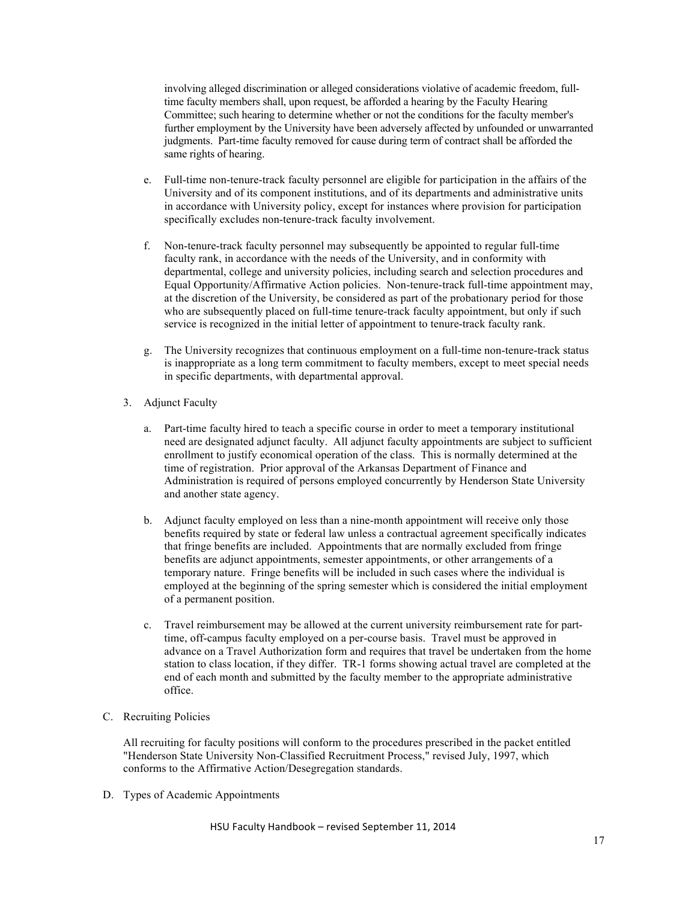involving alleged discrimination or alleged considerations violative of academic freedom, fulltime faculty members shall, upon request, be afforded a hearing by the Faculty Hearing Committee; such hearing to determine whether or not the conditions for the faculty member's further employment by the University have been adversely affected by unfounded or unwarranted judgments. Part-time faculty removed for cause during term of contract shall be afforded the same rights of hearing.

- e. Full-time non-tenure-track faculty personnel are eligible for participation in the affairs of the University and of its component institutions, and of its departments and administrative units in accordance with University policy, except for instances where provision for participation specifically excludes non-tenure-track faculty involvement.
- f. Non-tenure-track faculty personnel may subsequently be appointed to regular full-time faculty rank, in accordance with the needs of the University, and in conformity with departmental, college and university policies, including search and selection procedures and Equal Opportunity/Affirmative Action policies. Non-tenure-track full-time appointment may, at the discretion of the University, be considered as part of the probationary period for those who are subsequently placed on full-time tenure-track faculty appointment, but only if such service is recognized in the initial letter of appointment to tenure-track faculty rank.
- g. The University recognizes that continuous employment on a full-time non-tenure-track status is inappropriate as a long term commitment to faculty members, except to meet special needs in specific departments, with departmental approval.
- 3. Adjunct Faculty
	- a. Part-time faculty hired to teach a specific course in order to meet a temporary institutional need are designated adjunct faculty. All adjunct faculty appointments are subject to sufficient enrollment to justify economical operation of the class. This is normally determined at the time of registration. Prior approval of the Arkansas Department of Finance and Administration is required of persons employed concurrently by Henderson State University and another state agency.
	- b. Adjunct faculty employed on less than a nine-month appointment will receive only those benefits required by state or federal law unless a contractual agreement specifically indicates that fringe benefits are included. Appointments that are normally excluded from fringe benefits are adjunct appointments, semester appointments, or other arrangements of a temporary nature. Fringe benefits will be included in such cases where the individual is employed at the beginning of the spring semester which is considered the initial employment of a permanent position.
	- c. Travel reimbursement may be allowed at the current university reimbursement rate for parttime, off-campus faculty employed on a per-course basis. Travel must be approved in advance on a Travel Authorization form and requires that travel be undertaken from the home station to class location, if they differ. TR-1 forms showing actual travel are completed at the end of each month and submitted by the faculty member to the appropriate administrative office.
- C. Recruiting Policies

All recruiting for faculty positions will conform to the procedures prescribed in the packet entitled "Henderson State University Non-Classified Recruitment Process," revised July, 1997, which conforms to the Affirmative Action/Desegregation standards.

D. Types of Academic Appointments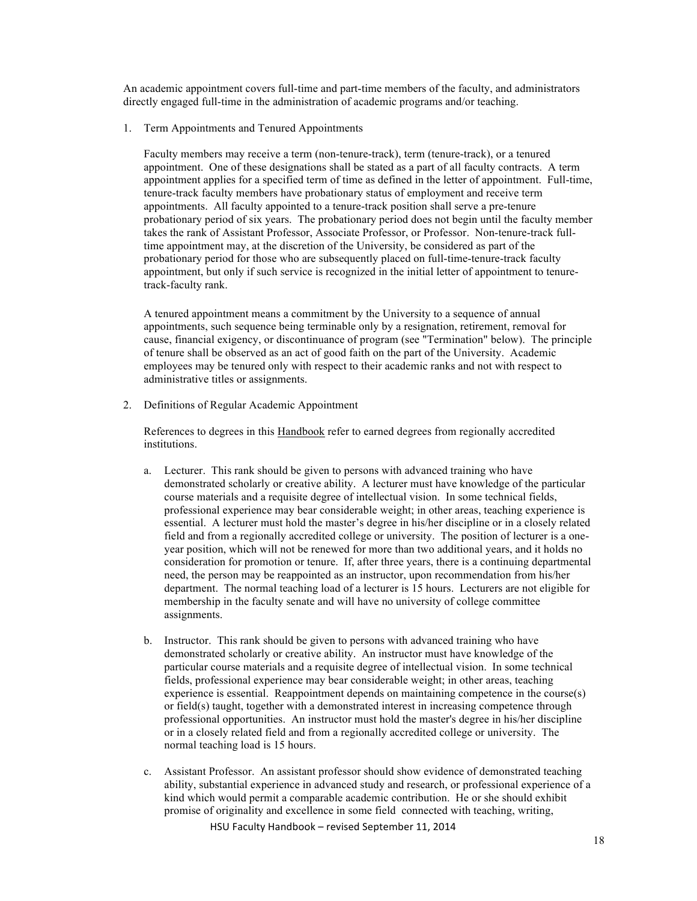An academic appointment covers full-time and part-time members of the faculty, and administrators directly engaged full-time in the administration of academic programs and/or teaching.

1. Term Appointments and Tenured Appointments

Faculty members may receive a term (non-tenure-track), term (tenure-track), or a tenured appointment. One of these designations shall be stated as a part of all faculty contracts. A term appointment applies for a specified term of time as defined in the letter of appointment. Full-time, tenure-track faculty members have probationary status of employment and receive term appointments. All faculty appointed to a tenure-track position shall serve a pre-tenure probationary period of six years. The probationary period does not begin until the faculty member takes the rank of Assistant Professor, Associate Professor, or Professor. Non-tenure-track fulltime appointment may, at the discretion of the University, be considered as part of the probationary period for those who are subsequently placed on full-time-tenure-track faculty appointment, but only if such service is recognized in the initial letter of appointment to tenuretrack-faculty rank.

A tenured appointment means a commitment by the University to a sequence of annual appointments, such sequence being terminable only by a resignation, retirement, removal for cause, financial exigency, or discontinuance of program (see "Termination" below). The principle of tenure shall be observed as an act of good faith on the part of the University. Academic employees may be tenured only with respect to their academic ranks and not with respect to administrative titles or assignments.

2. Definitions of Regular Academic Appointment

References to degrees in this Handbook refer to earned degrees from regionally accredited institutions.

- a. Lecturer. This rank should be given to persons with advanced training who have demonstrated scholarly or creative ability. A lecturer must have knowledge of the particular course materials and a requisite degree of intellectual vision. In some technical fields, professional experience may bear considerable weight; in other areas, teaching experience is essential. A lecturer must hold the master's degree in his/her discipline or in a closely related field and from a regionally accredited college or university. The position of lecturer is a oneyear position, which will not be renewed for more than two additional years, and it holds no consideration for promotion or tenure. If, after three years, there is a continuing departmental need, the person may be reappointed as an instructor, upon recommendation from his/her department. The normal teaching load of a lecturer is 15 hours. Lecturers are not eligible for membership in the faculty senate and will have no university of college committee assignments.
- b. Instructor. This rank should be given to persons with advanced training who have demonstrated scholarly or creative ability. An instructor must have knowledge of the particular course materials and a requisite degree of intellectual vision. In some technical fields, professional experience may bear considerable weight; in other areas, teaching experience is essential. Reappointment depends on maintaining competence in the course(s) or field(s) taught, together with a demonstrated interest in increasing competence through professional opportunities. An instructor must hold the master's degree in his/her discipline or in a closely related field and from a regionally accredited college or university. The normal teaching load is 15 hours.
- c. Assistant Professor. An assistant professor should show evidence of demonstrated teaching ability, substantial experience in advanced study and research, or professional experience of a kind which would permit a comparable academic contribution. He or she should exhibit promise of originality and excellence in some field connected with teaching, writing,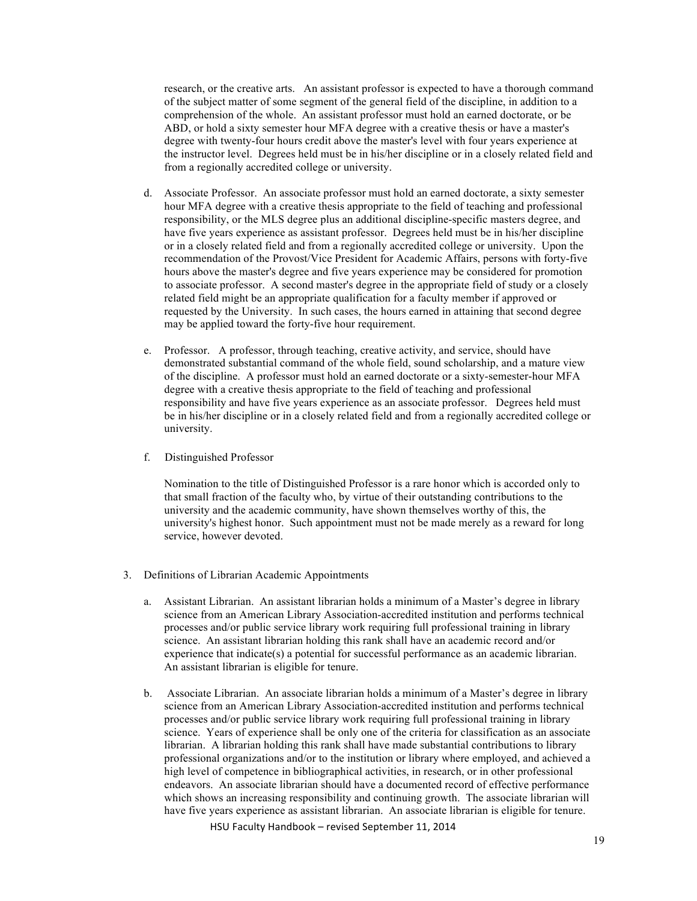research, or the creative arts. An assistant professor is expected to have a thorough command of the subject matter of some segment of the general field of the discipline, in addition to a comprehension of the whole. An assistant professor must hold an earned doctorate, or be ABD, or hold a sixty semester hour MFA degree with a creative thesis or have a master's degree with twenty-four hours credit above the master's level with four years experience at the instructor level. Degrees held must be in his/her discipline or in a closely related field and from a regionally accredited college or university.

- d. Associate Professor. An associate professor must hold an earned doctorate, a sixty semester hour MFA degree with a creative thesis appropriate to the field of teaching and professional responsibility, or the MLS degree plus an additional discipline-specific masters degree, and have five years experience as assistant professor. Degrees held must be in his/her discipline or in a closely related field and from a regionally accredited college or university. Upon the recommendation of the Provost/Vice President for Academic Affairs, persons with forty-five hours above the master's degree and five years experience may be considered for promotion to associate professor. A second master's degree in the appropriate field of study or a closely related field might be an appropriate qualification for a faculty member if approved or requested by the University. In such cases, the hours earned in attaining that second degree may be applied toward the forty-five hour requirement.
- e. Professor. A professor, through teaching, creative activity, and service, should have demonstrated substantial command of the whole field, sound scholarship, and a mature view of the discipline. A professor must hold an earned doctorate or a sixty-semester-hour MFA degree with a creative thesis appropriate to the field of teaching and professional responsibility and have five years experience as an associate professor. Degrees held must be in his/her discipline or in a closely related field and from a regionally accredited college or university.
- f. Distinguished Professor

Nomination to the title of Distinguished Professor is a rare honor which is accorded only to that small fraction of the faculty who, by virtue of their outstanding contributions to the university and the academic community, have shown themselves worthy of this, the university's highest honor. Such appointment must not be made merely as a reward for long service, however devoted.

- 3. Definitions of Librarian Academic Appointments
	- a. Assistant Librarian. An assistant librarian holds a minimum of a Master's degree in library science from an American Library Association-accredited institution and performs technical processes and/or public service library work requiring full professional training in library science. An assistant librarian holding this rank shall have an academic record and/or experience that indicate(s) a potential for successful performance as an academic librarian. An assistant librarian is eligible for tenure.
	- b. Associate Librarian. An associate librarian holds a minimum of a Master's degree in library science from an American Library Association-accredited institution and performs technical processes and/or public service library work requiring full professional training in library science. Years of experience shall be only one of the criteria for classification as an associate librarian. A librarian holding this rank shall have made substantial contributions to library professional organizations and/or to the institution or library where employed, and achieved a high level of competence in bibliographical activities, in research, or in other professional endeavors. An associate librarian should have a documented record of effective performance which shows an increasing responsibility and continuing growth. The associate librarian will have five years experience as assistant librarian. An associate librarian is eligible for tenure.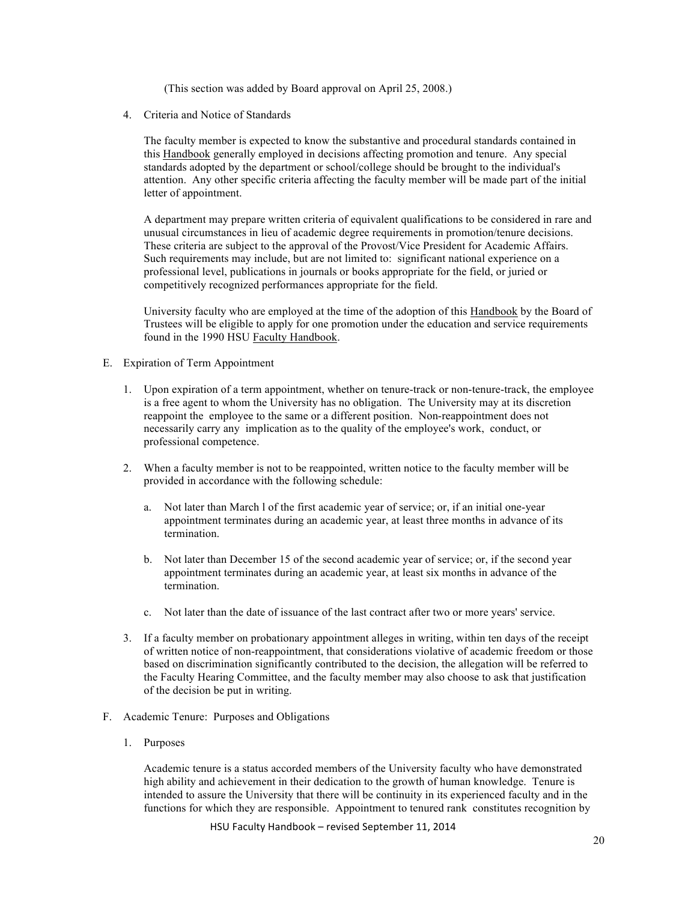(This section was added by Board approval on April 25, 2008.)

4. Criteria and Notice of Standards

The faculty member is expected to know the substantive and procedural standards contained in this Handbook generally employed in decisions affecting promotion and tenure. Any special standards adopted by the department or school/college should be brought to the individual's attention. Any other specific criteria affecting the faculty member will be made part of the initial letter of appointment.

A department may prepare written criteria of equivalent qualifications to be considered in rare and unusual circumstances in lieu of academic degree requirements in promotion/tenure decisions. These criteria are subject to the approval of the Provost/Vice President for Academic Affairs. Such requirements may include, but are not limited to: significant national experience on a professional level, publications in journals or books appropriate for the field, or juried or competitively recognized performances appropriate for the field.

University faculty who are employed at the time of the adoption of this Handbook by the Board of Trustees will be eligible to apply for one promotion under the education and service requirements found in the 1990 HSU Faculty Handbook.

#### E. Expiration of Term Appointment

- 1. Upon expiration of a term appointment, whether on tenure-track or non-tenure-track, the employee is a free agent to whom the University has no obligation. The University may at its discretion reappoint the employee to the same or a different position. Non-reappointment does not necessarily carry any implication as to the quality of the employee's work, conduct, or professional competence.
- 2. When a faculty member is not to be reappointed, written notice to the faculty member will be provided in accordance with the following schedule:
	- a. Not later than March l of the first academic year of service; or, if an initial one-year appointment terminates during an academic year, at least three months in advance of its termination.
	- b. Not later than December 15 of the second academic year of service; or, if the second year appointment terminates during an academic year, at least six months in advance of the termination.
	- c. Not later than the date of issuance of the last contract after two or more years' service.
- 3. If a faculty member on probationary appointment alleges in writing, within ten days of the receipt of written notice of non-reappointment, that considerations violative of academic freedom or those based on discrimination significantly contributed to the decision, the allegation will be referred to the Faculty Hearing Committee, and the faculty member may also choose to ask that justification of the decision be put in writing.
- F. Academic Tenure: Purposes and Obligations
	- 1. Purposes

Academic tenure is a status accorded members of the University faculty who have demonstrated high ability and achievement in their dedication to the growth of human knowledge. Tenure is intended to assure the University that there will be continuity in its experienced faculty and in the functions for which they are responsible. Appointment to tenured rank constitutes recognition by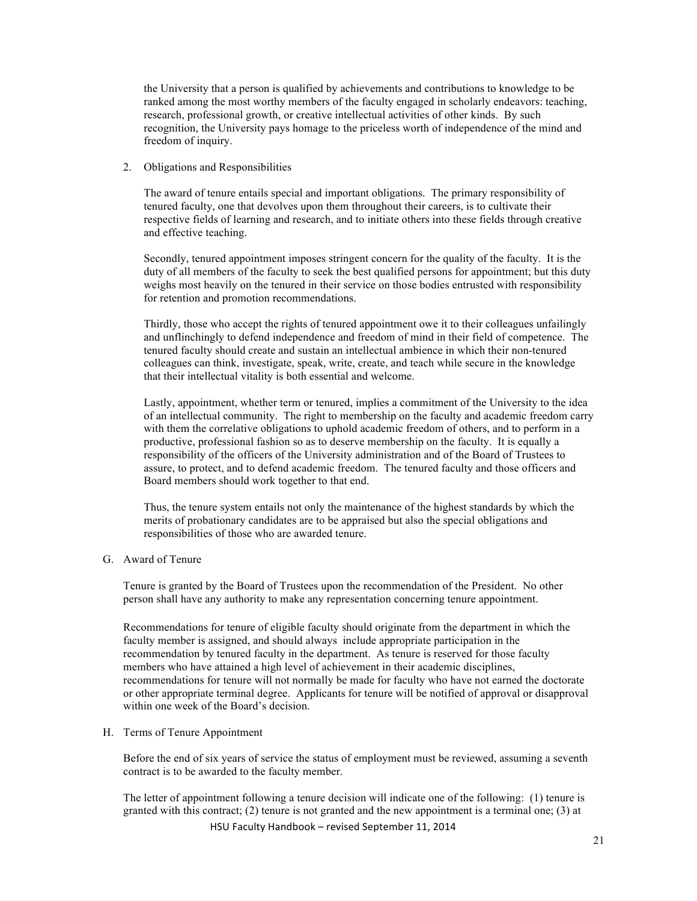the University that a person is qualified by achievements and contributions to knowledge to be ranked among the most worthy members of the faculty engaged in scholarly endeavors: teaching, research, professional growth, or creative intellectual activities of other kinds. By such recognition, the University pays homage to the priceless worth of independence of the mind and freedom of inquiry.

2. Obligations and Responsibilities

The award of tenure entails special and important obligations. The primary responsibility of tenured faculty, one that devolves upon them throughout their careers, is to cultivate their respective fields of learning and research, and to initiate others into these fields through creative and effective teaching.

Secondly, tenured appointment imposes stringent concern for the quality of the faculty. It is the duty of all members of the faculty to seek the best qualified persons for appointment; but this duty weighs most heavily on the tenured in their service on those bodies entrusted with responsibility for retention and promotion recommendations.

Thirdly, those who accept the rights of tenured appointment owe it to their colleagues unfailingly and unflinchingly to defend independence and freedom of mind in their field of competence. The tenured faculty should create and sustain an intellectual ambience in which their non-tenured colleagues can think, investigate, speak, write, create, and teach while secure in the knowledge that their intellectual vitality is both essential and welcome.

Lastly, appointment, whether term or tenured, implies a commitment of the University to the idea of an intellectual community. The right to membership on the faculty and academic freedom carry with them the correlative obligations to uphold academic freedom of others, and to perform in a productive, professional fashion so as to deserve membership on the faculty. It is equally a responsibility of the officers of the University administration and of the Board of Trustees to assure, to protect, and to defend academic freedom. The tenured faculty and those officers and Board members should work together to that end.

Thus, the tenure system entails not only the maintenance of the highest standards by which the merits of probationary candidates are to be appraised but also the special obligations and responsibilities of those who are awarded tenure.

G. Award of Tenure

Tenure is granted by the Board of Trustees upon the recommendation of the President. No other person shall have any authority to make any representation concerning tenure appointment.

Recommendations for tenure of eligible faculty should originate from the department in which the faculty member is assigned, and should always include appropriate participation in the recommendation by tenured faculty in the department. As tenure is reserved for those faculty members who have attained a high level of achievement in their academic disciplines, recommendations for tenure will not normally be made for faculty who have not earned the doctorate or other appropriate terminal degree. Applicants for tenure will be notified of approval or disapproval within one week of the Board's decision.

#### H. Terms of Tenure Appointment

Before the end of six years of service the status of employment must be reviewed, assuming a seventh contract is to be awarded to the faculty member.

HSU Faculty Handbook - revised September 11, 2014 The letter of appointment following a tenure decision will indicate one of the following: (1) tenure is granted with this contract; (2) tenure is not granted and the new appointment is a terminal one; (3) at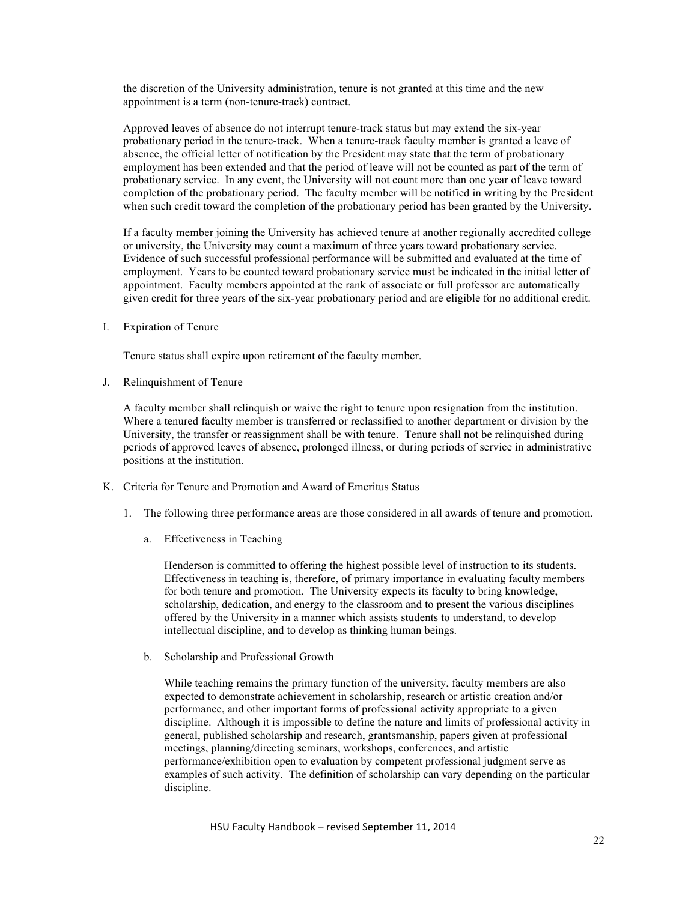the discretion of the University administration, tenure is not granted at this time and the new appointment is a term (non-tenure-track) contract.

Approved leaves of absence do not interrupt tenure-track status but may extend the six-year probationary period in the tenure-track. When a tenure-track faculty member is granted a leave of absence, the official letter of notification by the President may state that the term of probationary employment has been extended and that the period of leave will not be counted as part of the term of probationary service. In any event, the University will not count more than one year of leave toward completion of the probationary period. The faculty member will be notified in writing by the President when such credit toward the completion of the probationary period has been granted by the University.

If a faculty member joining the University has achieved tenure at another regionally accredited college or university, the University may count a maximum of three years toward probationary service. Evidence of such successful professional performance will be submitted and evaluated at the time of employment. Years to be counted toward probationary service must be indicated in the initial letter of appointment. Faculty members appointed at the rank of associate or full professor are automatically given credit for three years of the six-year probationary period and are eligible for no additional credit.

I. Expiration of Tenure

Tenure status shall expire upon retirement of the faculty member.

J. Relinquishment of Tenure

A faculty member shall relinquish or waive the right to tenure upon resignation from the institution. Where a tenured faculty member is transferred or reclassified to another department or division by the University, the transfer or reassignment shall be with tenure. Tenure shall not be relinquished during periods of approved leaves of absence, prolonged illness, or during periods of service in administrative positions at the institution.

- K. Criteria for Tenure and Promotion and Award of Emeritus Status
	- 1. The following three performance areas are those considered in all awards of tenure and promotion.
		- a. Effectiveness in Teaching

Henderson is committed to offering the highest possible level of instruction to its students. Effectiveness in teaching is, therefore, of primary importance in evaluating faculty members for both tenure and promotion. The University expects its faculty to bring knowledge, scholarship, dedication, and energy to the classroom and to present the various disciplines offered by the University in a manner which assists students to understand, to develop intellectual discipline, and to develop as thinking human beings.

b. Scholarship and Professional Growth

While teaching remains the primary function of the university, faculty members are also expected to demonstrate achievement in scholarship, research or artistic creation and/or performance, and other important forms of professional activity appropriate to a given discipline. Although it is impossible to define the nature and limits of professional activity in general, published scholarship and research, grantsmanship, papers given at professional meetings, planning/directing seminars, workshops, conferences, and artistic performance/exhibition open to evaluation by competent professional judgment serve as examples of such activity. The definition of scholarship can vary depending on the particular discipline.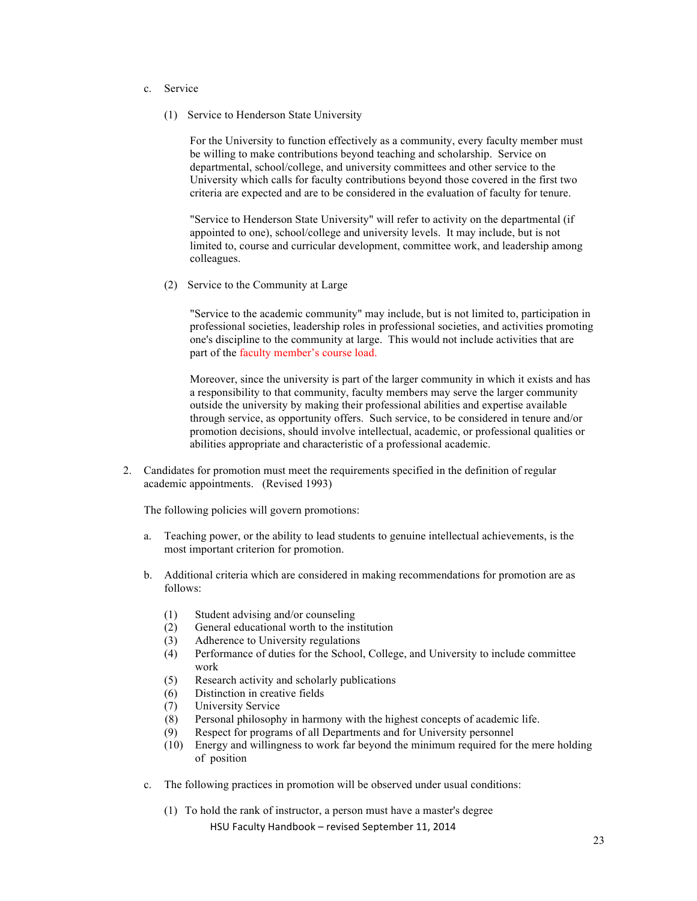- c. Service
	- (1) Service to Henderson State University

For the University to function effectively as a community, every faculty member must be willing to make contributions beyond teaching and scholarship. Service on departmental, school/college, and university committees and other service to the University which calls for faculty contributions beyond those covered in the first two criteria are expected and are to be considered in the evaluation of faculty for tenure.

"Service to Henderson State University" will refer to activity on the departmental (if appointed to one), school/college and university levels. It may include, but is not limited to, course and curricular development, committee work, and leadership among colleagues.

(2) Service to the Community at Large

"Service to the academic community" may include, but is not limited to, participation in professional societies, leadership roles in professional societies, and activities promoting one's discipline to the community at large. This would not include activities that are part of the faculty member's course load.

Moreover, since the university is part of the larger community in which it exists and has a responsibility to that community, faculty members may serve the larger community outside the university by making their professional abilities and expertise available through service, as opportunity offers. Such service, to be considered in tenure and/or promotion decisions, should involve intellectual, academic, or professional qualities or abilities appropriate and characteristic of a professional academic.

2. Candidates for promotion must meet the requirements specified in the definition of regular academic appointments. (Revised 1993)

The following policies will govern promotions:

- a. Teaching power, or the ability to lead students to genuine intellectual achievements, is the most important criterion for promotion.
- b. Additional criteria which are considered in making recommendations for promotion are as follows:
	- (1) Student advising and/or counseling
	- (2) General educational worth to the institution
	- (3) Adherence to University regulations
	- (4) Performance of duties for the School, College, and University to include committee work
	- (5) Research activity and scholarly publications
	- (6) Distinction in creative fields
	- (7) University Service
	- (8) Personal philosophy in harmony with the highest concepts of academic life.
	- (9) Respect for programs of all Departments and for University personnel
	- (10) Energy and willingness to work far beyond the minimum required for the mere holding of position
- c. The following practices in promotion will be observed under usual conditions:
	- HSU Faculty Handbook revised September 11, 2014 (1) To hold the rank of instructor, a person must have a master's degree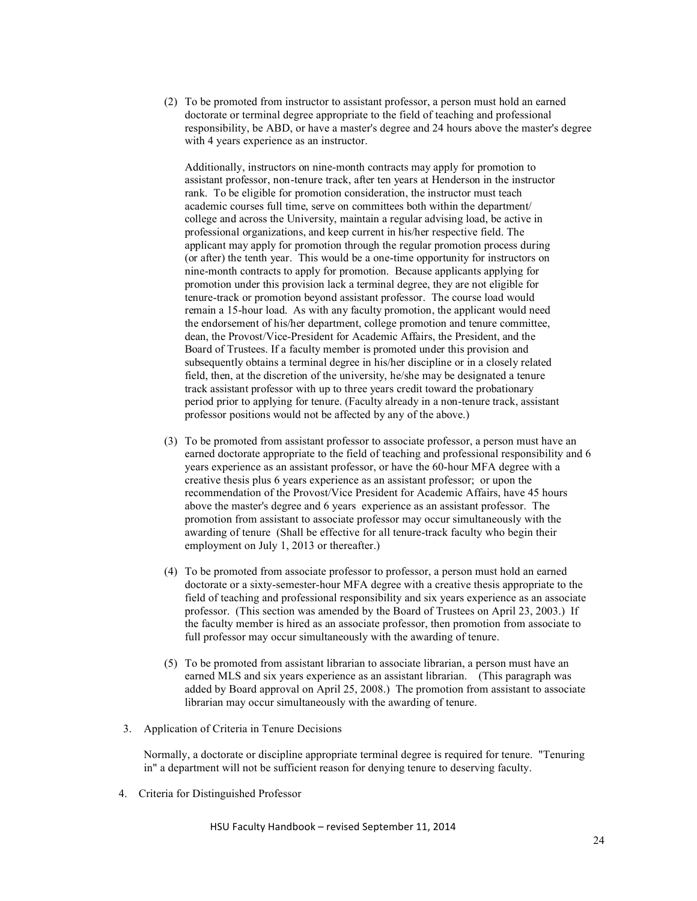(2) To be promoted from instructor to assistant professor, a person must hold an earned doctorate or terminal degree appropriate to the field of teaching and professional responsibility, be ABD, or have a master's degree and 24 hours above the master's degree with 4 years experience as an instructor.

Additionally, instructors on nine-month contracts may apply for promotion to assistant professor, non-tenure track, after ten years at Henderson in the instructor rank. To be eligible for promotion consideration, the instructor must teach academic courses full time, serve on committees both within the department/ college and across the University, maintain a regular advising load, be active in professional organizations, and keep current in his/her respective field. The applicant may apply for promotion through the regular promotion process during (or after) the tenth year. This would be a one-time opportunity for instructors on nine-month contracts to apply for promotion. Because applicants applying for promotion under this provision lack a terminal degree, they are not eligible for tenure-track or promotion beyond assistant professor. The course load would remain a 15-hour load. As with any faculty promotion, the applicant would need the endorsement of his/her department, college promotion and tenure committee, dean, the Provost/Vice-President for Academic Affairs, the President, and the Board of Trustees. If a faculty member is promoted under this provision and subsequently obtains a terminal degree in his/her discipline or in a closely related field, then, at the discretion of the university, he/she may be designated a tenure track assistant professor with up to three years credit toward the probationary period prior to applying for tenure. (Faculty already in a non-tenure track, assistant professor positions would not be affected by any of the above.)

- (3) To be promoted from assistant professor to associate professor, a person must have an earned doctorate appropriate to the field of teaching and professional responsibility and 6 years experience as an assistant professor, or have the 60-hour MFA degree with a creative thesis plus 6 years experience as an assistant professor; or upon the recommendation of the Provost/Vice President for Academic Affairs, have 45 hours above the master's degree and 6 years experience as an assistant professor. The promotion from assistant to associate professor may occur simultaneously with the awarding of tenure (Shall be effective for all tenure-track faculty who begin their employment on July 1, 2013 or thereafter.)
- (4) To be promoted from associate professor to professor, a person must hold an earned doctorate or a sixty-semester-hour MFA degree with a creative thesis appropriate to the field of teaching and professional responsibility and six years experience as an associate professor. (This section was amended by the Board of Trustees on April 23, 2003.) If the faculty member is hired as an associate professor, then promotion from associate to full professor may occur simultaneously with the awarding of tenure.
- (5) To be promoted from assistant librarian to associate librarian, a person must have an earned MLS and six years experience as an assistant librarian. (This paragraph was added by Board approval on April 25, 2008.) The promotion from assistant to associate librarian may occur simultaneously with the awarding of tenure.
- 3. Application of Criteria in Tenure Decisions

Normally, a doctorate or discipline appropriate terminal degree is required for tenure. "Tenuring in" a department will not be sufficient reason for denying tenure to deserving faculty.

4. Criteria for Distinguished Professor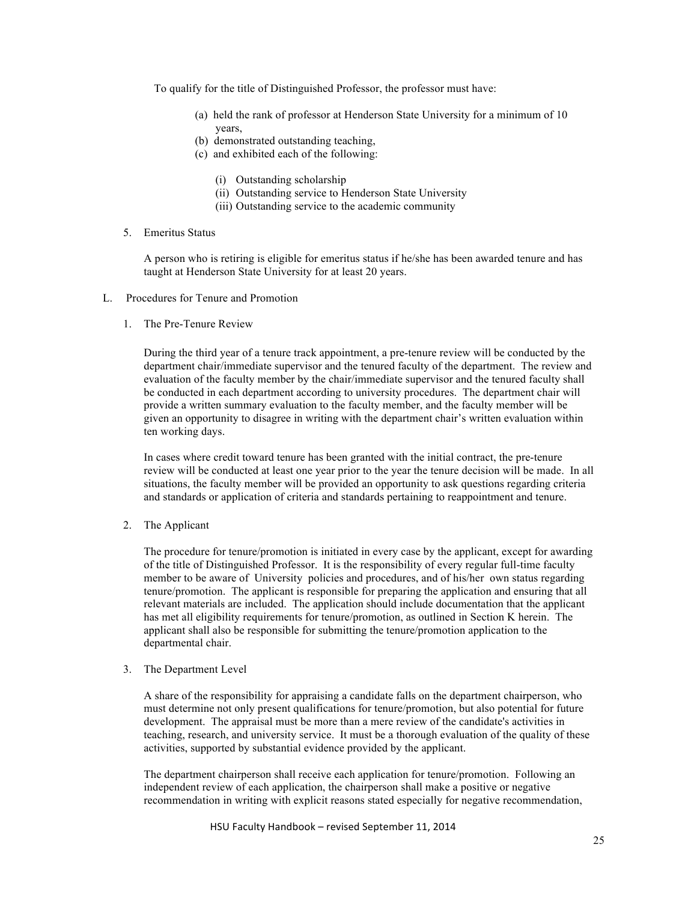To qualify for the title of Distinguished Professor, the professor must have:

- (a) held the rank of professor at Henderson State University for a minimum of 10 years,
- (b) demonstrated outstanding teaching,
- (c) and exhibited each of the following:
	- (i) Outstanding scholarship
	- (ii) Outstanding service to Henderson State University
	- (iii) Outstanding service to the academic community
- 5. Emeritus Status

A person who is retiring is eligible for emeritus status if he/she has been awarded tenure and has taught at Henderson State University for at least 20 years.

- L. Procedures for Tenure and Promotion
	- 1. The Pre-Tenure Review

During the third year of a tenure track appointment, a pre-tenure review will be conducted by the department chair/immediate supervisor and the tenured faculty of the department. The review and evaluation of the faculty member by the chair/immediate supervisor and the tenured faculty shall be conducted in each department according to university procedures. The department chair will provide a written summary evaluation to the faculty member, and the faculty member will be given an opportunity to disagree in writing with the department chair's written evaluation within ten working days.

In cases where credit toward tenure has been granted with the initial contract, the pre-tenure review will be conducted at least one year prior to the year the tenure decision will be made. In all situations, the faculty member will be provided an opportunity to ask questions regarding criteria and standards or application of criteria and standards pertaining to reappointment and tenure.

2. The Applicant

The procedure for tenure/promotion is initiated in every case by the applicant, except for awarding of the title of Distinguished Professor. It is the responsibility of every regular full-time faculty member to be aware of University policies and procedures, and of his/her own status regarding tenure/promotion. The applicant is responsible for preparing the application and ensuring that all relevant materials are included. The application should include documentation that the applicant has met all eligibility requirements for tenure/promotion, as outlined in Section K herein. The applicant shall also be responsible for submitting the tenure/promotion application to the departmental chair.

3. The Department Level

A share of the responsibility for appraising a candidate falls on the department chairperson, who must determine not only present qualifications for tenure/promotion, but also potential for future development. The appraisal must be more than a mere review of the candidate's activities in teaching, research, and university service. It must be a thorough evaluation of the quality of these activities, supported by substantial evidence provided by the applicant.

The department chairperson shall receive each application for tenure/promotion. Following an independent review of each application, the chairperson shall make a positive or negative recommendation in writing with explicit reasons stated especially for negative recommendation,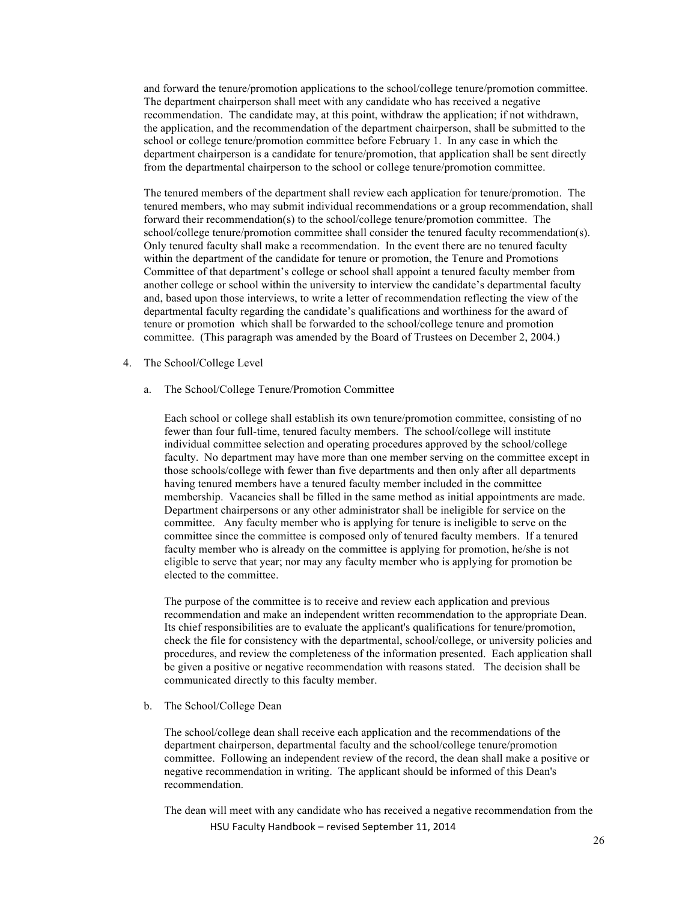and forward the tenure/promotion applications to the school/college tenure/promotion committee. The department chairperson shall meet with any candidate who has received a negative recommendation. The candidate may, at this point, withdraw the application; if not withdrawn, the application, and the recommendation of the department chairperson, shall be submitted to the school or college tenure/promotion committee before February 1. In any case in which the department chairperson is a candidate for tenure/promotion, that application shall be sent directly from the departmental chairperson to the school or college tenure/promotion committee.

The tenured members of the department shall review each application for tenure/promotion. The tenured members, who may submit individual recommendations or a group recommendation, shall forward their recommendation(s) to the school/college tenure/promotion committee. The school/college tenure/promotion committee shall consider the tenured faculty recommendation(s). Only tenured faculty shall make a recommendation. In the event there are no tenured faculty within the department of the candidate for tenure or promotion, the Tenure and Promotions Committee of that department's college or school shall appoint a tenured faculty member from another college or school within the university to interview the candidate's departmental faculty and, based upon those interviews, to write a letter of recommendation reflecting the view of the departmental faculty regarding the candidate's qualifications and worthiness for the award of tenure or promotion which shall be forwarded to the school/college tenure and promotion committee. (This paragraph was amended by the Board of Trustees on December 2, 2004.)

- 4. The School/College Level
	- a. The School/College Tenure/Promotion Committee

Each school or college shall establish its own tenure/promotion committee, consisting of no fewer than four full-time, tenured faculty members. The school/college will institute individual committee selection and operating procedures approved by the school/college faculty. No department may have more than one member serving on the committee except in those schools/college with fewer than five departments and then only after all departments having tenured members have a tenured faculty member included in the committee membership. Vacancies shall be filled in the same method as initial appointments are made. Department chairpersons or any other administrator shall be ineligible for service on the committee. Any faculty member who is applying for tenure is ineligible to serve on the committee since the committee is composed only of tenured faculty members. If a tenured faculty member who is already on the committee is applying for promotion, he/she is not eligible to serve that year; nor may any faculty member who is applying for promotion be elected to the committee.

The purpose of the committee is to receive and review each application and previous recommendation and make an independent written recommendation to the appropriate Dean. Its chief responsibilities are to evaluate the applicant's qualifications for tenure/promotion, check the file for consistency with the departmental, school/college, or university policies and procedures, and review the completeness of the information presented. Each application shall be given a positive or negative recommendation with reasons stated. The decision shall be communicated directly to this faculty member.

b. The School/College Dean

The school/college dean shall receive each application and the recommendations of the department chairperson, departmental faculty and the school/college tenure/promotion committee. Following an independent review of the record, the dean shall make a positive or negative recommendation in writing. The applicant should be informed of this Dean's recommendation.

HSU Faculty Handbook - revised September 11, 2014 The dean will meet with any candidate who has received a negative recommendation from the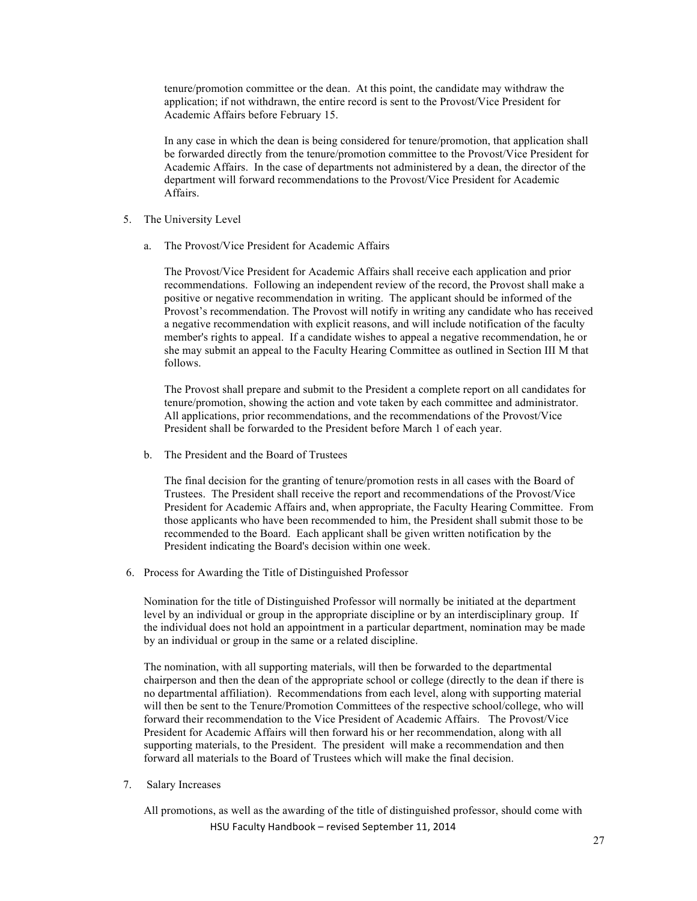tenure/promotion committee or the dean. At this point, the candidate may withdraw the application; if not withdrawn, the entire record is sent to the Provost/Vice President for Academic Affairs before February 15.

In any case in which the dean is being considered for tenure/promotion, that application shall be forwarded directly from the tenure/promotion committee to the Provost/Vice President for Academic Affairs. In the case of departments not administered by a dean, the director of the department will forward recommendations to the Provost/Vice President for Academic Affairs.

- 5. The University Level
	- a. The Provost/Vice President for Academic Affairs

The Provost/Vice President for Academic Affairs shall receive each application and prior recommendations. Following an independent review of the record, the Provost shall make a positive or negative recommendation in writing. The applicant should be informed of the Provost's recommendation. The Provost will notify in writing any candidate who has received a negative recommendation with explicit reasons, and will include notification of the faculty member's rights to appeal. If a candidate wishes to appeal a negative recommendation, he or she may submit an appeal to the Faculty Hearing Committee as outlined in Section III M that follows.

The Provost shall prepare and submit to the President a complete report on all candidates for tenure/promotion, showing the action and vote taken by each committee and administrator. All applications, prior recommendations, and the recommendations of the Provost/Vice President shall be forwarded to the President before March 1 of each year.

b. The President and the Board of Trustees

The final decision for the granting of tenure/promotion rests in all cases with the Board of Trustees. The President shall receive the report and recommendations of the Provost/Vice President for Academic Affairs and, when appropriate, the Faculty Hearing Committee. From those applicants who have been recommended to him, the President shall submit those to be recommended to the Board. Each applicant shall be given written notification by the President indicating the Board's decision within one week.

6. Process for Awarding the Title of Distinguished Professor

Nomination for the title of Distinguished Professor will normally be initiated at the department level by an individual or group in the appropriate discipline or by an interdisciplinary group. If the individual does not hold an appointment in a particular department, nomination may be made by an individual or group in the same or a related discipline.

The nomination, with all supporting materials, will then be forwarded to the departmental chairperson and then the dean of the appropriate school or college (directly to the dean if there is no departmental affiliation). Recommendations from each level, along with supporting material will then be sent to the Tenure/Promotion Committees of the respective school/college, who will forward their recommendation to the Vice President of Academic Affairs. The Provost/Vice President for Academic Affairs will then forward his or her recommendation, along with all supporting materials, to the President. The president will make a recommendation and then forward all materials to the Board of Trustees which will make the final decision.

7. Salary Increases

HSU Faculty Handbook - revised September 11, 2014 All promotions, as well as the awarding of the title of distinguished professor, should come with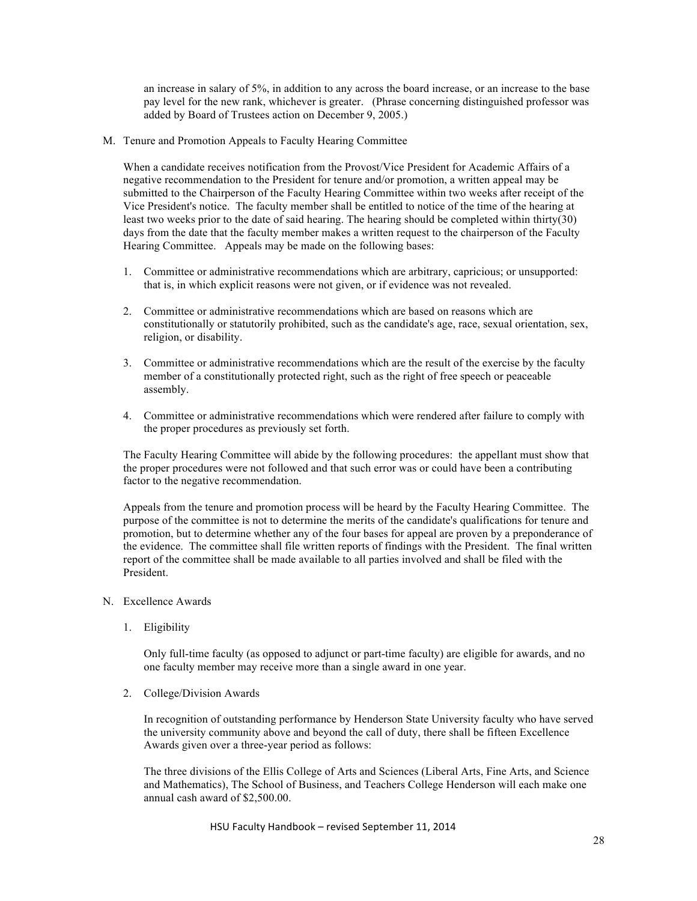an increase in salary of 5%, in addition to any across the board increase, or an increase to the base pay level for the new rank, whichever is greater. (Phrase concerning distinguished professor was added by Board of Trustees action on December 9, 2005.)

M. Tenure and Promotion Appeals to Faculty Hearing Committee

When a candidate receives notification from the Provost/Vice President for Academic Affairs of a negative recommendation to the President for tenure and/or promotion, a written appeal may be submitted to the Chairperson of the Faculty Hearing Committee within two weeks after receipt of the Vice President's notice. The faculty member shall be entitled to notice of the time of the hearing at least two weeks prior to the date of said hearing. The hearing should be completed within thirty(30) days from the date that the faculty member makes a written request to the chairperson of the Faculty Hearing Committee.Appeals may be made on the following bases:

- 1. Committee or administrative recommendations which are arbitrary, capricious; or unsupported: that is, in which explicit reasons were not given, or if evidence was not revealed.
- 2. Committee or administrative recommendations which are based on reasons which are constitutionally or statutorily prohibited, such as the candidate's age, race, sexual orientation, sex, religion, or disability.
- 3. Committee or administrative recommendations which are the result of the exercise by the faculty member of a constitutionally protected right, such as the right of free speech or peaceable assembly.
- 4. Committee or administrative recommendations which were rendered after failure to comply with the proper procedures as previously set forth.

The Faculty Hearing Committee will abide by the following procedures: the appellant must show that the proper procedures were not followed and that such error was or could have been a contributing factor to the negative recommendation.

Appeals from the tenure and promotion process will be heard by the Faculty Hearing Committee. The purpose of the committee is not to determine the merits of the candidate's qualifications for tenure and promotion, but to determine whether any of the four bases for appeal are proven by a preponderance of the evidence. The committee shall file written reports of findings with the President. The final written report of the committee shall be made available to all parties involved and shall be filed with the President.

- N. Excellence Awards
	- 1. Eligibility

Only full-time faculty (as opposed to adjunct or part-time faculty) are eligible for awards, and no one faculty member may receive more than a single award in one year.

2. College/Division Awards

In recognition of outstanding performance by Henderson State University faculty who have served the university community above and beyond the call of duty, there shall be fifteen Excellence Awards given over a three-year period as follows:

The three divisions of the Ellis College of Arts and Sciences (Liberal Arts, Fine Arts, and Science and Mathematics), The School of Business, and Teachers College Henderson will each make one annual cash award of \$2,500.00.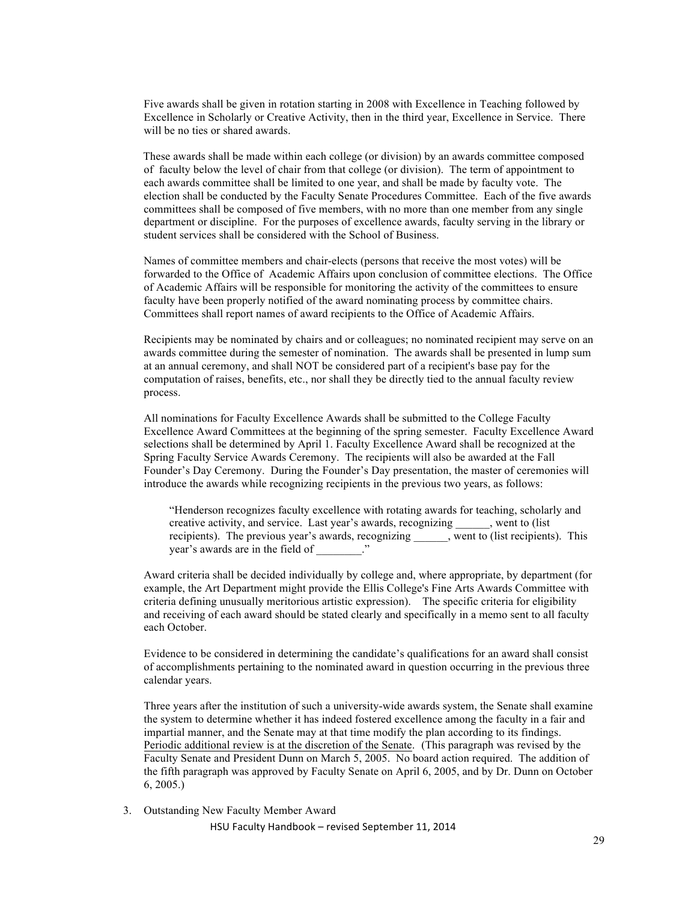Five awards shall be given in rotation starting in 2008 with Excellence in Teaching followed by Excellence in Scholarly or Creative Activity, then in the third year, Excellence in Service. There will be no ties or shared awards.

 These awards shall be made within each college (or division) by an awards committee composed of faculty below the level of chair from that college (or division). The term of appointment to each awards committee shall be limited to one year, and shall be made by faculty vote. The election shall be conducted by the Faculty Senate Procedures Committee. Each of the five awards committees shall be composed of five members, with no more than one member from any single department or discipline. For the purposes of excellence awards, faculty serving in the library or student services shall be considered with the School of Business.

Names of committee members and chair-elects (persons that receive the most votes) will be forwarded to the Office of Academic Affairs upon conclusion of committee elections. The Office of Academic Affairs will be responsible for monitoring the activity of the committees to ensure faculty have been properly notified of the award nominating process by committee chairs. Committees shall report names of award recipients to the Office of Academic Affairs.

Recipients may be nominated by chairs and or colleagues; no nominated recipient may serve on an awards committee during the semester of nomination. The awards shall be presented in lump sum at an annual ceremony, and shall NOT be considered part of a recipient's base pay for the computation of raises, benefits, etc., nor shall they be directly tied to the annual faculty review process.

All nominations for Faculty Excellence Awards shall be submitted to the College Faculty Excellence Award Committees at the beginning of the spring semester. Faculty Excellence Award selections shall be determined by April 1. Faculty Excellence Award shall be recognized at the Spring Faculty Service Awards Ceremony. The recipients will also be awarded at the Fall Founder's Day Ceremony. During the Founder's Day presentation, the master of ceremonies will introduce the awards while recognizing recipients in the previous two years, as follows:

"Henderson recognizes faculty excellence with rotating awards for teaching, scholarly and creative activity, and service. Last year's awards, recognizing \_\_\_\_\_\_, went to (list recipients). The previous year's awards, recognizing \_\_\_\_\_\_, went to (list recipients). This year's awards are in the field of \_\_\_\_\_\_\_\_."

Award criteria shall be decided individually by college and, where appropriate, by department (for example, the Art Department might provide the Ellis College's Fine Arts Awards Committee with criteria defining unusually meritorious artistic expression). The specific criteria for eligibility and receiving of each award should be stated clearly and specifically in a memo sent to all faculty each October.

Evidence to be considered in determining the candidate's qualifications for an award shall consist of accomplishments pertaining to the nominated award in question occurring in the previous three calendar years.

Three years after the institution of such a university-wide awards system, the Senate shall examine the system to determine whether it has indeed fostered excellence among the faculty in a fair and impartial manner, and the Senate may at that time modify the plan according to its findings. Periodic additional review is at the discretion of the Senate.(This paragraph was revised by the Faculty Senate and President Dunn on March 5, 2005. No board action required. The addition of the fifth paragraph was approved by Faculty Senate on April 6, 2005, and by Dr. Dunn on October 6, 2005.)

3. Outstanding New Faculty Member Award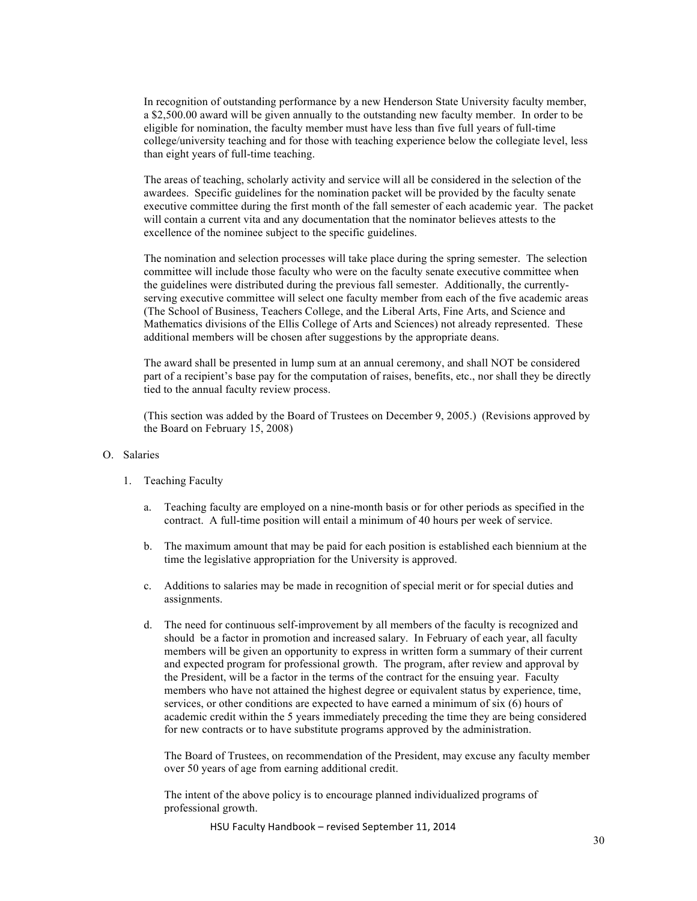In recognition of outstanding performance by a new Henderson State University faculty member, a \$2,500.00 award will be given annually to the outstanding new faculty member. In order to be eligible for nomination, the faculty member must have less than five full years of full-time college/university teaching and for those with teaching experience below the collegiate level, less than eight years of full-time teaching.

The areas of teaching, scholarly activity and service will all be considered in the selection of the awardees. Specific guidelines for the nomination packet will be provided by the faculty senate executive committee during the first month of the fall semester of each academic year. The packet will contain a current vita and any documentation that the nominator believes attests to the excellence of the nominee subject to the specific guidelines.

The nomination and selection processes will take place during the spring semester. The selection committee will include those faculty who were on the faculty senate executive committee when the guidelines were distributed during the previous fall semester. Additionally, the currentlyserving executive committee will select one faculty member from each of the five academic areas (The School of Business, Teachers College, and the Liberal Arts, Fine Arts, and Science and Mathematics divisions of the Ellis College of Arts and Sciences) not already represented. These additional members will be chosen after suggestions by the appropriate deans.

The award shall be presented in lump sum at an annual ceremony, and shall NOT be considered part of a recipient's base pay for the computation of raises, benefits, etc., nor shall they be directly tied to the annual faculty review process.

(This section was added by the Board of Trustees on December 9, 2005.) (Revisions approved by the Board on February 15, 2008)

#### O. Salaries

- 1. Teaching Faculty
	- a. Teaching faculty are employed on a nine-month basis or for other periods as specified in the contract. A full-time position will entail a minimum of 40 hours per week of service.
	- b. The maximum amount that may be paid for each position is established each biennium at the time the legislative appropriation for the University is approved.
	- c. Additions to salaries may be made in recognition of special merit or for special duties and assignments.
	- d. The need for continuous self-improvement by all members of the faculty is recognized and should be a factor in promotion and increased salary. In February of each year, all faculty members will be given an opportunity to express in written form a summary of their current and expected program for professional growth. The program, after review and approval by the President, will be a factor in the terms of the contract for the ensuing year. Faculty members who have not attained the highest degree or equivalent status by experience, time, services, or other conditions are expected to have earned a minimum of six (6) hours of academic credit within the 5 years immediately preceding the time they are being considered for new contracts or to have substitute programs approved by the administration.

The Board of Trustees, on recommendation of the President, may excuse any faculty member over 50 years of age from earning additional credit.

The intent of the above policy is to encourage planned individualized programs of professional growth.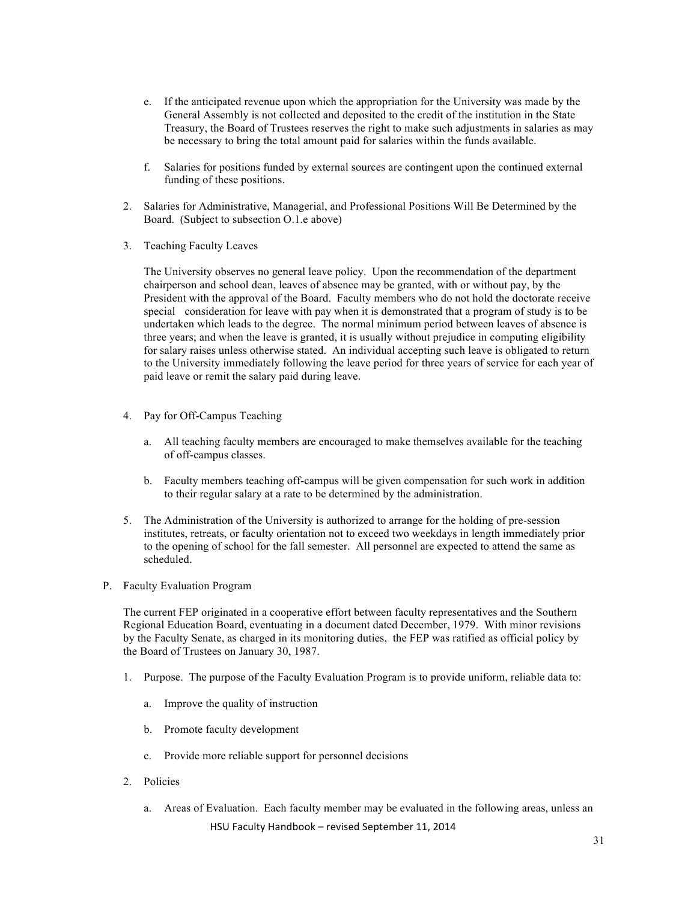- e. If the anticipated revenue upon which the appropriation for the University was made by the General Assembly is not collected and deposited to the credit of the institution in the State Treasury, the Board of Trustees reserves the right to make such adjustments in salaries as may be necessary to bring the total amount paid for salaries within the funds available.
- f. Salaries for positions funded by external sources are contingent upon the continued external funding of these positions.
- 2. Salaries for Administrative, Managerial, and Professional Positions Will Be Determined by the Board. (Subject to subsection O.1.e above)
- 3. Teaching Faculty Leaves

The University observes no general leave policy. Upon the recommendation of the department chairperson and school dean, leaves of absence may be granted, with or without pay, by the President with the approval of the Board. Faculty members who do not hold the doctorate receive special consideration for leave with pay when it is demonstrated that a program of study is to be undertaken which leads to the degree. The normal minimum period between leaves of absence is three years; and when the leave is granted, it is usually without prejudice in computing eligibility for salary raises unless otherwise stated. An individual accepting such leave is obligated to return to the University immediately following the leave period for three years of service for each year of paid leave or remit the salary paid during leave.

- 4. Pay for Off-Campus Teaching
	- a. All teaching faculty members are encouraged to make themselves available for the teaching of off-campus classes.
	- b. Faculty members teaching off-campus will be given compensation for such work in addition to their regular salary at a rate to be determined by the administration.
- 5. The Administration of the University is authorized to arrange for the holding of pre-session institutes, retreats, or faculty orientation not to exceed two weekdays in length immediately prior to the opening of school for the fall semester. All personnel are expected to attend the same as scheduled.
- P. Faculty Evaluation Program

The current FEP originated in a cooperative effort between faculty representatives and the Southern Regional Education Board, eventuating in a document dated December, 1979. With minor revisions by the Faculty Senate, as charged in its monitoring duties, the FEP was ratified as official policy by the Board of Trustees on January 30, 1987.

- 1. Purpose. The purpose of the Faculty Evaluation Program is to provide uniform, reliable data to:
	- a. Improve the quality of instruction
	- b. Promote faculty development
	- c. Provide more reliable support for personnel decisions
- 2. Policies
	- HSU Faculty Handbook revised September 11, 2014 a. Areas of Evaluation. Each faculty member may be evaluated in the following areas, unless an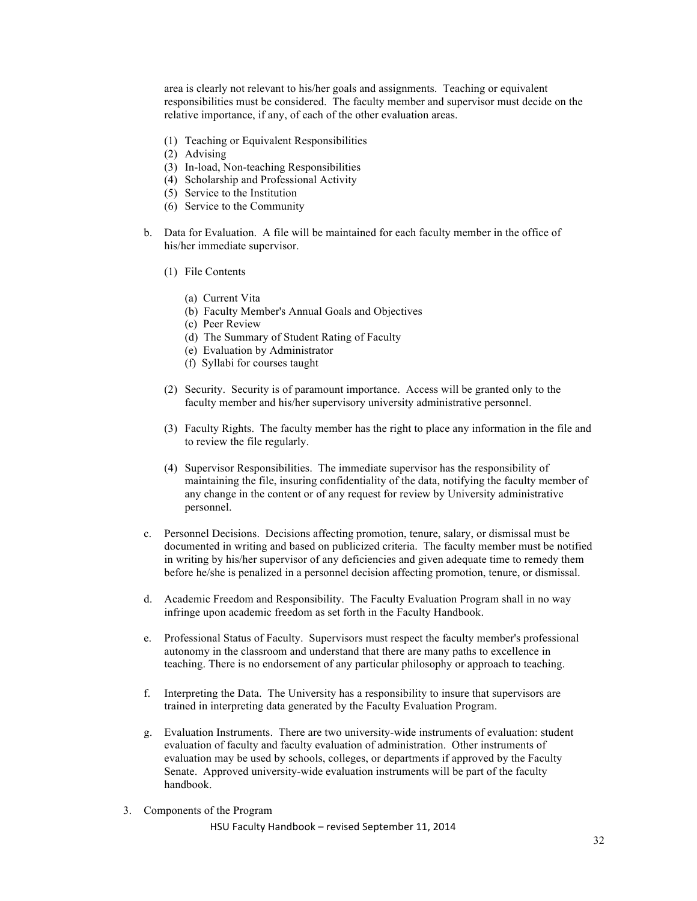area is clearly not relevant to his/her goals and assignments. Teaching or equivalent responsibilities must be considered. The faculty member and supervisor must decide on the relative importance, if any, of each of the other evaluation areas.

- (1) Teaching or Equivalent Responsibilities
- (2) Advising
- (3) In-load, Non-teaching Responsibilities
- (4) Scholarship and Professional Activity
- (5) Service to the Institution
- (6) Service to the Community
- b. Data for Evaluation. A file will be maintained for each faculty member in the office of his/her immediate supervisor.
	- (1) File Contents
		- (a) Current Vita
		- (b) Faculty Member's Annual Goals and Objectives
		- (c) Peer Review
		- (d) The Summary of Student Rating of Faculty
		- (e) Evaluation by Administrator
		- (f) Syllabi for courses taught
	- (2) Security. Security is of paramount importance. Access will be granted only to the faculty member and his/her supervisory university administrative personnel.
	- (3) Faculty Rights. The faculty member has the right to place any information in the file and to review the file regularly.
	- (4) Supervisor Responsibilities. The immediate supervisor has the responsibility of maintaining the file, insuring confidentiality of the data, notifying the faculty member of any change in the content or of any request for review by University administrative personnel.
- c. Personnel Decisions. Decisions affecting promotion, tenure, salary, or dismissal must be documented in writing and based on publicized criteria. The faculty member must be notified in writing by his/her supervisor of any deficiencies and given adequate time to remedy them before he/she is penalized in a personnel decision affecting promotion, tenure, or dismissal.
- d. Academic Freedom and Responsibility. The Faculty Evaluation Program shall in no way infringe upon academic freedom as set forth in the Faculty Handbook.
- e. Professional Status of Faculty. Supervisors must respect the faculty member's professional autonomy in the classroom and understand that there are many paths to excellence in teaching. There is no endorsement of any particular philosophy or approach to teaching.
- f. Interpreting the Data. The University has a responsibility to insure that supervisors are trained in interpreting data generated by the Faculty Evaluation Program.
- g. Evaluation Instruments. There are two university-wide instruments of evaluation: student evaluation of faculty and faculty evaluation of administration. Other instruments of evaluation may be used by schools, colleges, or departments if approved by the Faculty Senate. Approved university-wide evaluation instruments will be part of the faculty handbook.
- 3. Components of the Program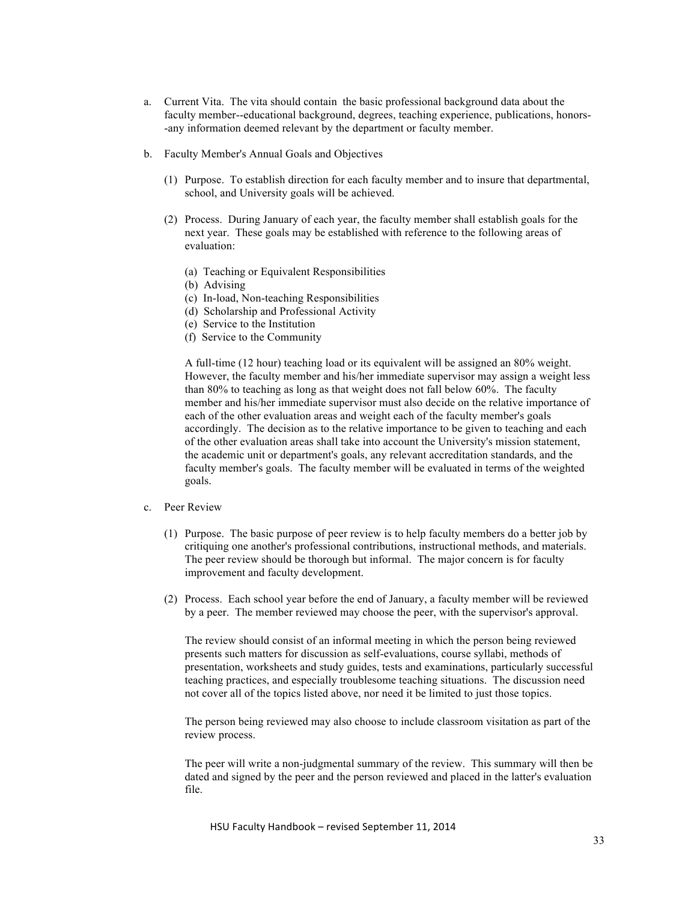- a. Current Vita. The vita should contain the basic professional background data about the faculty member--educational background, degrees, teaching experience, publications, honors- -any information deemed relevant by the department or faculty member.
- b. Faculty Member's Annual Goals and Objectives
	- (1) Purpose. To establish direction for each faculty member and to insure that departmental, school, and University goals will be achieved.
	- (2) Process. During January of each year, the faculty member shall establish goals for the next year. These goals may be established with reference to the following areas of evaluation:
		- (a) Teaching or Equivalent Responsibilities
		- (b) Advising
		- (c) In-load, Non-teaching Responsibilities
		- (d) Scholarship and Professional Activity
		- (e) Service to the Institution
		- (f) Service to the Community

A full-time (12 hour) teaching load or its equivalent will be assigned an 80% weight. However, the faculty member and his/her immediate supervisor may assign a weight less than 80% to teaching as long as that weight does not fall below 60%. The faculty member and his/her immediate supervisor must also decide on the relative importance of each of the other evaluation areas and weight each of the faculty member's goals accordingly. The decision as to the relative importance to be given to teaching and each of the other evaluation areas shall take into account the University's mission statement, the academic unit or department's goals, any relevant accreditation standards, and the faculty member's goals. The faculty member will be evaluated in terms of the weighted goals.

#### c. Peer Review

- (1) Purpose. The basic purpose of peer review is to help faculty members do a better job by critiquing one another's professional contributions, instructional methods, and materials. The peer review should be thorough but informal. The major concern is for faculty improvement and faculty development.
- (2) Process. Each school year before the end of January, a faculty member will be reviewed by a peer. The member reviewed may choose the peer, with the supervisor's approval.

The review should consist of an informal meeting in which the person being reviewed presents such matters for discussion as self-evaluations, course syllabi, methods of presentation, worksheets and study guides, tests and examinations, particularly successful teaching practices, and especially troublesome teaching situations. The discussion need not cover all of the topics listed above, nor need it be limited to just those topics.

The person being reviewed may also choose to include classroom visitation as part of the review process.

The peer will write a non-judgmental summary of the review. This summary will then be dated and signed by the peer and the person reviewed and placed in the latter's evaluation file.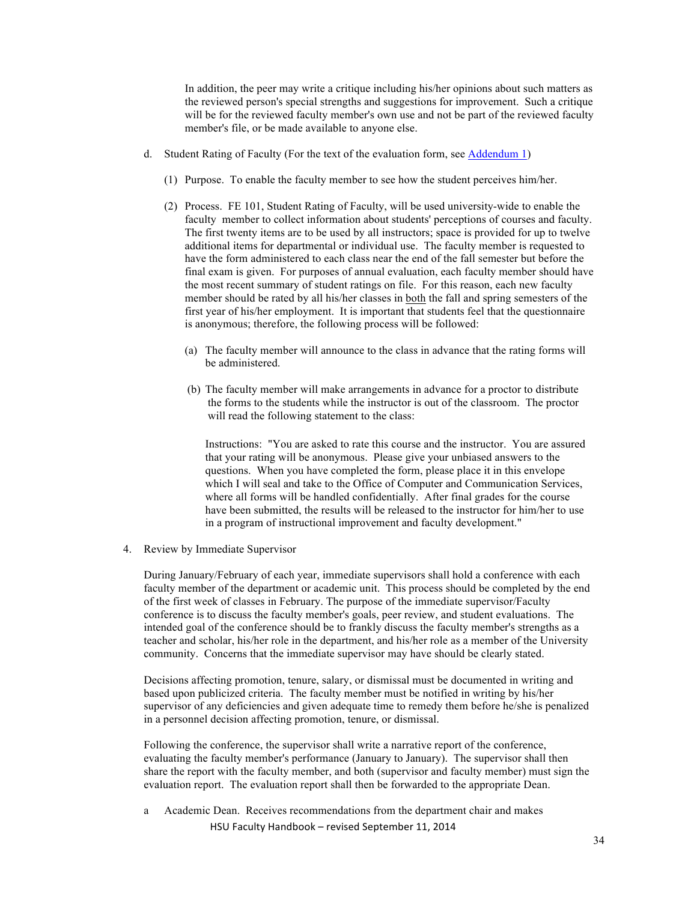In addition, the peer may write a critique including his/her opinions about such matters as the reviewed person's special strengths and suggestions for improvement. Such a critique will be for the reviewed faculty member's own use and not be part of the reviewed faculty member's file, or be made available to anyone else.

- d. Student Rating of Faculty (For the text of the evaluation form, see Addendum 1)
	- (1) Purpose. To enable the faculty member to see how the student perceives him/her.
	- (2) Process. FE 101, Student Rating of Faculty, will be used university-wide to enable the faculty member to collect information about students' perceptions of courses and faculty. The first twenty items are to be used by all instructors; space is provided for up to twelve additional items for departmental or individual use. The faculty member is requested to have the form administered to each class near the end of the fall semester but before the final exam is given. For purposes of annual evaluation, each faculty member should have the most recent summary of student ratings on file. For this reason, each new faculty member should be rated by all his/her classes in both the fall and spring semesters of the first year of his/her employment. It is important that students feel that the questionnaire is anonymous; therefore, the following process will be followed:
		- (a) The faculty member will announce to the class in advance that the rating forms will be administered.
		- (b) The faculty member will make arrangements in advance for a proctor to distribute the forms to the students while the instructor is out of the classroom. The proctor will read the following statement to the class:

Instructions: "You are asked to rate this course and the instructor. You are assured that your rating will be anonymous. Please give your unbiased answers to the questions. When you have completed the form, please place it in this envelope which I will seal and take to the Office of Computer and Communication Services, where all forms will be handled confidentially. After final grades for the course have been submitted, the results will be released to the instructor for him/her to use in a program of instructional improvement and faculty development."

4. Review by Immediate Supervisor

During January/February of each year, immediate supervisors shall hold a conference with each faculty member of the department or academic unit. This process should be completed by the end of the first week of classes in February. The purpose of the immediate supervisor/Faculty conference is to discuss the faculty member's goals, peer review, and student evaluations. The intended goal of the conference should be to frankly discuss the faculty member's strengths as a teacher and scholar, his/her role in the department, and his/her role as a member of the University community. Concerns that the immediate supervisor may have should be clearly stated.

Decisions affecting promotion, tenure, salary, or dismissal must be documented in writing and based upon publicized criteria. The faculty member must be notified in writing by his/her supervisor of any deficiencies and given adequate time to remedy them before he/she is penalized in a personnel decision affecting promotion, tenure, or dismissal.

Following the conference, the supervisor shall write a narrative report of the conference, evaluating the faculty member's performance (January to January). The supervisor shall then share the report with the faculty member, and both (supervisor and faculty member) must sign the evaluation report. The evaluation report shall then be forwarded to the appropriate Dean.

HSU Faculty Handbook - revised September 11, 2014 a Academic Dean. Receives recommendations from the department chair and makes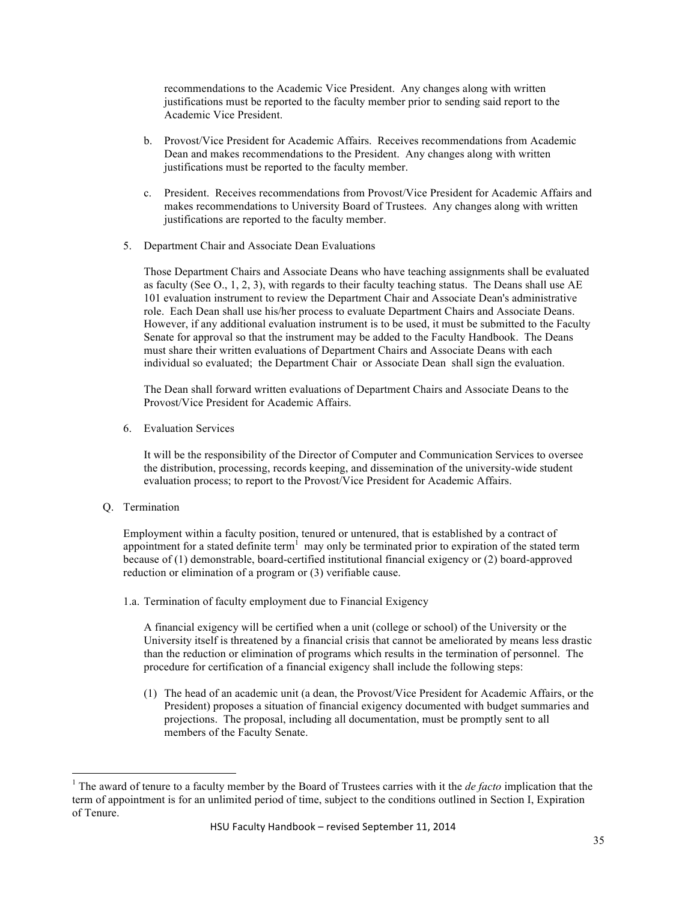recommendations to the Academic Vice President. Any changes along with written justifications must be reported to the faculty member prior to sending said report to the Academic Vice President.

- b. Provost/Vice President for Academic Affairs. Receives recommendations from Academic Dean and makes recommendations to the President. Any changes along with written justifications must be reported to the faculty member.
- c. President. Receives recommendations from Provost/Vice President for Academic Affairs and makes recommendations to University Board of Trustees. Any changes along with written justifications are reported to the faculty member.
- 5. Department Chair and Associate Dean Evaluations

Those Department Chairs and Associate Deans who have teaching assignments shall be evaluated as faculty (See O., 1, 2, 3), with regards to their faculty teaching status. The Deans shall use AE 101 evaluation instrument to review the Department Chair and Associate Dean's administrative role. Each Dean shall use his/her process to evaluate Department Chairs and Associate Deans. However, if any additional evaluation instrument is to be used, it must be submitted to the Faculty Senate for approval so that the instrument may be added to the Faculty Handbook. The Deans must share their written evaluations of Department Chairs and Associate Deans with each individual so evaluated; the Department Chair or Associate Dean shall sign the evaluation.

The Dean shall forward written evaluations of Department Chairs and Associate Deans to the Provost/Vice President for Academic Affairs.

6. Evaluation Services

It will be the responsibility of the Director of Computer and Communication Services to oversee the distribution, processing, records keeping, and dissemination of the university-wide student evaluation process; to report to the Provost/Vice President for Academic Affairs.

Q. Termination

Employment within a faculty position, tenured or untenured, that is established by a contract of appointment for a stated definite term<sup>1</sup> may only be terminated prior to expiration of the stated term because of (1) demonstrable, board-certified institutional financial exigency or (2) board-approved reduction or elimination of a program or (3) verifiable cause.

1.a. Termination of faculty employment due to Financial Exigency

A financial exigency will be certified when a unit (college or school) of the University or the University itself is threatened by a financial crisis that cannot be ameliorated by means less drastic than the reduction or elimination of programs which results in the termination of personnel. The procedure for certification of a financial exigency shall include the following steps:

(1) The head of an academic unit (a dean, the Provost/Vice President for Academic Affairs, or the President) proposes a situation of financial exigency documented with budget summaries and projections. The proposal, including all documentation, must be promptly sent to all members of the Faculty Senate.

 <sup>1</sup> The award of tenure to a faculty member by the Board of Trustees carries with it the *de facto* implication that the term of appointment is for an unlimited period of time, subject to the conditions outlined in Section I, Expiration of Tenure.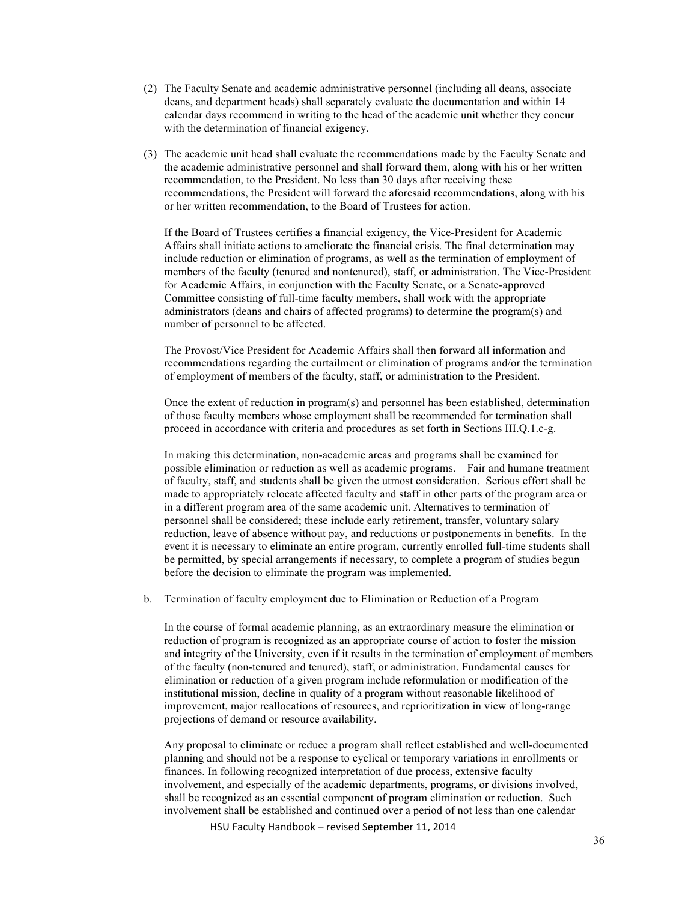- (2) The Faculty Senate and academic administrative personnel (including all deans, associate deans, and department heads) shall separately evaluate the documentation and within 14 calendar days recommend in writing to the head of the academic unit whether they concur with the determination of financial exigency.
- (3) The academic unit head shall evaluate the recommendations made by the Faculty Senate and the academic administrative personnel and shall forward them, along with his or her written recommendation, to the President. No less than 30 days after receiving these recommendations, the President will forward the aforesaid recommendations, along with his or her written recommendation, to the Board of Trustees for action.

If the Board of Trustees certifies a financial exigency, the Vice-President for Academic Affairs shall initiate actions to ameliorate the financial crisis. The final determination may include reduction or elimination of programs, as well as the termination of employment of members of the faculty (tenured and nontenured), staff, or administration. The Vice-President for Academic Affairs, in conjunction with the Faculty Senate, or a Senate-approved Committee consisting of full-time faculty members, shall work with the appropriate administrators (deans and chairs of affected programs) to determine the program(s) and number of personnel to be affected.

The Provost/Vice President for Academic Affairs shall then forward all information and recommendations regarding the curtailment or elimination of programs and/or the termination of employment of members of the faculty, staff, or administration to the President.

Once the extent of reduction in program(s) and personnel has been established, determination of those faculty members whose employment shall be recommended for termination shall proceed in accordance with criteria and procedures as set forth in Sections III.Q.1.c-g.

In making this determination, non-academic areas and programs shall be examined for possible elimination or reduction as well as academic programs. Fair and humane treatment of faculty, staff, and students shall be given the utmost consideration. Serious effort shall be made to appropriately relocate affected faculty and staff in other parts of the program area or in a different program area of the same academic unit. Alternatives to termination of personnel shall be considered; these include early retirement, transfer, voluntary salary reduction, leave of absence without pay, and reductions or postponements in benefits. In the event it is necessary to eliminate an entire program, currently enrolled full-time students shall be permitted, by special arrangements if necessary, to complete a program of studies begun before the decision to eliminate the program was implemented.

b. Termination of faculty employment due to Elimination or Reduction of a Program

In the course of formal academic planning, as an extraordinary measure the elimination or reduction of program is recognized as an appropriate course of action to foster the mission and integrity of the University, even if it results in the termination of employment of members of the faculty (non-tenured and tenured), staff, or administration. Fundamental causes for elimination or reduction of a given program include reformulation or modification of the institutional mission, decline in quality of a program without reasonable likelihood of improvement, major reallocations of resources, and reprioritization in view of long-range projections of demand or resource availability.

Any proposal to eliminate or reduce a program shall reflect established and well-documented planning and should not be a response to cyclical or temporary variations in enrollments or finances. In following recognized interpretation of due process, extensive faculty involvement, and especially of the academic departments, programs, or divisions involved, shall be recognized as an essential component of program elimination or reduction. Such involvement shall be established and continued over a period of not less than one calendar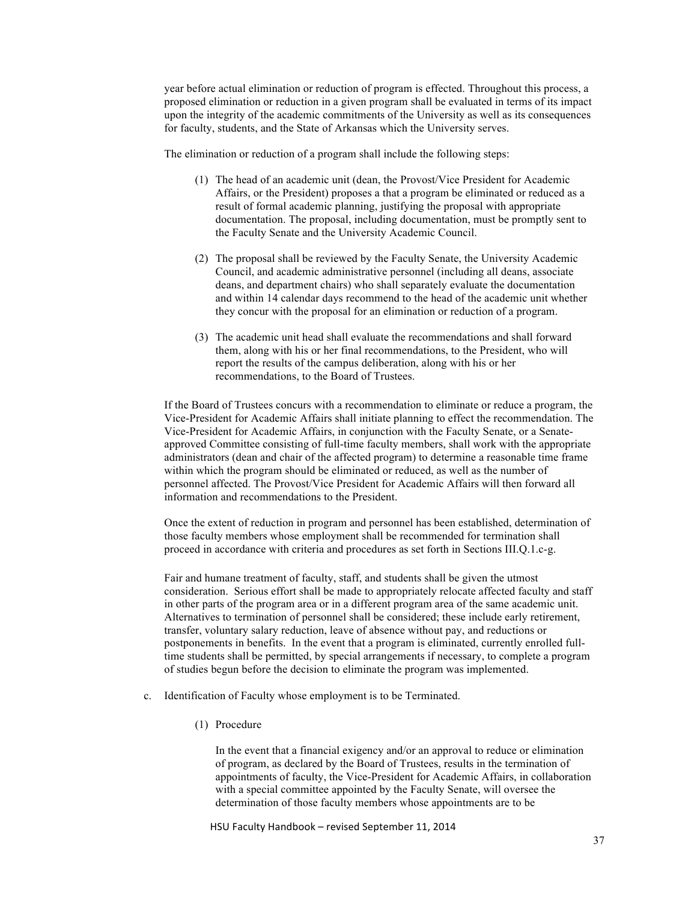year before actual elimination or reduction of program is effected. Throughout this process, a proposed elimination or reduction in a given program shall be evaluated in terms of its impact upon the integrity of the academic commitments of the University as well as its consequences for faculty, students, and the State of Arkansas which the University serves.

The elimination or reduction of a program shall include the following steps:

- (1) The head of an academic unit (dean, the Provost/Vice President for Academic Affairs, or the President) proposes a that a program be eliminated or reduced as a result of formal academic planning, justifying the proposal with appropriate documentation. The proposal, including documentation, must be promptly sent to the Faculty Senate and the University Academic Council.
- (2) The proposal shall be reviewed by the Faculty Senate, the University Academic Council, and academic administrative personnel (including all deans, associate deans, and department chairs) who shall separately evaluate the documentation and within 14 calendar days recommend to the head of the academic unit whether they concur with the proposal for an elimination or reduction of a program.
- (3) The academic unit head shall evaluate the recommendations and shall forward them, along with his or her final recommendations, to the President, who will report the results of the campus deliberation, along with his or her recommendations, to the Board of Trustees.

If the Board of Trustees concurs with a recommendation to eliminate or reduce a program, the Vice-President for Academic Affairs shall initiate planning to effect the recommendation. The Vice-President for Academic Affairs, in conjunction with the Faculty Senate, or a Senateapproved Committee consisting of full-time faculty members, shall work with the appropriate administrators (dean and chair of the affected program) to determine a reasonable time frame within which the program should be eliminated or reduced, as well as the number of personnel affected. The Provost/Vice President for Academic Affairs will then forward all information and recommendations to the President.

Once the extent of reduction in program and personnel has been established, determination of those faculty members whose employment shall be recommended for termination shall proceed in accordance with criteria and procedures as set forth in Sections III.Q.1.c-g.

Fair and humane treatment of faculty, staff, and students shall be given the utmost consideration. Serious effort shall be made to appropriately relocate affected faculty and staff in other parts of the program area or in a different program area of the same academic unit. Alternatives to termination of personnel shall be considered; these include early retirement, transfer, voluntary salary reduction, leave of absence without pay, and reductions or postponements in benefits. In the event that a program is eliminated, currently enrolled fulltime students shall be permitted, by special arrangements if necessary, to complete a program of studies begun before the decision to eliminate the program was implemented.

- c. Identification of Faculty whose employment is to be Terminated.
	- (1) Procedure

In the event that a financial exigency and/or an approval to reduce or elimination of program, as declared by the Board of Trustees, results in the termination of appointments of faculty, the Vice-President for Academic Affairs, in collaboration with a special committee appointed by the Faculty Senate, will oversee the determination of those faculty members whose appointments are to be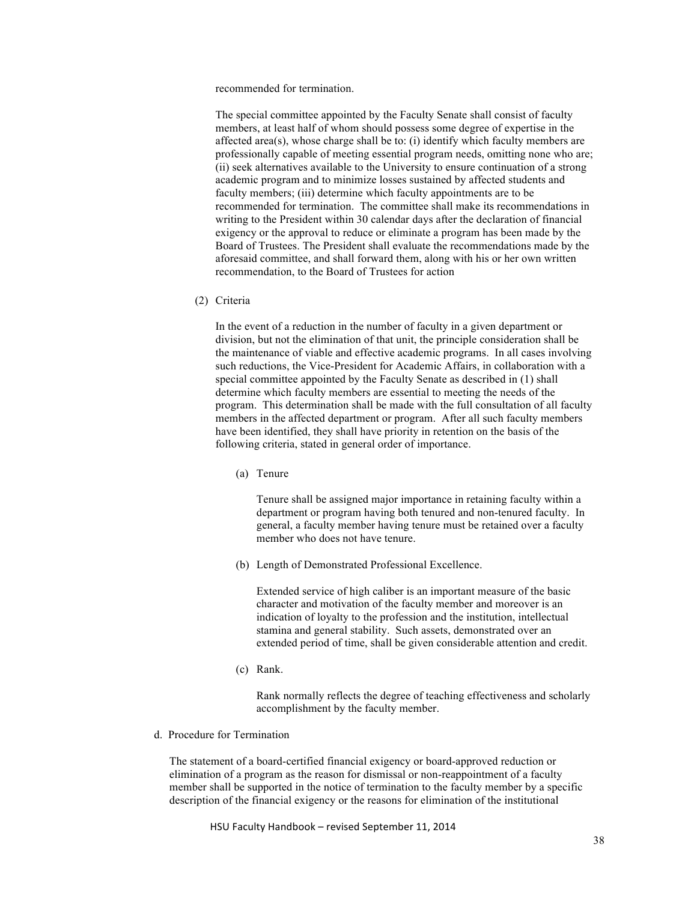recommended for termination.

The special committee appointed by the Faculty Senate shall consist of faculty members, at least half of whom should possess some degree of expertise in the affected area(s), whose charge shall be to: (i) identify which faculty members are professionally capable of meeting essential program needs, omitting none who are; (ii) seek alternatives available to the University to ensure continuation of a strong academic program and to minimize losses sustained by affected students and faculty members; (iii) determine which faculty appointments are to be recommended for termination. The committee shall make its recommendations in writing to the President within 30 calendar days after the declaration of financial exigency or the approval to reduce or eliminate a program has been made by the Board of Trustees. The President shall evaluate the recommendations made by the aforesaid committee, and shall forward them, along with his or her own written recommendation, to the Board of Trustees for action

(2) Criteria

In the event of a reduction in the number of faculty in a given department or division, but not the elimination of that unit, the principle consideration shall be the maintenance of viable and effective academic programs. In all cases involving such reductions, the Vice-President for Academic Affairs, in collaboration with a special committee appointed by the Faculty Senate as described in (1) shall determine which faculty members are essential to meeting the needs of the program. This determination shall be made with the full consultation of all faculty members in the affected department or program. After all such faculty members have been identified, they shall have priority in retention on the basis of the following criteria, stated in general order of importance.

(a) Tenure

Tenure shall be assigned major importance in retaining faculty within a department or program having both tenured and non-tenured faculty. In general, a faculty member having tenure must be retained over a faculty member who does not have tenure.

(b) Length of Demonstrated Professional Excellence.

Extended service of high caliber is an important measure of the basic character and motivation of the faculty member and moreover is an indication of loyalty to the profession and the institution, intellectual stamina and general stability. Such assets, demonstrated over an extended period of time, shall be given considerable attention and credit.

(c) Rank.

Rank normally reflects the degree of teaching effectiveness and scholarly accomplishment by the faculty member.

d. Procedure for Termination

The statement of a board-certified financial exigency or board-approved reduction or elimination of a program as the reason for dismissal or non-reappointment of a faculty member shall be supported in the notice of termination to the faculty member by a specific description of the financial exigency or the reasons for elimination of the institutional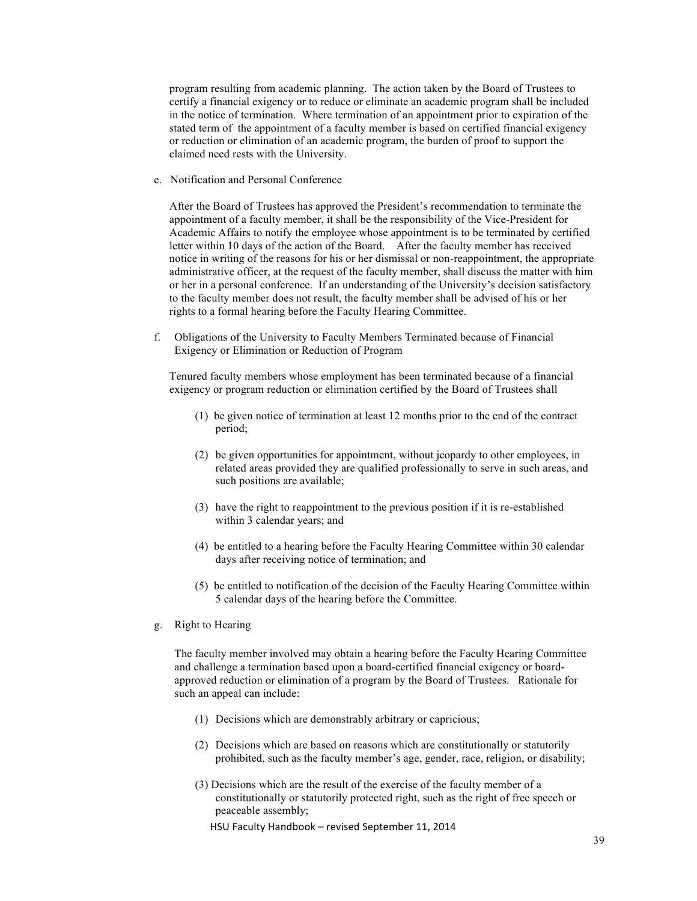program resulting from academic planning. The action taken by the Board of Trustees to certify a financial exigency or to reduce or eliminate an academic program shall be included in the notice of termination. Where termination of an appointment prior to expiration of the stated term of the appointment of a faculty member is based on certified financial exigency or reduction or elimination of an academic program, the burden of proof to support the claimed need rests with the University.

e. Notification and Personal Conference

After the Board of Trustees has approved the President's recommendation to terminate the appointment of a faculty member, it shall be the responsibility of the Vice-President for Academic Affairs to notify the employee whose appointment is to be terminated by certified letter within 10 days of the action of the Board. After the faculty member has received notice in writing of the reasons for his or her dismissal or non-reappointment, the appropriate administrative officer, at the request of the faculty member, shall discuss the matter with him or her in a personal conference. If an understanding of the University's decision satisfactory to the faculty member does not result, the faculty member shall be advised of his or her rights to a formal hearing before the Faculty Hearing Committee.

f. Obligations of the University to Faculty Members Terminated because of Financial Exigency or Elimination or Reduction of Program

Tenured faculty members whose employment has been terminated because of a financial exigency or program reduction or elimination certified by the Board of Trustees shall

- (1) be given notice of termination at least 12 months prior to the end of the contract period;
- (2) be given opportunities for appointment, without jeopardy to other employees, in related areas provided they are qualified professionally to serve in such areas, and such positions are available;
- (3) have the right to reappointment to the previous position if it is re-established within 3 calendar years; and
- (4) be entitled to a hearing before the Faculty Hearing Committee within 30 calendar days after receiving notice of termination; and
- (5) be entitled to notification of the decision of the Faculty Hearing Committee within 5 calendar days of the hearing before the Committee.
- g. Right to Hearing

The faculty member involved may obtain a hearing before the Faculty Hearing Committee and challenge a termination based upon a board-certified financial exigency or boardapproved reduction or elimination of a program by the Board of Trustees. Rationale for such an appeal can include:

- (1) Decisions which are demonstrably arbitrary or capricious;
- (2) Decisions which are based on reasons which are constitutionally or statutorily prohibited, such as the faculty member's age, gender, race, religion, or disability;
- (3) Decisions which are the result of the exercise of the faculty member of a constitutionally or statutorily protected right, such as the right of free speech or peaceable assembly;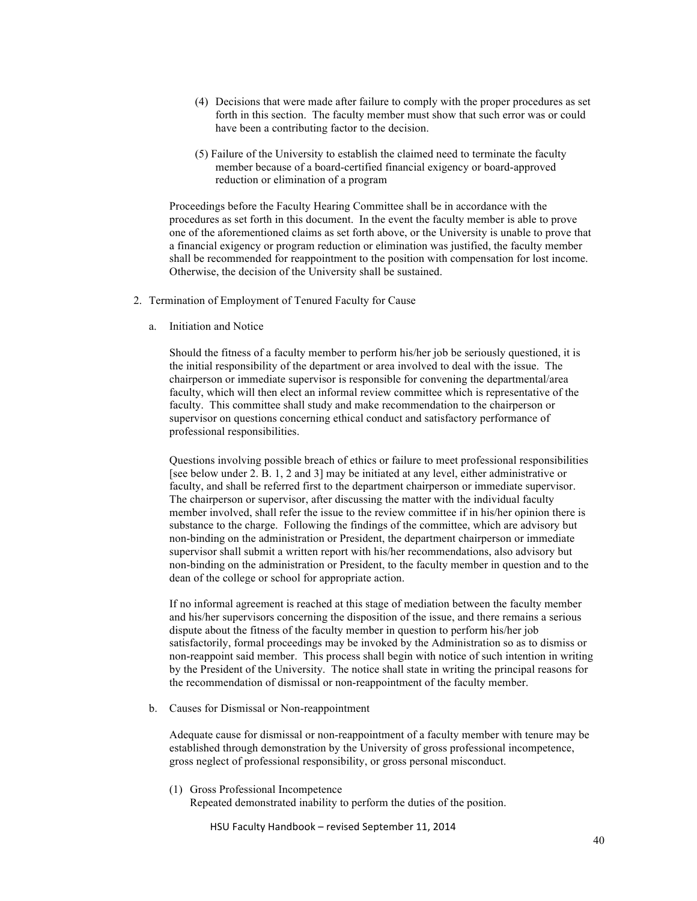- (4) Decisions that were made after failure to comply with the proper procedures as set forth in this section. The faculty member must show that such error was or could have been a contributing factor to the decision.
- (5) Failure of the University to establish the claimed need to terminate the faculty member because of a board-certified financial exigency or board-approved reduction or elimination of a program

Proceedings before the Faculty Hearing Committee shall be in accordance with the procedures as set forth in this document. In the event the faculty member is able to prove one of the aforementioned claims as set forth above, or the University is unable to prove that a financial exigency or program reduction or elimination was justified, the faculty member shall be recommended for reappointment to the position with compensation for lost income. Otherwise, the decision of the University shall be sustained.

- 2. Termination of Employment of Tenured Faculty for Cause
	- a. Initiation and Notice

Should the fitness of a faculty member to perform his/her job be seriously questioned, it is the initial responsibility of the department or area involved to deal with the issue. The chairperson or immediate supervisor is responsible for convening the departmental/area faculty, which will then elect an informal review committee which is representative of the faculty. This committee shall study and make recommendation to the chairperson or supervisor on questions concerning ethical conduct and satisfactory performance of professional responsibilities.

Questions involving possible breach of ethics or failure to meet professional responsibilities [see below under 2. B. 1, 2 and 3] may be initiated at any level, either administrative or faculty, and shall be referred first to the department chairperson or immediate supervisor. The chairperson or supervisor, after discussing the matter with the individual faculty member involved, shall refer the issue to the review committee if in his/her opinion there is substance to the charge. Following the findings of the committee, which are advisory but non-binding on the administration or President, the department chairperson or immediate supervisor shall submit a written report with his/her recommendations, also advisory but non-binding on the administration or President, to the faculty member in question and to the dean of the college or school for appropriate action.

If no informal agreement is reached at this stage of mediation between the faculty member and his/her supervisors concerning the disposition of the issue, and there remains a serious dispute about the fitness of the faculty member in question to perform his/her job satisfactorily, formal proceedings may be invoked by the Administration so as to dismiss or non-reappoint said member. This process shall begin with notice of such intention in writing by the President of the University. The notice shall state in writing the principal reasons for the recommendation of dismissal or non-reappointment of the faculty member.

b. Causes for Dismissal or Non-reappointment

Adequate cause for dismissal or non-reappointment of a faculty member with tenure may be established through demonstration by the University of gross professional incompetence, gross neglect of professional responsibility, or gross personal misconduct.

(1) Gross Professional Incompetence

Repeated demonstrated inability to perform the duties of the position.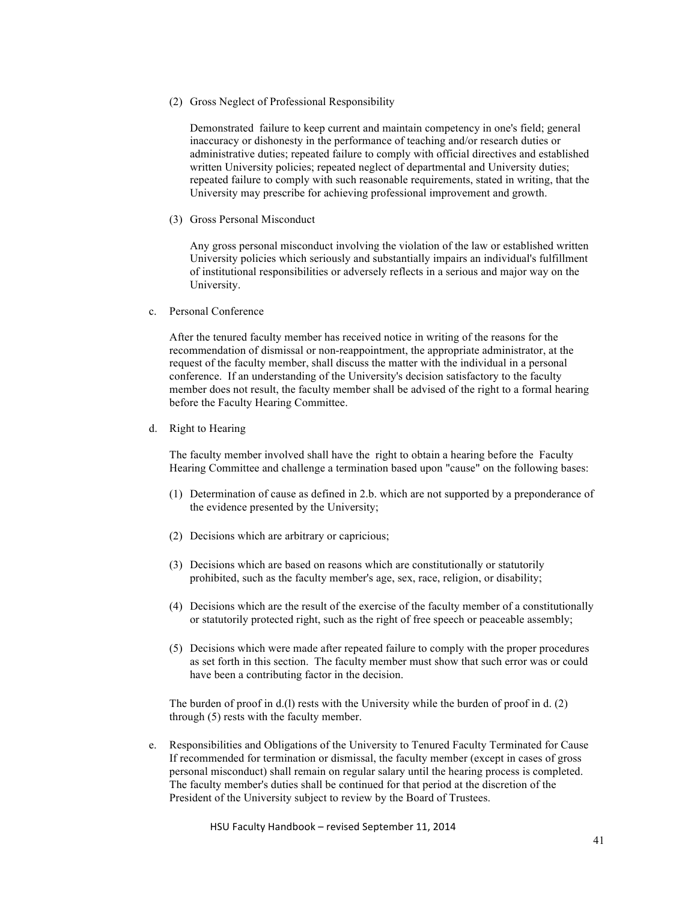(2) Gross Neglect of Professional Responsibility

Demonstrated failure to keep current and maintain competency in one's field; general inaccuracy or dishonesty in the performance of teaching and/or research duties or administrative duties; repeated failure to comply with official directives and established written University policies; repeated neglect of departmental and University duties; repeated failure to comply with such reasonable requirements, stated in writing, that the University may prescribe for achieving professional improvement and growth.

(3) Gross Personal Misconduct

Any gross personal misconduct involving the violation of the law or established written University policies which seriously and substantially impairs an individual's fulfillment of institutional responsibilities or adversely reflects in a serious and major way on the University.

c. Personal Conference

After the tenured faculty member has received notice in writing of the reasons for the recommendation of dismissal or non-reappointment, the appropriate administrator, at the request of the faculty member, shall discuss the matter with the individual in a personal conference. If an understanding of the University's decision satisfactory to the faculty member does not result, the faculty member shall be advised of the right to a formal hearing before the Faculty Hearing Committee.

d. Right to Hearing

The faculty member involved shall have the right to obtain a hearing before the Faculty Hearing Committee and challenge a termination based upon "cause" on the following bases:

- (1) Determination of cause as defined in 2.b. which are not supported by a preponderance of the evidence presented by the University;
- (2) Decisions which are arbitrary or capricious;
- (3) Decisions which are based on reasons which are constitutionally or statutorily prohibited, such as the faculty member's age, sex, race, religion, or disability;
- (4) Decisions which are the result of the exercise of the faculty member of a constitutionally or statutorily protected right, such as the right of free speech or peaceable assembly;
- (5) Decisions which were made after repeated failure to comply with the proper procedures as set forth in this section. The faculty member must show that such error was or could have been a contributing factor in the decision.

The burden of proof in d.(l) rests with the University while the burden of proof in d. (2) through (5) rests with the faculty member.

e. Responsibilities and Obligations of the University to Tenured Faculty Terminated for Cause If recommended for termination or dismissal, the faculty member (except in cases of gross personal misconduct) shall remain on regular salary until the hearing process is completed. The faculty member's duties shall be continued for that period at the discretion of the President of the University subject to review by the Board of Trustees.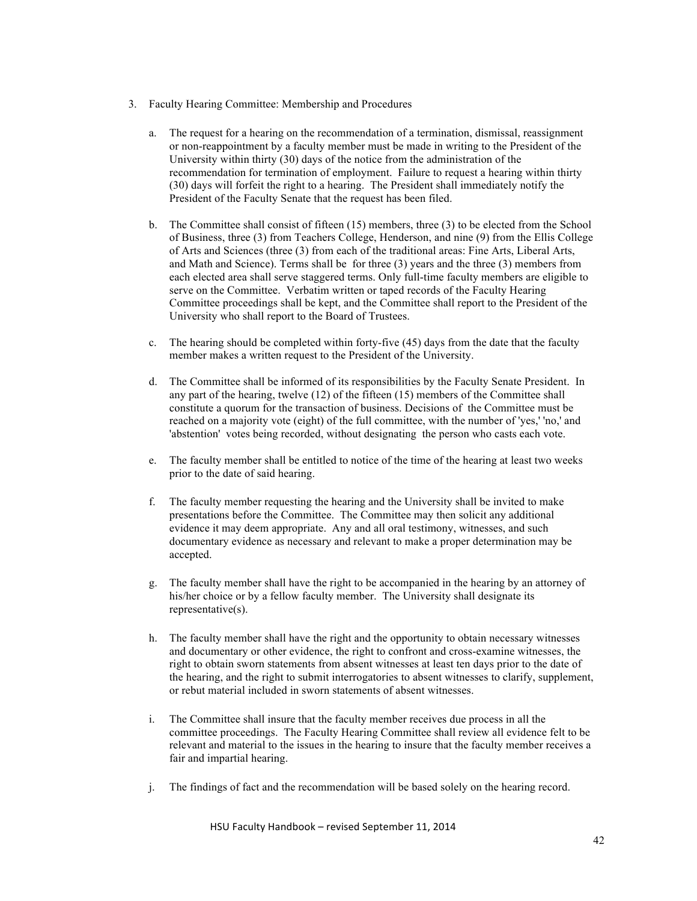- 3. Faculty Hearing Committee: Membership and Procedures
	- a. The request for a hearing on the recommendation of a termination, dismissal, reassignment or non-reappointment by a faculty member must be made in writing to the President of the University within thirty (30) days of the notice from the administration of the recommendation for termination of employment. Failure to request a hearing within thirty (30) days will forfeit the right to a hearing. The President shall immediately notify the President of the Faculty Senate that the request has been filed.
	- b. The Committee shall consist of fifteen (15) members, three (3) to be elected from the School of Business, three (3) from Teachers College, Henderson, and nine (9) from the Ellis College of Arts and Sciences (three (3) from each of the traditional areas: Fine Arts, Liberal Arts, and Math and Science). Terms shall be for three (3) years and the three (3) members from each elected area shall serve staggered terms. Only full-time faculty members are eligible to serve on the Committee. Verbatim written or taped records of the Faculty Hearing Committee proceedings shall be kept, and the Committee shall report to the President of the University who shall report to the Board of Trustees.
	- c. The hearing should be completed within forty-five (45) days from the date that the faculty member makes a written request to the President of the University.
	- d. The Committee shall be informed of its responsibilities by the Faculty Senate President. In any part of the hearing, twelve (12) of the fifteen (15) members of the Committee shall constitute a quorum for the transaction of business. Decisions of the Committee must be reached on a majority vote (eight) of the full committee, with the number of 'yes,' 'no,' and 'abstention' votes being recorded, without designating the person who casts each vote.
	- e. The faculty member shall be entitled to notice of the time of the hearing at least two weeks prior to the date of said hearing.
	- f. The faculty member requesting the hearing and the University shall be invited to make presentations before the Committee. The Committee may then solicit any additional evidence it may deem appropriate. Any and all oral testimony, witnesses, and such documentary evidence as necessary and relevant to make a proper determination may be accepted.
	- g. The faculty member shall have the right to be accompanied in the hearing by an attorney of his/her choice or by a fellow faculty member. The University shall designate its representative(s).
	- h. The faculty member shall have the right and the opportunity to obtain necessary witnesses and documentary or other evidence, the right to confront and cross-examine witnesses, the right to obtain sworn statements from absent witnesses at least ten days prior to the date of the hearing, and the right to submit interrogatories to absent witnesses to clarify, supplement, or rebut material included in sworn statements of absent witnesses.
	- i. The Committee shall insure that the faculty member receives due process in all the committee proceedings. The Faculty Hearing Committee shall review all evidence felt to be relevant and material to the issues in the hearing to insure that the faculty member receives a fair and impartial hearing.
	- j. The findings of fact and the recommendation will be based solely on the hearing record.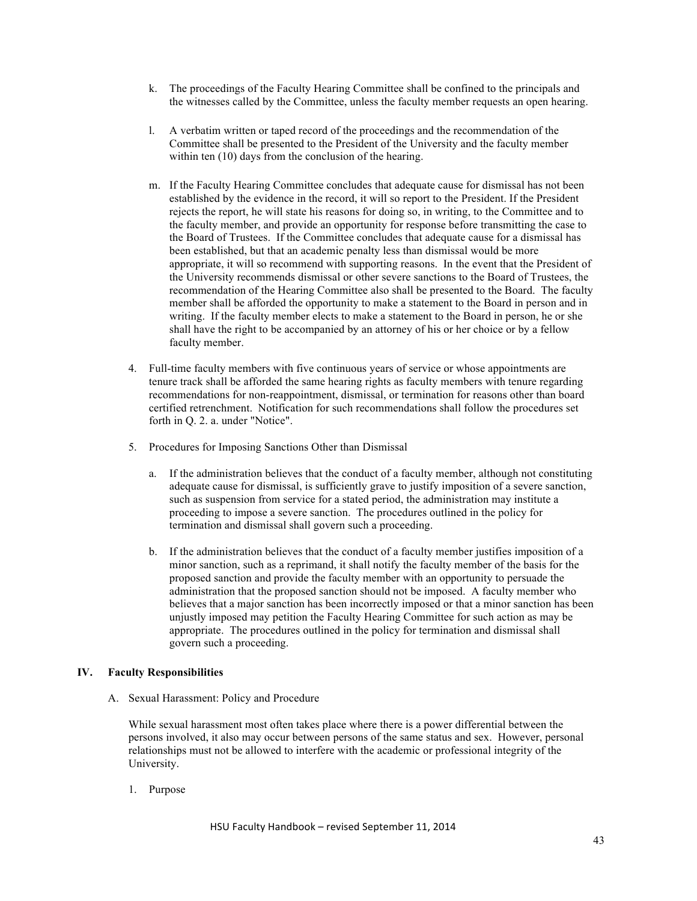- k. The proceedings of the Faculty Hearing Committee shall be confined to the principals and the witnesses called by the Committee, unless the faculty member requests an open hearing.
- l. A verbatim written or taped record of the proceedings and the recommendation of the Committee shall be presented to the President of the University and the faculty member within ten (10) days from the conclusion of the hearing.
- m. If the Faculty Hearing Committee concludes that adequate cause for dismissal has not been established by the evidence in the record, it will so report to the President. If the President rejects the report, he will state his reasons for doing so, in writing, to the Committee and to the faculty member, and provide an opportunity for response before transmitting the case to the Board of Trustees. If the Committee concludes that adequate cause for a dismissal has been established, but that an academic penalty less than dismissal would be more appropriate, it will so recommend with supporting reasons. In the event that the President of the University recommends dismissal or other severe sanctions to the Board of Trustees, the recommendation of the Hearing Committee also shall be presented to the Board. The faculty member shall be afforded the opportunity to make a statement to the Board in person and in writing. If the faculty member elects to make a statement to the Board in person, he or she shall have the right to be accompanied by an attorney of his or her choice or by a fellow faculty member.
- 4. Full-time faculty members with five continuous years of service or whose appointments are tenure track shall be afforded the same hearing rights as faculty members with tenure regarding recommendations for non-reappointment, dismissal, or termination for reasons other than board certified retrenchment. Notification for such recommendations shall follow the procedures set forth in Q. 2. a. under "Notice".
- 5. Procedures for Imposing Sanctions Other than Dismissal
	- a. If the administration believes that the conduct of a faculty member, although not constituting adequate cause for dismissal, is sufficiently grave to justify imposition of a severe sanction, such as suspension from service for a stated period, the administration may institute a proceeding to impose a severe sanction. The procedures outlined in the policy for termination and dismissal shall govern such a proceeding.
	- b. If the administration believes that the conduct of a faculty member justifies imposition of a minor sanction, such as a reprimand, it shall notify the faculty member of the basis for the proposed sanction and provide the faculty member with an opportunity to persuade the administration that the proposed sanction should not be imposed. A faculty member who believes that a major sanction has been incorrectly imposed or that a minor sanction has been unjustly imposed may petition the Faculty Hearing Committee for such action as may be appropriate. The procedures outlined in the policy for termination and dismissal shall govern such a proceeding.

# **IV. Faculty Responsibilities**

A. Sexual Harassment: Policy and Procedure

While sexual harassment most often takes place where there is a power differential between the persons involved, it also may occur between persons of the same status and sex. However, personal relationships must not be allowed to interfere with the academic or professional integrity of the University.

1. Purpose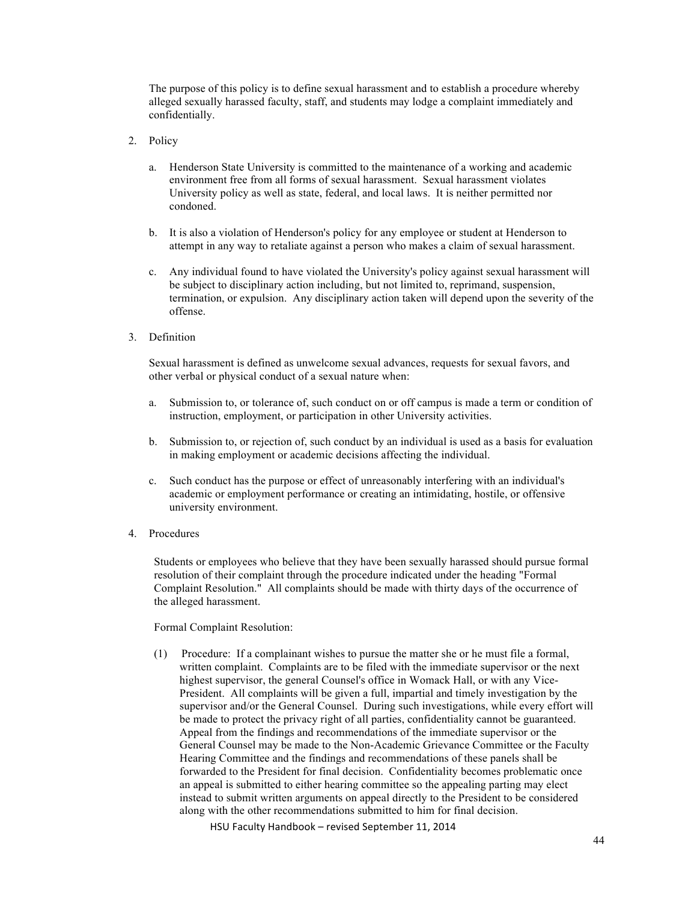The purpose of this policy is to define sexual harassment and to establish a procedure whereby alleged sexually harassed faculty, staff, and students may lodge a complaint immediately and confidentially.

- 2. Policy
	- a. Henderson State University is committed to the maintenance of a working and academic environment free from all forms of sexual harassment. Sexual harassment violates University policy as well as state, federal, and local laws. It is neither permitted nor condoned.
	- b. It is also a violation of Henderson's policy for any employee or student at Henderson to attempt in any way to retaliate against a person who makes a claim of sexual harassment.
	- c. Any individual found to have violated the University's policy against sexual harassment will be subject to disciplinary action including, but not limited to, reprimand, suspension, termination, or expulsion. Any disciplinary action taken will depend upon the severity of the offense.
- 3. Definition

Sexual harassment is defined as unwelcome sexual advances, requests for sexual favors, and other verbal or physical conduct of a sexual nature when:

- a. Submission to, or tolerance of, such conduct on or off campus is made a term or condition of instruction, employment, or participation in other University activities.
- b. Submission to, or rejection of, such conduct by an individual is used as a basis for evaluation in making employment or academic decisions affecting the individual.
- c. Such conduct has the purpose or effect of unreasonably interfering with an individual's academic or employment performance or creating an intimidating, hostile, or offensive university environment.
- 4. Procedures

Students or employees who believe that they have been sexually harassed should pursue formal resolution of their complaint through the procedure indicated under the heading "Formal Complaint Resolution." All complaints should be made with thirty days of the occurrence of the alleged harassment.

Formal Complaint Resolution:

(1) Procedure: If a complainant wishes to pursue the matter she or he must file a formal, written complaint. Complaints are to be filed with the immediate supervisor or the next highest supervisor, the general Counsel's office in Womack Hall, or with any Vice-President. All complaints will be given a full, impartial and timely investigation by the supervisor and/or the General Counsel. During such investigations, while every effort will be made to protect the privacy right of all parties, confidentiality cannot be guaranteed. Appeal from the findings and recommendations of the immediate supervisor or the General Counsel may be made to the Non-Academic Grievance Committee or the Faculty Hearing Committee and the findings and recommendations of these panels shall be forwarded to the President for final decision. Confidentiality becomes problematic once an appeal is submitted to either hearing committee so the appealing parting may elect instead to submit written arguments on appeal directly to the President to be considered along with the other recommendations submitted to him for final decision.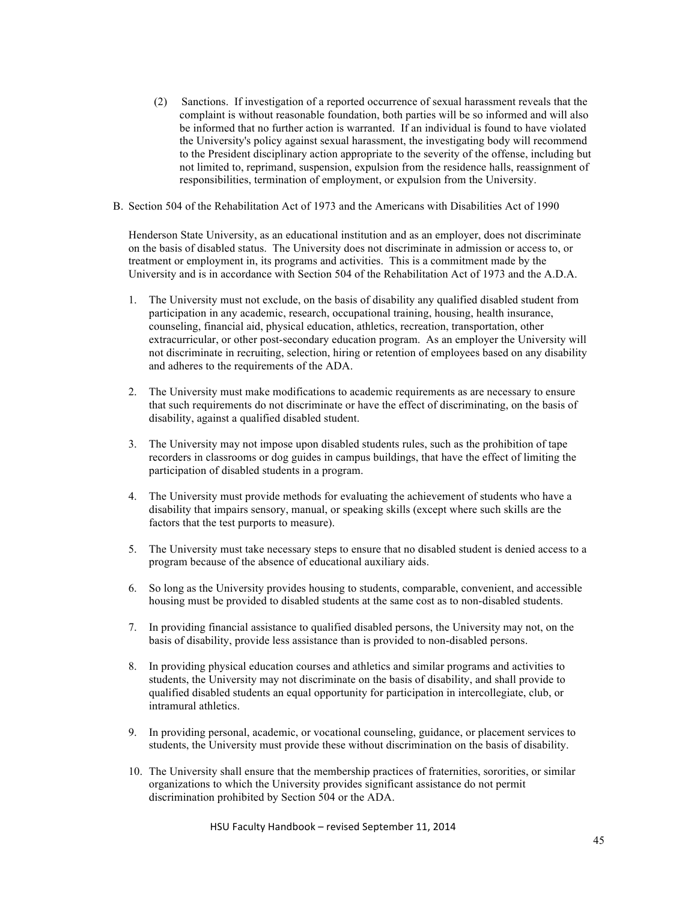(2) Sanctions. If investigation of a reported occurrence of sexual harassment reveals that the complaint is without reasonable foundation, both parties will be so informed and will also be informed that no further action is warranted. If an individual is found to have violated the University's policy against sexual harassment, the investigating body will recommend to the President disciplinary action appropriate to the severity of the offense, including but not limited to, reprimand, suspension, expulsion from the residence halls, reassignment of responsibilities, termination of employment, or expulsion from the University.

## B. Section 504 of the Rehabilitation Act of 1973 and the Americans with Disabilities Act of 1990

Henderson State University, as an educational institution and as an employer, does not discriminate on the basis of disabled status. The University does not discriminate in admission or access to, or treatment or employment in, its programs and activities. This is a commitment made by the University and is in accordance with Section 504 of the Rehabilitation Act of 1973 and the A.D.A.

- 1. The University must not exclude, on the basis of disability any qualified disabled student from participation in any academic, research, occupational training, housing, health insurance, counseling, financial aid, physical education, athletics, recreation, transportation, other extracurricular, or other post-secondary education program. As an employer the University will not discriminate in recruiting, selection, hiring or retention of employees based on any disability and adheres to the requirements of the ADA.
- 2. The University must make modifications to academic requirements as are necessary to ensure that such requirements do not discriminate or have the effect of discriminating, on the basis of disability, against a qualified disabled student.
- 3. The University may not impose upon disabled students rules, such as the prohibition of tape recorders in classrooms or dog guides in campus buildings, that have the effect of limiting the participation of disabled students in a program.
- 4. The University must provide methods for evaluating the achievement of students who have a disability that impairs sensory, manual, or speaking skills (except where such skills are the factors that the test purports to measure).
- 5. The University must take necessary steps to ensure that no disabled student is denied access to a program because of the absence of educational auxiliary aids.
- 6. So long as the University provides housing to students, comparable, convenient, and accessible housing must be provided to disabled students at the same cost as to non-disabled students.
- 7. In providing financial assistance to qualified disabled persons, the University may not, on the basis of disability, provide less assistance than is provided to non-disabled persons.
- 8. In providing physical education courses and athletics and similar programs and activities to students, the University may not discriminate on the basis of disability, and shall provide to qualified disabled students an equal opportunity for participation in intercollegiate, club, or intramural athletics.
- 9. In providing personal, academic, or vocational counseling, guidance, or placement services to students, the University must provide these without discrimination on the basis of disability.
- 10. The University shall ensure that the membership practices of fraternities, sororities, or similar organizations to which the University provides significant assistance do not permit discrimination prohibited by Section 504 or the ADA.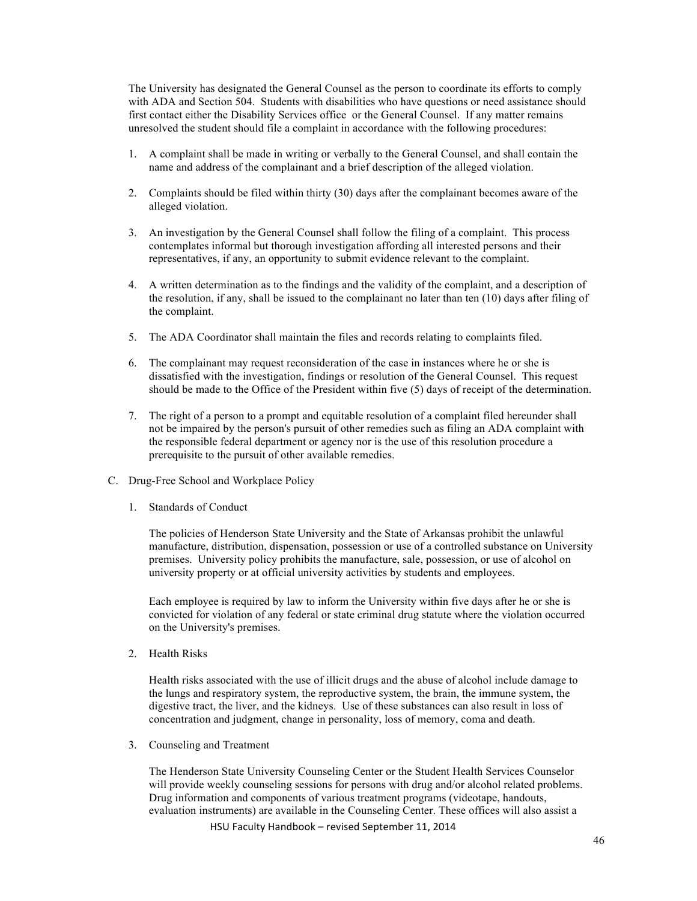The University has designated the General Counsel as the person to coordinate its efforts to comply with ADA and Section 504. Students with disabilities who have questions or need assistance should first contact either the Disability Services office or the General Counsel. If any matter remains unresolved the student should file a complaint in accordance with the following procedures:

- 1. A complaint shall be made in writing or verbally to the General Counsel, and shall contain the name and address of the complainant and a brief description of the alleged violation.
- 2. Complaints should be filed within thirty (30) days after the complainant becomes aware of the alleged violation.
- 3. An investigation by the General Counsel shall follow the filing of a complaint. This process contemplates informal but thorough investigation affording all interested persons and their representatives, if any, an opportunity to submit evidence relevant to the complaint.
- 4. A written determination as to the findings and the validity of the complaint, and a description of the resolution, if any, shall be issued to the complainant no later than ten (10) days after filing of the complaint.
- 5. The ADA Coordinator shall maintain the files and records relating to complaints filed.
- 6. The complainant may request reconsideration of the case in instances where he or she is dissatisfied with the investigation, findings or resolution of the General Counsel. This request should be made to the Office of the President within five (5) days of receipt of the determination.
- 7. The right of a person to a prompt and equitable resolution of a complaint filed hereunder shall not be impaired by the person's pursuit of other remedies such as filing an ADA complaint with the responsible federal department or agency nor is the use of this resolution procedure a prerequisite to the pursuit of other available remedies.
- C. Drug-Free School and Workplace Policy
	- 1. Standards of Conduct

The policies of Henderson State University and the State of Arkansas prohibit the unlawful manufacture, distribution, dispensation, possession or use of a controlled substance on University premises. University policy prohibits the manufacture, sale, possession, or use of alcohol on university property or at official university activities by students and employees.

Each employee is required by law to inform the University within five days after he or she is convicted for violation of any federal or state criminal drug statute where the violation occurred on the University's premises.

2. Health Risks

Health risks associated with the use of illicit drugs and the abuse of alcohol include damage to the lungs and respiratory system, the reproductive system, the brain, the immune system, the digestive tract, the liver, and the kidneys. Use of these substances can also result in loss of concentration and judgment, change in personality, loss of memory, coma and death.

3. Counseling and Treatment

HSU Faculty Handbook - revised September 11, 2014 The Henderson State University Counseling Center or the Student Health Services Counselor will provide weekly counseling sessions for persons with drug and/or alcohol related problems. Drug information and components of various treatment programs (videotape, handouts, evaluation instruments) are available in the Counseling Center. These offices will also assist a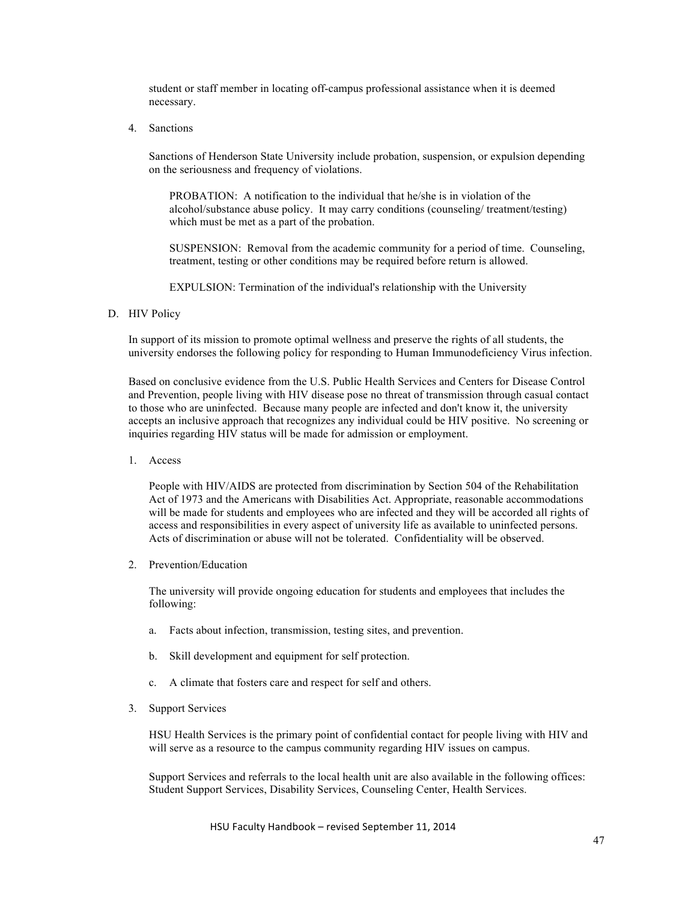student or staff member in locating off-campus professional assistance when it is deemed necessary.

4. Sanctions

Sanctions of Henderson State University include probation, suspension, or expulsion depending on the seriousness and frequency of violations.

PROBATION: A notification to the individual that he/she is in violation of the alcohol/substance abuse policy. It may carry conditions (counseling/ treatment/testing) which must be met as a part of the probation.

SUSPENSION: Removal from the academic community for a period of time. Counseling, treatment, testing or other conditions may be required before return is allowed.

EXPULSION: Termination of the individual's relationship with the University

## D. HIV Policy

In support of its mission to promote optimal wellness and preserve the rights of all students, the university endorses the following policy for responding to Human Immunodeficiency Virus infection.

Based on conclusive evidence from the U.S. Public Health Services and Centers for Disease Control and Prevention, people living with HIV disease pose no threat of transmission through casual contact to those who are uninfected. Because many people are infected and don't know it, the university accepts an inclusive approach that recognizes any individual could be HIV positive. No screening or inquiries regarding HIV status will be made for admission or employment.

1. Access

People with HIV/AIDS are protected from discrimination by Section 504 of the Rehabilitation Act of 1973 and the Americans with Disabilities Act. Appropriate, reasonable accommodations will be made for students and employees who are infected and they will be accorded all rights of access and responsibilities in every aspect of university life as available to uninfected persons. Acts of discrimination or abuse will not be tolerated. Confidentiality will be observed.

2. Prevention/Education

The university will provide ongoing education for students and employees that includes the following:

- a. Facts about infection, transmission, testing sites, and prevention.
- b. Skill development and equipment for self protection.
- c. A climate that fosters care and respect for self and others.
- 3. Support Services

HSU Health Services is the primary point of confidential contact for people living with HIV and will serve as a resource to the campus community regarding HIV issues on campus.

Support Services and referrals to the local health unit are also available in the following offices: Student Support Services, Disability Services, Counseling Center, Health Services.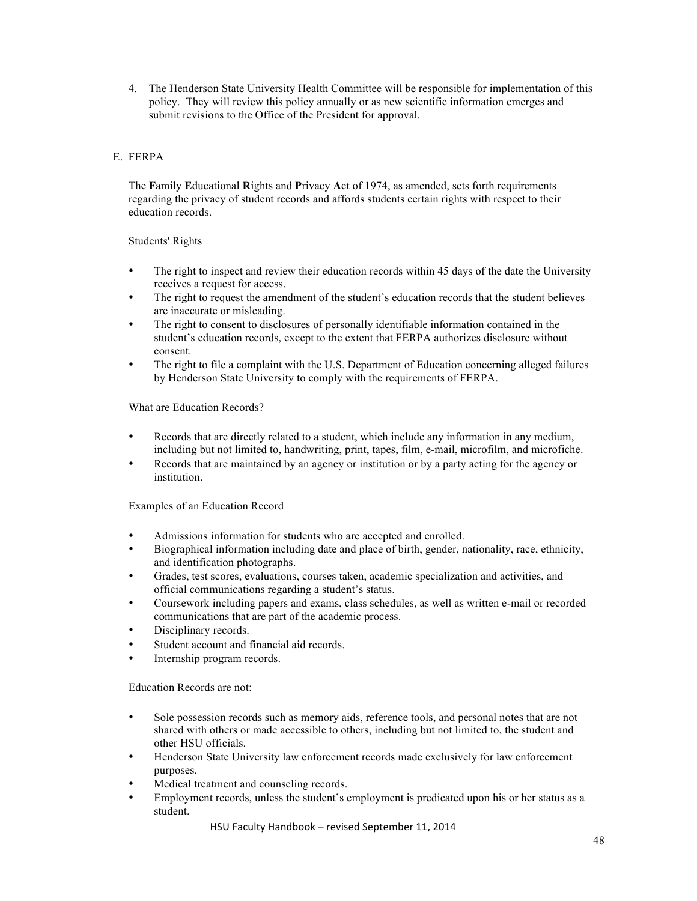4. The Henderson State University Health Committee will be responsible for implementation of this policy. They will review this policy annually or as new scientific information emerges and submit revisions to the Office of the President for approval.

# E. FERPA

The **F**amily **E**ducational **R**ights and **P**rivacy **A**ct of 1974, as amended, sets forth requirements regarding the privacy of student records and affords students certain rights with respect to their education records.

# Students' Rights

- The right to inspect and review their education records within 45 days of the date the University receives a request for access.
- The right to request the amendment of the student's education records that the student believes are inaccurate or misleading.
- The right to consent to disclosures of personally identifiable information contained in the student's education records, except to the extent that FERPA authorizes disclosure without consent.
- The right to file a complaint with the U.S. Department of Education concerning alleged failures by Henderson State University to comply with the requirements of FERPA.

What are Education Records?

- Records that are directly related to a student, which include any information in any medium, including but not limited to, handwriting, print, tapes, film, e-mail, microfilm, and microfiche.
- Records that are maintained by an agency or institution or by a party acting for the agency or institution.

Examples of an Education Record

- Admissions information for students who are accepted and enrolled.
- Biographical information including date and place of birth, gender, nationality, race, ethnicity, and identification photographs.
- Grades, test scores, evaluations, courses taken, academic specialization and activities, and official communications regarding a student's status.
- Coursework including papers and exams, class schedules, as well as written e-mail or recorded communications that are part of the academic process.
- Disciplinary records.
- Student account and financial aid records.
- Internship program records.

Education Records are not:

- Sole possession records such as memory aids, reference tools, and personal notes that are not shared with others or made accessible to others, including but not limited to, the student and other HSU officials.
- Henderson State University law enforcement records made exclusively for law enforcement purposes.
- Medical treatment and counseling records.
- Employment records, unless the student's employment is predicated upon his or her status as a student.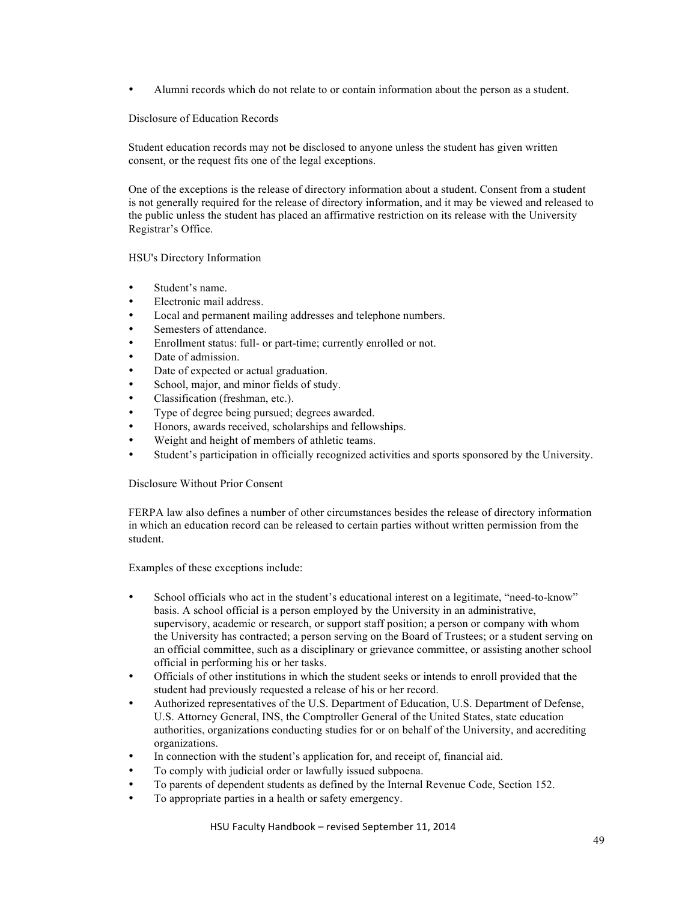• Alumni records which do not relate to or contain information about the person as a student.

# Disclosure of Education Records

Student education records may not be disclosed to anyone unless the student has given written consent, or the request fits one of the legal exceptions.

One of the exceptions is the release of directory information about a student. Consent from a student is not generally required for the release of directory information, and it may be viewed and released to the public unless the student has placed an affirmative restriction on its release with the University Registrar's Office.

# HSU's Directory Information

- Student's name.
- Electronic mail address.
- Local and permanent mailing addresses and telephone numbers.
- Semesters of attendance.
- Enrollment status: full- or part-time; currently enrolled or not.
- Date of admission.
- Date of expected or actual graduation.
- School, major, and minor fields of study.
- Classification (freshman, etc.).
- Type of degree being pursued; degrees awarded.
- Honors, awards received, scholarships and fellowships.
- Weight and height of members of athletic teams.
- Student's participation in officially recognized activities and sports sponsored by the University.

Disclosure Without Prior Consent

FERPA law also defines a number of other circumstances besides the release of directory information in which an education record can be released to certain parties without written permission from the student.

Examples of these exceptions include:

- School officials who act in the student's educational interest on a legitimate, "need-to-know" basis. A school official is a person employed by the University in an administrative, supervisory, academic or research, or support staff position; a person or company with whom the University has contracted; a person serving on the Board of Trustees; or a student serving on an official committee, such as a disciplinary or grievance committee, or assisting another school official in performing his or her tasks.
- Officials of other institutions in which the student seeks or intends to enroll provided that the student had previously requested a release of his or her record.
- Authorized representatives of the U.S. Department of Education, U.S. Department of Defense, U.S. Attorney General, INS, the Comptroller General of the United States, state education authorities, organizations conducting studies for or on behalf of the University, and accrediting organizations.
- In connection with the student's application for, and receipt of, financial aid.
- To comply with judicial order or lawfully issued subpoena.
- To parents of dependent students as defined by the Internal Revenue Code, Section 152.
- To appropriate parties in a health or safety emergency.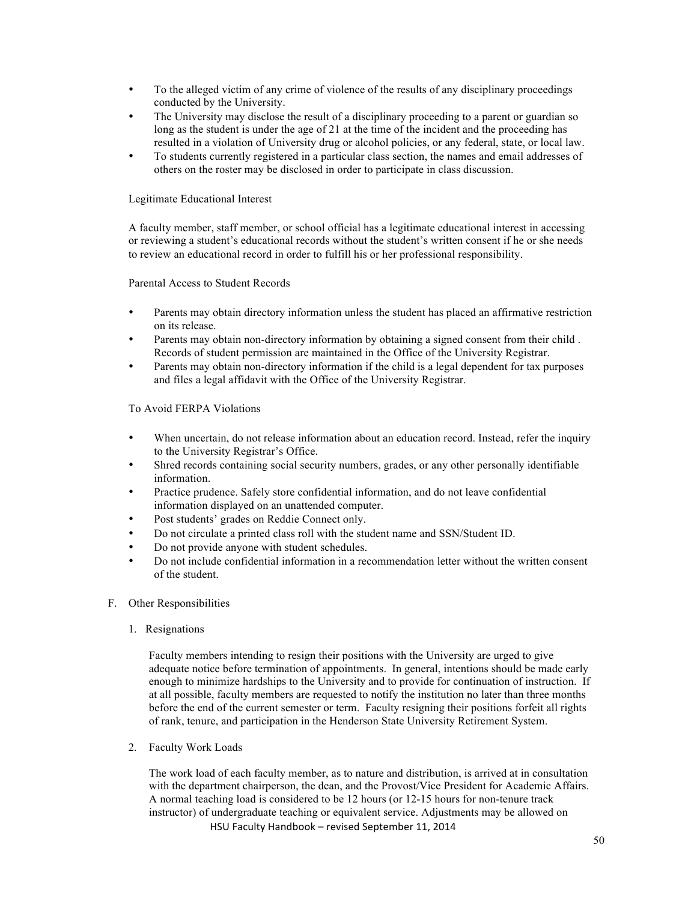- To the alleged victim of any crime of violence of the results of any disciplinary proceedings conducted by the University.
- The University may disclose the result of a disciplinary proceeding to a parent or guardian so long as the student is under the age of 21 at the time of the incident and the proceeding has resulted in a violation of University drug or alcohol policies, or any federal, state, or local law.
- To students currently registered in a particular class section, the names and email addresses of others on the roster may be disclosed in order to participate in class discussion.

# Legitimate Educational Interest

A faculty member, staff member, or school official has a legitimate educational interest in accessing or reviewing a student's educational records without the student's written consent if he or she needs to review an educational record in order to fulfill his or her professional responsibility.

# Parental Access to Student Records

- Parents may obtain directory information unless the student has placed an affirmative restriction on its release.
- Parents may obtain non-directory information by obtaining a signed consent from their child . Records of student permission are maintained in the Office of the University Registrar.
- Parents may obtain non-directory information if the child is a legal dependent for tax purposes and files a legal affidavit with the Office of the University Registrar.

# To Avoid FERPA Violations

- When uncertain, do not release information about an education record. Instead, refer the inquiry to the University Registrar's Office.
- Shred records containing social security numbers, grades, or any other personally identifiable information.
- Practice prudence. Safely store confidential information, and do not leave confidential information displayed on an unattended computer.
- Post students' grades on Reddie Connect only.
- Do not circulate a printed class roll with the student name and SSN/Student ID.
- Do not provide anyone with student schedules.
- Do not include confidential information in a recommendation letter without the written consent of the student.
- F. Other Responsibilities
	- 1. Resignations

Faculty members intending to resign their positions with the University are urged to give adequate notice before termination of appointments. In general, intentions should be made early enough to minimize hardships to the University and to provide for continuation of instruction. If at all possible, faculty members are requested to notify the institution no later than three months before the end of the current semester or term. Faculty resigning their positions forfeit all rights of rank, tenure, and participation in the Henderson State University Retirement System.

2. Faculty Work Loads

HSU Faculty Handbook - revised September 11, 2014 The work load of each faculty member, as to nature and distribution, is arrived at in consultation with the department chairperson, the dean, and the Provost/Vice President for Academic Affairs. A normal teaching load is considered to be 12 hours (or 12-15 hours for non-tenure track instructor) of undergraduate teaching or equivalent service. Adjustments may be allowed on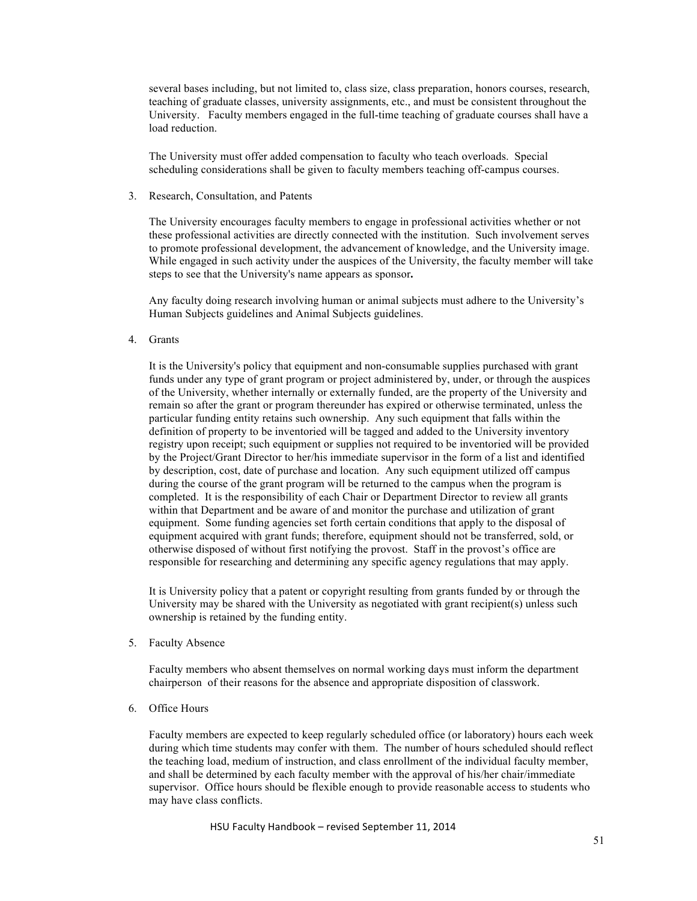several bases including, but not limited to, class size, class preparation, honors courses, research, teaching of graduate classes, university assignments, etc., and must be consistent throughout the University. Faculty members engaged in the full-time teaching of graduate courses shall have a load reduction.

The University must offer added compensation to faculty who teach overloads. Special scheduling considerations shall be given to faculty members teaching off-campus courses.

3. Research, Consultation, and Patents

The University encourages faculty members to engage in professional activities whether or not these professional activities are directly connected with the institution. Such involvement serves to promote professional development, the advancement of knowledge, and the University image. While engaged in such activity under the auspices of the University, the faculty member will take steps to see that the University's name appears as sponsor**.**

Any faculty doing research involving human or animal subjects must adhere to the University's Human Subjects guidelines and Animal Subjects guidelines.

4. Grants

It is the University's policy that equipment and non-consumable supplies purchased with grant funds under any type of grant program or project administered by, under, or through the auspices of the University, whether internally or externally funded, are the property of the University and remain so after the grant or program thereunder has expired or otherwise terminated, unless the particular funding entity retains such ownership. Any such equipment that falls within the definition of property to be inventoried will be tagged and added to the University inventory registry upon receipt; such equipment or supplies not required to be inventoried will be provided by the Project/Grant Director to her/his immediate supervisor in the form of a list and identified by description, cost, date of purchase and location. Any such equipment utilized off campus during the course of the grant program will be returned to the campus when the program is completed. It is the responsibility of each Chair or Department Director to review all grants within that Department and be aware of and monitor the purchase and utilization of grant equipment. Some funding agencies set forth certain conditions that apply to the disposal of equipment acquired with grant funds; therefore, equipment should not be transferred, sold, or otherwise disposed of without first notifying the provost. Staff in the provost's office are responsible for researching and determining any specific agency regulations that may apply.

It is University policy that a patent or copyright resulting from grants funded by or through the University may be shared with the University as negotiated with grant recipient(s) unless such ownership is retained by the funding entity.

5. Faculty Absence

Faculty members who absent themselves on normal working days must inform the department chairperson of their reasons for the absence and appropriate disposition of classwork.

6. Office Hours

Faculty members are expected to keep regularly scheduled office (or laboratory) hours each week during which time students may confer with them. The number of hours scheduled should reflect the teaching load, medium of instruction, and class enrollment of the individual faculty member, and shall be determined by each faculty member with the approval of his/her chair/immediate supervisor. Office hours should be flexible enough to provide reasonable access to students who may have class conflicts.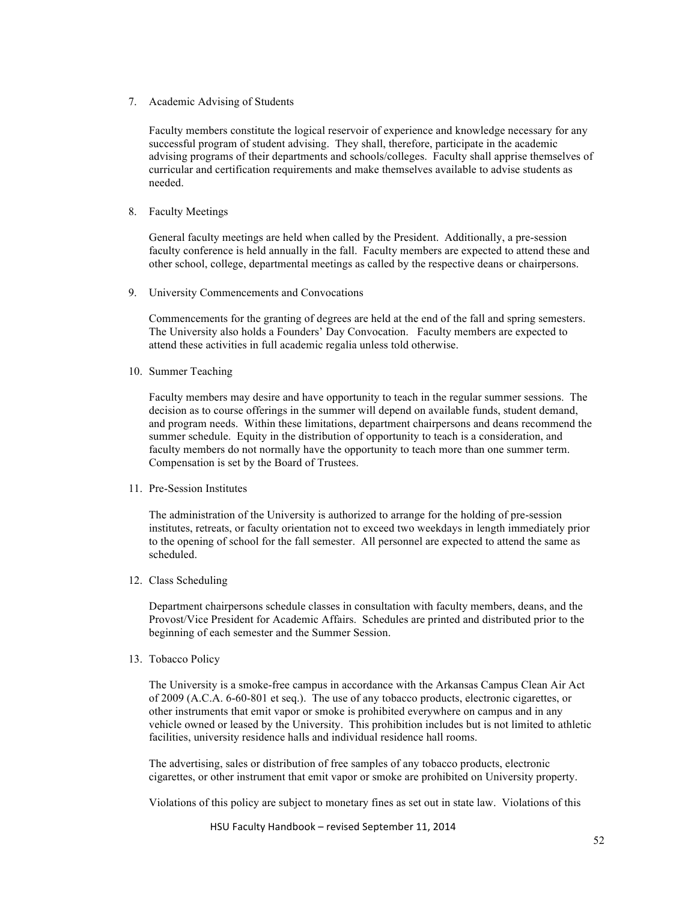7. Academic Advising of Students

 Faculty members constitute the logical reservoir of experience and knowledge necessary for any successful program of student advising. They shall, therefore, participate in the academic advising programs of their departments and schools/colleges. Faculty shall apprise themselves of curricular and certification requirements and make themselves available to advise students as needed.

8. Faculty Meetings

General faculty meetings are held when called by the President. Additionally, a pre-session faculty conference is held annually in the fall. Faculty members are expected to attend these and other school, college, departmental meetings as called by the respective deans or chairpersons.

9. University Commencements and Convocations

Commencements for the granting of degrees are held at the end of the fall and spring semesters. The University also holds a Founders' Day Convocation. Faculty members are expected to attend these activities in full academic regalia unless told otherwise.

10. Summer Teaching

Faculty members may desire and have opportunity to teach in the regular summer sessions. The decision as to course offerings in the summer will depend on available funds, student demand, and program needs. Within these limitations, department chairpersons and deans recommend the summer schedule. Equity in the distribution of opportunity to teach is a consideration, and faculty members do not normally have the opportunity to teach more than one summer term. Compensation is set by the Board of Trustees.

11. Pre-Session Institutes

The administration of the University is authorized to arrange for the holding of pre-session institutes, retreats, or faculty orientation not to exceed two weekdays in length immediately prior to the opening of school for the fall semester. All personnel are expected to attend the same as scheduled.

12. Class Scheduling

Department chairpersons schedule classes in consultation with faculty members, deans, and the Provost/Vice President for Academic Affairs. Schedules are printed and distributed prior to the beginning of each semester and the Summer Session.

13. Tobacco Policy

The University is a smoke-free campus in accordance with the Arkansas Campus Clean Air Act of 2009 (A.C.A. 6-60-801 et seq.). The use of any tobacco products, electronic cigarettes, or other instruments that emit vapor or smoke is prohibited everywhere on campus and in any vehicle owned or leased by the University. This prohibition includes but is not limited to athletic facilities, university residence halls and individual residence hall rooms.

The advertising, sales or distribution of free samples of any tobacco products, electronic cigarettes, or other instrument that emit vapor or smoke are prohibited on University property.

Violations of this policy are subject to monetary fines as set out in state law. Violations of this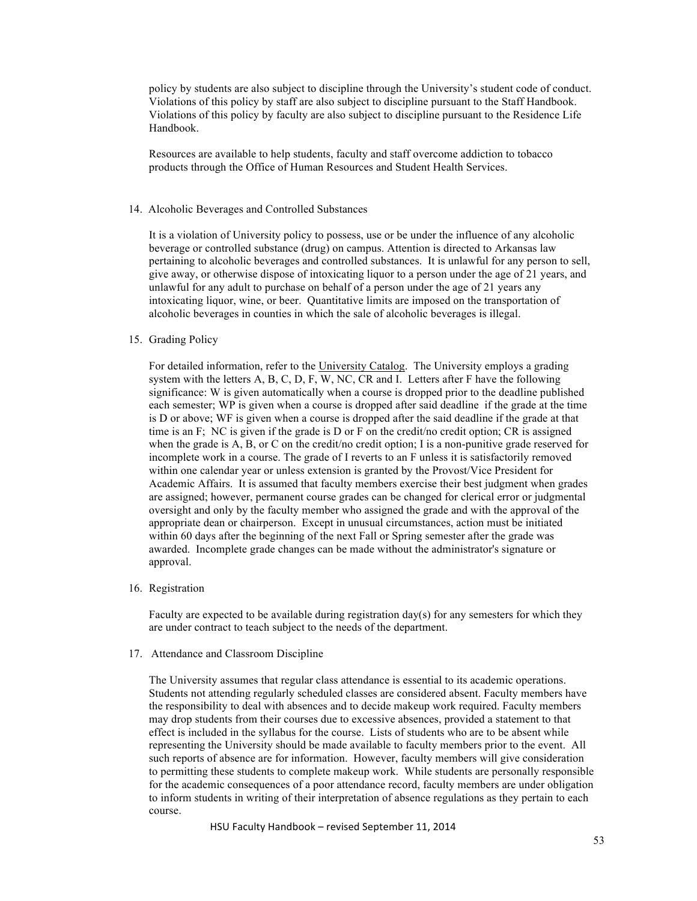policy by students are also subject to discipline through the University's student code of conduct. Violations of this policy by staff are also subject to discipline pursuant to the Staff Handbook. Violations of this policy by faculty are also subject to discipline pursuant to the Residence Life Handbook.

Resources are available to help students, faculty and staff overcome addiction to tobacco products through the Office of Human Resources and Student Health Services.

#### 14. Alcoholic Beverages and Controlled Substances

It is a violation of University policy to possess, use or be under the influence of any alcoholic beverage or controlled substance (drug) on campus. Attention is directed to Arkansas law pertaining to alcoholic beverages and controlled substances. It is unlawful for any person to sell, give away, or otherwise dispose of intoxicating liquor to a person under the age of 21 years, and unlawful for any adult to purchase on behalf of a person under the age of 21 years any intoxicating liquor, wine, or beer. Quantitative limits are imposed on the transportation of alcoholic beverages in counties in which the sale of alcoholic beverages is illegal.

## 15. Grading Policy

For detailed information, refer to the University Catalog. The University employs a grading system with the letters A, B, C, D, F, W, NC, CR and I. Letters after F have the following significance: W is given automatically when a course is dropped prior to the deadline published each semester; WP is given when a course is dropped after said deadline if the grade at the time is D or above; WF is given when a course is dropped after the said deadline if the grade at that time is an F; NC is given if the grade is D or F on the credit/no credit option; CR is assigned when the grade is A, B, or C on the credit/no credit option; I is a non-punitive grade reserved for incomplete work in a course. The grade of I reverts to an F unless it is satisfactorily removed within one calendar year or unless extension is granted by the Provost/Vice President for Academic Affairs. It is assumed that faculty members exercise their best judgment when grades are assigned; however, permanent course grades can be changed for clerical error or judgmental oversight and only by the faculty member who assigned the grade and with the approval of the appropriate dean or chairperson. Except in unusual circumstances, action must be initiated within 60 days after the beginning of the next Fall or Spring semester after the grade was awarded. Incomplete grade changes can be made without the administrator's signature or approval.

#### 16. Registration

Faculty are expected to be available during registration day(s) for any semesters for which they are under contract to teach subject to the needs of the department.

#### 17. Attendance and Classroom Discipline

The University assumes that regular class attendance is essential to its academic operations. Students not attending regularly scheduled classes are considered absent. Faculty members have the responsibility to deal with absences and to decide makeup work required. Faculty members may drop students from their courses due to excessive absences, provided a statement to that effect is included in the syllabus for the course. Lists of students who are to be absent while representing the University should be made available to faculty members prior to the event. All such reports of absence are for information. However, faculty members will give consideration to permitting these students to complete makeup work. While students are personally responsible for the academic consequences of a poor attendance record, faculty members are under obligation to inform students in writing of their interpretation of absence regulations as they pertain to each course.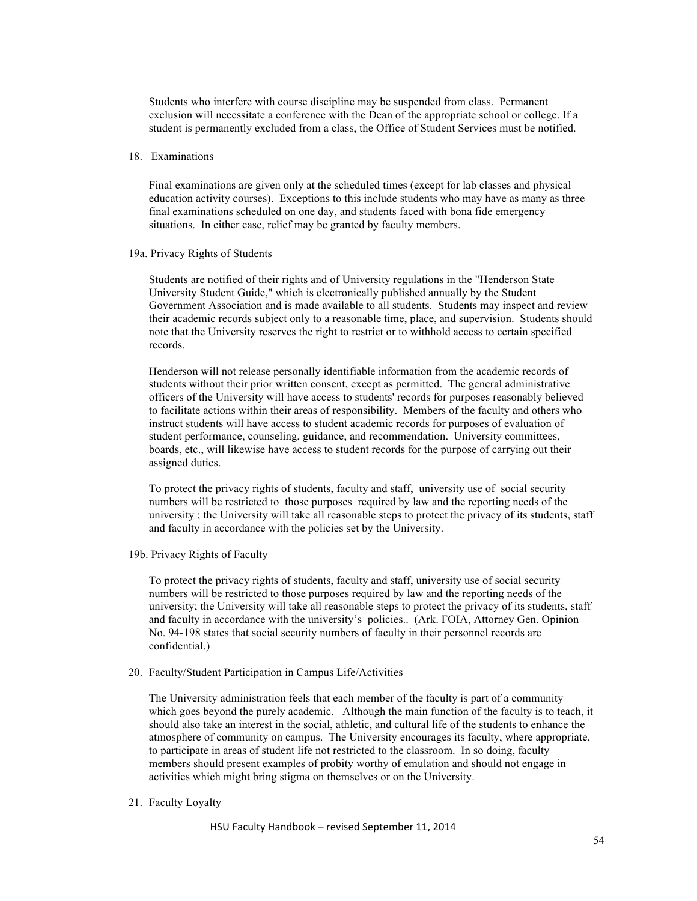Students who interfere with course discipline may be suspended from class. Permanent exclusion will necessitate a conference with the Dean of the appropriate school or college. If a student is permanently excluded from a class, the Office of Student Services must be notified.

## 18. Examinations

Final examinations are given only at the scheduled times (except for lab classes and physical education activity courses). Exceptions to this include students who may have as many as three final examinations scheduled on one day, and students faced with bona fide emergency situations. In either case, relief may be granted by faculty members.

#### 19a. Privacy Rights of Students

Students are notified of their rights and of University regulations in the "Henderson State University Student Guide," which is electronically published annually by the Student Government Association and is made available to all students. Students may inspect and review their academic records subject only to a reasonable time, place, and supervision. Students should note that the University reserves the right to restrict or to withhold access to certain specified records.

Henderson will not release personally identifiable information from the academic records of students without their prior written consent, except as permitted. The general administrative officers of the University will have access to students' records for purposes reasonably believed to facilitate actions within their areas of responsibility. Members of the faculty and others who instruct students will have access to student academic records for purposes of evaluation of student performance, counseling, guidance, and recommendation. University committees, boards, etc., will likewise have access to student records for the purpose of carrying out their assigned duties.

To protect the privacy rights of students, faculty and staff, university use of social security numbers will be restricted to those purposes required by law and the reporting needs of the university ; the University will take all reasonable steps to protect the privacy of its students, staff and faculty in accordance with the policies set by the University.

## 19b. Privacy Rights of Faculty

To protect the privacy rights of students, faculty and staff, university use of social security numbers will be restricted to those purposes required by law and the reporting needs of the university; the University will take all reasonable steps to protect the privacy of its students, staff and faculty in accordance with the university's policies.. (Ark. FOIA, Attorney Gen. Opinion No. 94-198 states that social security numbers of faculty in their personnel records are confidential.)

20. Faculty/Student Participation in Campus Life/Activities

The University administration feels that each member of the faculty is part of a community which goes beyond the purely academic. Although the main function of the faculty is to teach, it should also take an interest in the social, athletic, and cultural life of the students to enhance the atmosphere of community on campus. The University encourages its faculty, where appropriate, to participate in areas of student life not restricted to the classroom. In so doing, faculty members should present examples of probity worthy of emulation and should not engage in activities which might bring stigma on themselves or on the University.

## 21. Faculty Loyalty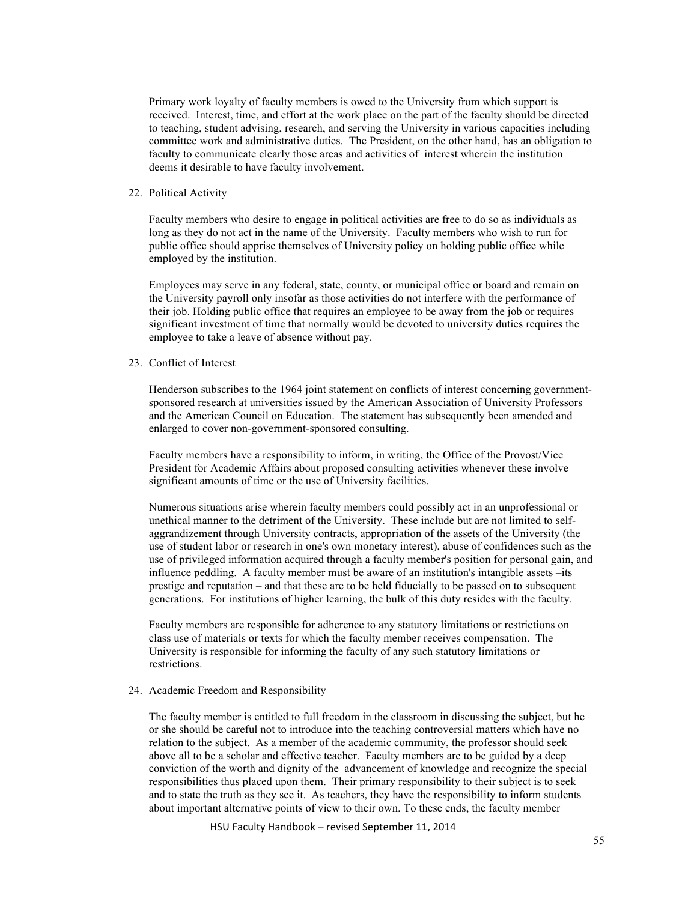Primary work loyalty of faculty members is owed to the University from which support is received. Interest, time, and effort at the work place on the part of the faculty should be directed to teaching, student advising, research, and serving the University in various capacities including committee work and administrative duties. The President, on the other hand, has an obligation to faculty to communicate clearly those areas and activities of interest wherein the institution deems it desirable to have faculty involvement.

## 22. Political Activity

Faculty members who desire to engage in political activities are free to do so as individuals as long as they do not act in the name of the University. Faculty members who wish to run for public office should apprise themselves of University policy on holding public office while employed by the institution.

Employees may serve in any federal, state, county, or municipal office or board and remain on the University payroll only insofar as those activities do not interfere with the performance of their job. Holding public office that requires an employee to be away from the job or requires significant investment of time that normally would be devoted to university duties requires the employee to take a leave of absence without pay.

## 23. Conflict of Interest

Henderson subscribes to the 1964 joint statement on conflicts of interest concerning governmentsponsored research at universities issued by the American Association of University Professors and the American Council on Education. The statement has subsequently been amended and enlarged to cover non-government-sponsored consulting.

Faculty members have a responsibility to inform, in writing, the Office of the Provost/Vice President for Academic Affairs about proposed consulting activities whenever these involve significant amounts of time or the use of University facilities.

Numerous situations arise wherein faculty members could possibly act in an unprofessional or unethical manner to the detriment of the University. These include but are not limited to selfaggrandizement through University contracts, appropriation of the assets of the University (the use of student labor or research in one's own monetary interest), abuse of confidences such as the use of privileged information acquired through a faculty member's position for personal gain, and influence peddling. A faculty member must be aware of an institution's intangible assets –its prestige and reputation – and that these are to be held fiducially to be passed on to subsequent generations. For institutions of higher learning, the bulk of this duty resides with the faculty.

Faculty members are responsible for adherence to any statutory limitations or restrictions on class use of materials or texts for which the faculty member receives compensation. The University is responsible for informing the faculty of any such statutory limitations or restrictions.

#### 24. Academic Freedom and Responsibility

The faculty member is entitled to full freedom in the classroom in discussing the subject, but he or she should be careful not to introduce into the teaching controversial matters which have no relation to the subject. As a member of the academic community, the professor should seek above all to be a scholar and effective teacher. Faculty members are to be guided by a deep conviction of the worth and dignity of the advancement of knowledge and recognize the special responsibilities thus placed upon them. Their primary responsibility to their subject is to seek and to state the truth as they see it. As teachers, they have the responsibility to inform students about important alternative points of view to their own. To these ends, the faculty member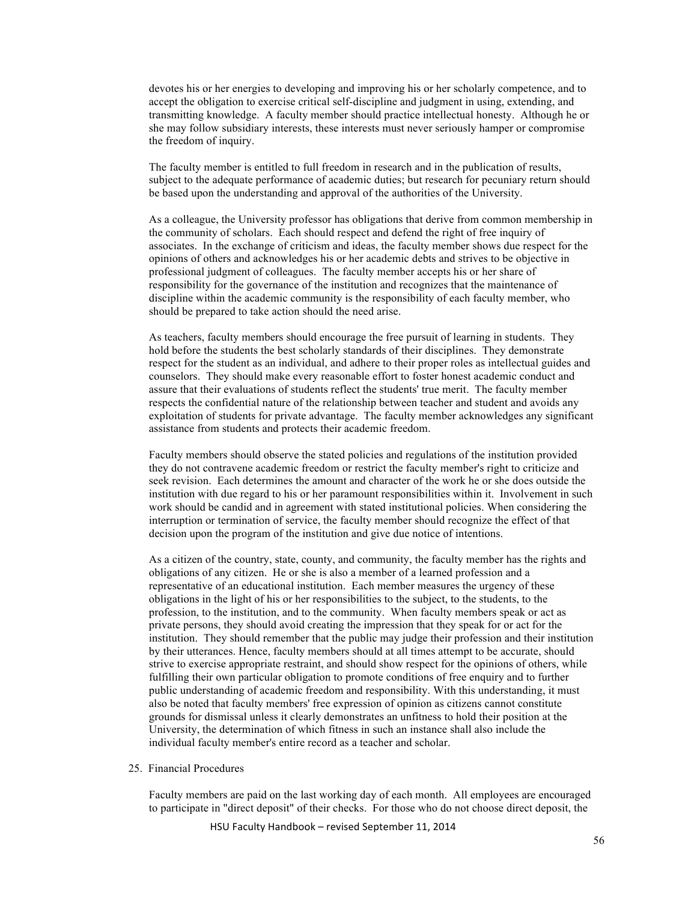devotes his or her energies to developing and improving his or her scholarly competence, and to accept the obligation to exercise critical self-discipline and judgment in using, extending, and transmitting knowledge. A faculty member should practice intellectual honesty. Although he or she may follow subsidiary interests, these interests must never seriously hamper or compromise the freedom of inquiry.

The faculty member is entitled to full freedom in research and in the publication of results, subject to the adequate performance of academic duties; but research for pecuniary return should be based upon the understanding and approval of the authorities of the University.

As a colleague, the University professor has obligations that derive from common membership in the community of scholars. Each should respect and defend the right of free inquiry of associates. In the exchange of criticism and ideas, the faculty member shows due respect for the opinions of others and acknowledges his or her academic debts and strives to be objective in professional judgment of colleagues. The faculty member accepts his or her share of responsibility for the governance of the institution and recognizes that the maintenance of discipline within the academic community is the responsibility of each faculty member, who should be prepared to take action should the need arise.

As teachers, faculty members should encourage the free pursuit of learning in students. They hold before the students the best scholarly standards of their disciplines. They demonstrate respect for the student as an individual, and adhere to their proper roles as intellectual guides and counselors. They should make every reasonable effort to foster honest academic conduct and assure that their evaluations of students reflect the students' true merit. The faculty member respects the confidential nature of the relationship between teacher and student and avoids any exploitation of students for private advantage. The faculty member acknowledges any significant assistance from students and protects their academic freedom.

Faculty members should observe the stated policies and regulations of the institution provided they do not contravene academic freedom or restrict the faculty member's right to criticize and seek revision. Each determines the amount and character of the work he or she does outside the institution with due regard to his or her paramount responsibilities within it. Involvement in such work should be candid and in agreement with stated institutional policies. When considering the interruption or termination of service, the faculty member should recognize the effect of that decision upon the program of the institution and give due notice of intentions.

As a citizen of the country, state, county, and community, the faculty member has the rights and obligations of any citizen. He or she is also a member of a learned profession and a representative of an educational institution. Each member measures the urgency of these obligations in the light of his or her responsibilities to the subject, to the students, to the profession, to the institution, and to the community. When faculty members speak or act as private persons, they should avoid creating the impression that they speak for or act for the institution. They should remember that the public may judge their profession and their institution by their utterances. Hence, faculty members should at all times attempt to be accurate, should strive to exercise appropriate restraint, and should show respect for the opinions of others, while fulfilling their own particular obligation to promote conditions of free enquiry and to further public understanding of academic freedom and responsibility. With this understanding, it must also be noted that faculty members' free expression of opinion as citizens cannot constitute grounds for dismissal unless it clearly demonstrates an unfitness to hold their position at the University, the determination of which fitness in such an instance shall also include the individual faculty member's entire record as a teacher and scholar.

## 25. Financial Procedures

Faculty members are paid on the last working day of each month. All employees are encouraged to participate in "direct deposit" of their checks. For those who do not choose direct deposit, the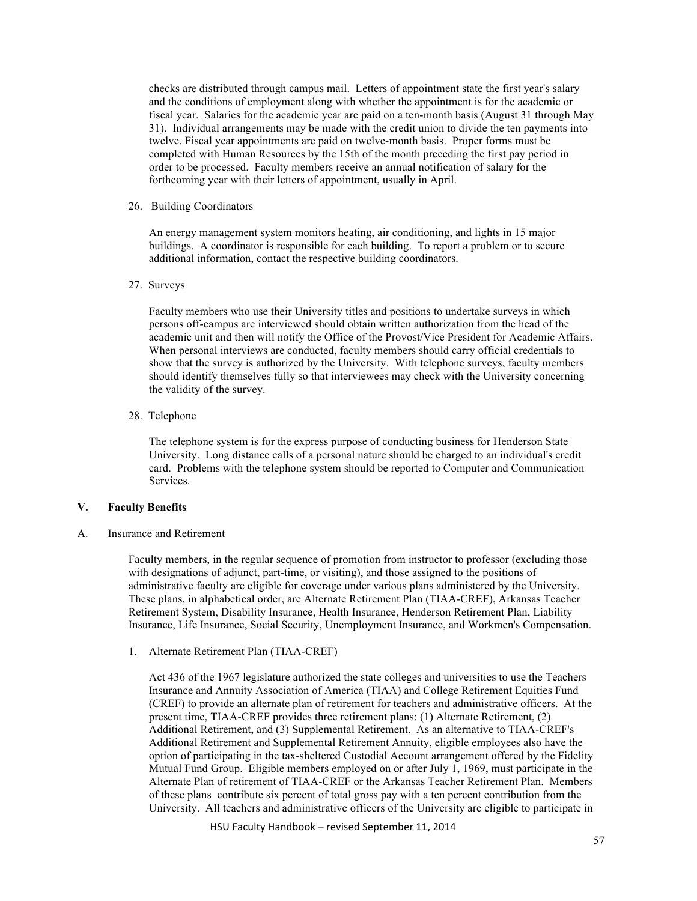checks are distributed through campus mail. Letters of appointment state the first year's salary and the conditions of employment along with whether the appointment is for the academic or fiscal year. Salaries for the academic year are paid on a ten-month basis (August 31 through May 31). Individual arrangements may be made with the credit union to divide the ten payments into twelve. Fiscal year appointments are paid on twelve-month basis. Proper forms must be completed with Human Resources by the 15th of the month preceding the first pay period in order to be processed. Faculty members receive an annual notification of salary for the forthcoming year with their letters of appointment, usually in April.

## 26. Building Coordinators

An energy management system monitors heating, air conditioning, and lights in 15 major buildings. A coordinator is responsible for each building. To report a problem or to secure additional information, contact the respective building coordinators.

## 27. Surveys

Faculty members who use their University titles and positions to undertake surveys in which persons off-campus are interviewed should obtain written authorization from the head of the academic unit and then will notify the Office of the Provost/Vice President for Academic Affairs. When personal interviews are conducted, faculty members should carry official credentials to show that the survey is authorized by the University. With telephone surveys, faculty members should identify themselves fully so that interviewees may check with the University concerning the validity of the survey.

## 28. Telephone

The telephone system is for the express purpose of conducting business for Henderson State University. Long distance calls of a personal nature should be charged to an individual's credit card. Problems with the telephone system should be reported to Computer and Communication Services.

## **V. Faculty Benefits**

A. Insurance and Retirement

Faculty members, in the regular sequence of promotion from instructor to professor (excluding those with designations of adjunct, part-time, or visiting), and those assigned to the positions of administrative faculty are eligible for coverage under various plans administered by the University. These plans, in alphabetical order, are Alternate Retirement Plan (TIAA-CREF), Arkansas Teacher Retirement System, Disability Insurance, Health Insurance, Henderson Retirement Plan, Liability Insurance, Life Insurance, Social Security, Unemployment Insurance, and Workmen's Compensation.

# 1. Alternate Retirement Plan (TIAA-CREF)

Act 436 of the 1967 legislature authorized the state colleges and universities to use the Teachers Insurance and Annuity Association of America (TIAA) and College Retirement Equities Fund (CREF) to provide an alternate plan of retirement for teachers and administrative officers. At the present time, TIAA-CREF provides three retirement plans: (1) Alternate Retirement, (2) Additional Retirement, and (3) Supplemental Retirement. As an alternative to TIAA-CREF's Additional Retirement and Supplemental Retirement Annuity, eligible employees also have the option of participating in the tax-sheltered Custodial Account arrangement offered by the Fidelity Mutual Fund Group. Eligible members employed on or after July 1, 1969, must participate in the Alternate Plan of retirement of TIAA-CREF or the Arkansas Teacher Retirement Plan. Members of these plans contribute six percent of total gross pay with a ten percent contribution from the University. All teachers and administrative officers of the University are eligible to participate in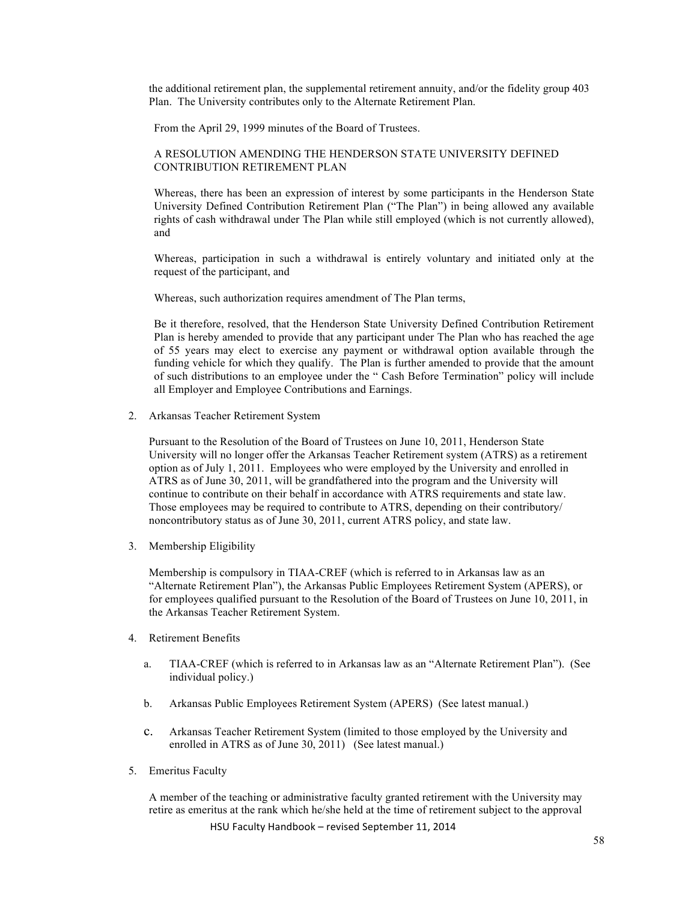the additional retirement plan, the supplemental retirement annuity, and/or the fidelity group 403 Plan. The University contributes only to the Alternate Retirement Plan.

From the April 29, 1999 minutes of the Board of Trustees.

## A RESOLUTION AMENDING THE HENDERSON STATE UNIVERSITY DEFINED CONTRIBUTION RETIREMENT PLAN

Whereas, there has been an expression of interest by some participants in the Henderson State University Defined Contribution Retirement Plan ("The Plan") in being allowed any available rights of cash withdrawal under The Plan while still employed (which is not currently allowed), and

Whereas, participation in such a withdrawal is entirely voluntary and initiated only at the request of the participant, and

Whereas, such authorization requires amendment of The Plan terms,

Be it therefore, resolved, that the Henderson State University Defined Contribution Retirement Plan is hereby amended to provide that any participant under The Plan who has reached the age of 55 years may elect to exercise any payment or withdrawal option available through the funding vehicle for which they qualify. The Plan is further amended to provide that the amount of such distributions to an employee under the " Cash Before Termination" policy will include all Employer and Employee Contributions and Earnings.

2. Arkansas Teacher Retirement System

Pursuant to the Resolution of the Board of Trustees on June 10, 2011, Henderson State University will no longer offer the Arkansas Teacher Retirement system (ATRS) as a retirement option as of July 1, 2011. Employees who were employed by the University and enrolled in ATRS as of June 30, 2011, will be grandfathered into the program and the University will continue to contribute on their behalf in accordance with ATRS requirements and state law. Those employees may be required to contribute to ATRS, depending on their contributory/ noncontributory status as of June 30, 2011, current ATRS policy, and state law.

3. Membership Eligibility

Membership is compulsory in TIAA-CREF (which is referred to in Arkansas law as an "Alternate Retirement Plan"), the Arkansas Public Employees Retirement System (APERS), or for employees qualified pursuant to the Resolution of the Board of Trustees on June 10, 2011, in the Arkansas Teacher Retirement System.

- 4. Retirement Benefits
	- a. TIAA-CREF (which is referred to in Arkansas law as an "Alternate Retirement Plan"). (See individual policy.)
	- b. Arkansas Public Employees Retirement System (APERS) (See latest manual.)
	- c. Arkansas Teacher Retirement System (limited to those employed by the University and enrolled in ATRS as of June 30, 2011) (See latest manual.)
- 5. Emeritus Faculty

A member of the teaching or administrative faculty granted retirement with the University may retire as emeritus at the rank which he/she held at the time of retirement subject to the approval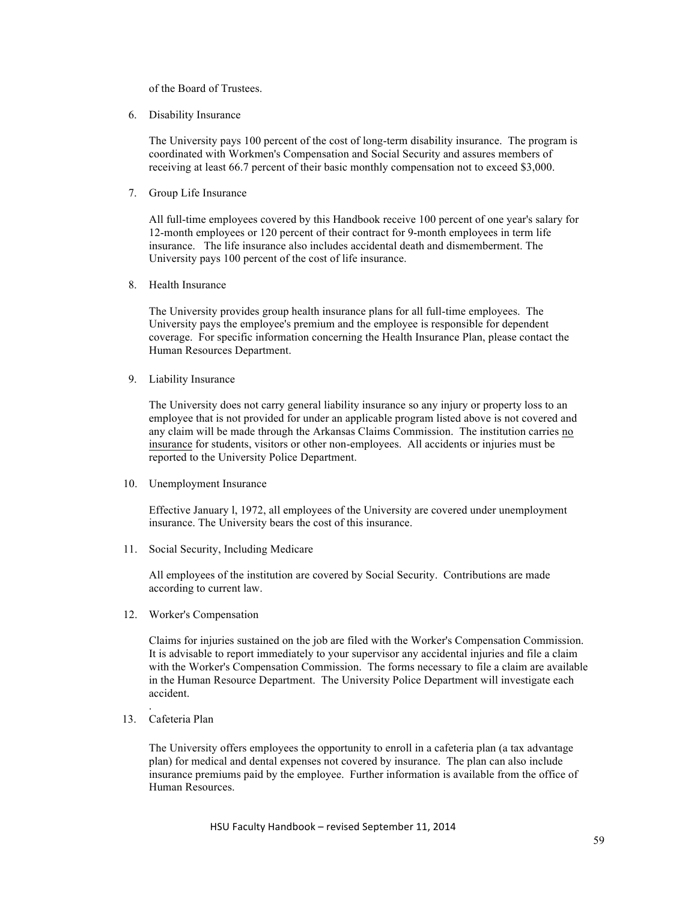of the Board of Trustees.

6. Disability Insurance

The University pays 100 percent of the cost of long-term disability insurance. The program is coordinated with Workmen's Compensation and Social Security and assures members of receiving at least 66.7 percent of their basic monthly compensation not to exceed \$3,000.

7. Group Life Insurance

All full-time employees covered by this Handbook receive 100 percent of one year's salary for 12-month employees or 120 percent of their contract for 9-month employees in term life insurance. The life insurance also includes accidental death and dismemberment. The University pays 100 percent of the cost of life insurance.

8. Health Insurance

The University provides group health insurance plans for all full-time employees. The University pays the employee's premium and the employee is responsible for dependent coverage. For specific information concerning the Health Insurance Plan, please contact the Human Resources Department.

9. Liability Insurance

The University does not carry general liability insurance so any injury or property loss to an employee that is not provided for under an applicable program listed above is not covered and any claim will be made through the Arkansas Claims Commission. The institution carries no insurance for students, visitors or other non-employees. All accidents or injuries must be reported to the University Police Department.

10. Unemployment Insurance

Effective January l, 1972, all employees of the University are covered under unemployment insurance. The University bears the cost of this insurance.

11. Social Security, Including Medicare

All employees of the institution are covered by Social Security. Contributions are made according to current law.

12. Worker's Compensation

Claims for injuries sustained on the job are filed with the Worker's Compensation Commission. It is advisable to report immediately to your supervisor any accidental injuries and file a claim with the Worker's Compensation Commission. The forms necessary to file a claim are available in the Human Resource Department. The University Police Department will investigate each accident.

13. Cafeteria Plan

.

The University offers employees the opportunity to enroll in a cafeteria plan (a tax advantage plan) for medical and dental expenses not covered by insurance. The plan can also include insurance premiums paid by the employee. Further information is available from the office of Human Resources.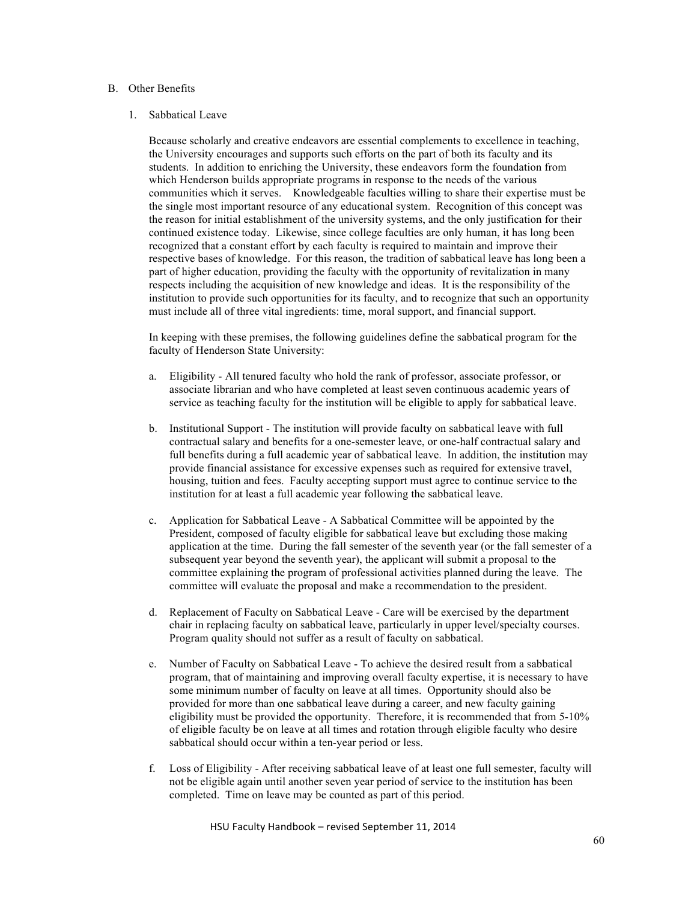## B. Other Benefits

## 1. Sabbatical Leave

Because scholarly and creative endeavors are essential complements to excellence in teaching, the University encourages and supports such efforts on the part of both its faculty and its students. In addition to enriching the University, these endeavors form the foundation from which Henderson builds appropriate programs in response to the needs of the various communities which it serves. Knowledgeable faculties willing to share their expertise must be the single most important resource of any educational system. Recognition of this concept was the reason for initial establishment of the university systems, and the only justification for their continued existence today. Likewise, since college faculties are only human, it has long been recognized that a constant effort by each faculty is required to maintain and improve their respective bases of knowledge. For this reason, the tradition of sabbatical leave has long been a part of higher education, providing the faculty with the opportunity of revitalization in many respects including the acquisition of new knowledge and ideas. It is the responsibility of the institution to provide such opportunities for its faculty, and to recognize that such an opportunity must include all of three vital ingredients: time, moral support, and financial support.

In keeping with these premises, the following guidelines define the sabbatical program for the faculty of Henderson State University:

- a. Eligibility All tenured faculty who hold the rank of professor, associate professor, or associate librarian and who have completed at least seven continuous academic years of service as teaching faculty for the institution will be eligible to apply for sabbatical leave.
- b. Institutional Support The institution will provide faculty on sabbatical leave with full contractual salary and benefits for a one-semester leave, or one-half contractual salary and full benefits during a full academic year of sabbatical leave. In addition, the institution may provide financial assistance for excessive expenses such as required for extensive travel, housing, tuition and fees. Faculty accepting support must agree to continue service to the institution for at least a full academic year following the sabbatical leave.
- c. Application for Sabbatical Leave A Sabbatical Committee will be appointed by the President, composed of faculty eligible for sabbatical leave but excluding those making application at the time. During the fall semester of the seventh year (or the fall semester of a subsequent year beyond the seventh year), the applicant will submit a proposal to the committee explaining the program of professional activities planned during the leave. The committee will evaluate the proposal and make a recommendation to the president.
- d. Replacement of Faculty on Sabbatical Leave Care will be exercised by the department chair in replacing faculty on sabbatical leave, particularly in upper level/specialty courses. Program quality should not suffer as a result of faculty on sabbatical.
- e. Number of Faculty on Sabbatical Leave To achieve the desired result from a sabbatical program, that of maintaining and improving overall faculty expertise, it is necessary to have some minimum number of faculty on leave at all times. Opportunity should also be provided for more than one sabbatical leave during a career, and new faculty gaining eligibility must be provided the opportunity. Therefore, it is recommended that from 5-10% of eligible faculty be on leave at all times and rotation through eligible faculty who desire sabbatical should occur within a ten-year period or less.
- f. Loss of Eligibility After receiving sabbatical leave of at least one full semester, faculty will not be eligible again until another seven year period of service to the institution has been completed. Time on leave may be counted as part of this period.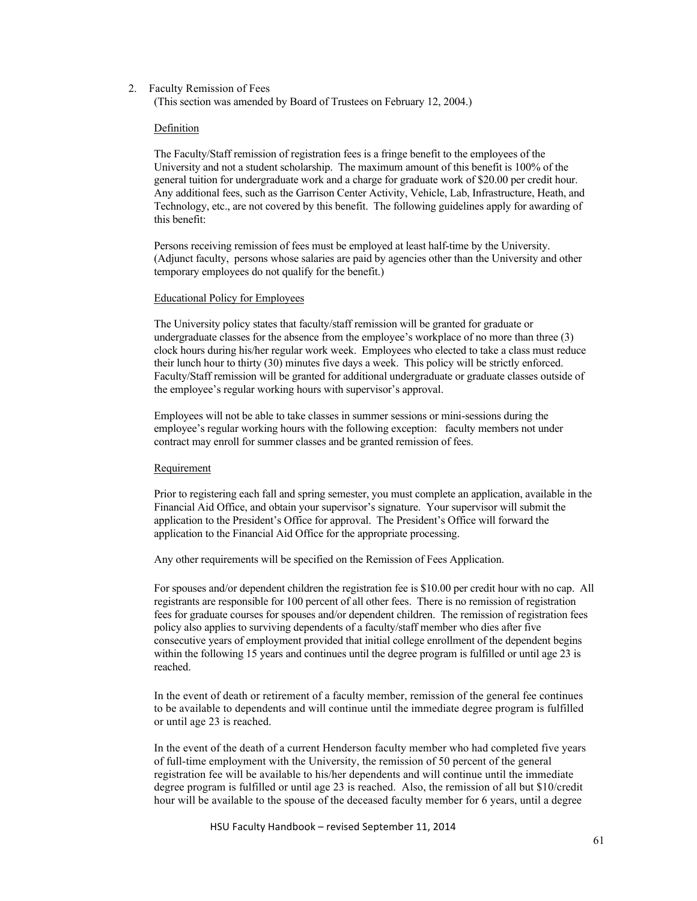#### 2. Faculty Remission of Fees

(This section was amended by Board of Trustees on February 12, 2004.)

#### Definition

The Faculty/Staff remission of registration fees is a fringe benefit to the employees of the University and not a student scholarship. The maximum amount of this benefit is 100% of the general tuition for undergraduate work and a charge for graduate work of \$20.00 per credit hour. Any additional fees, such as the Garrison Center Activity, Vehicle, Lab, Infrastructure, Heath, and Technology, etc., are not covered by this benefit. The following guidelines apply for awarding of this benefit:

Persons receiving remission of fees must be employed at least half-time by the University. (Adjunct faculty, persons whose salaries are paid by agencies other than the University and other temporary employees do not qualify for the benefit.)

#### Educational Policy for Employees

The University policy states that faculty/staff remission will be granted for graduate or undergraduate classes for the absence from the employee's workplace of no more than three (3) clock hours during his/her regular work week. Employees who elected to take a class must reduce their lunch hour to thirty (30) minutes five days a week. This policy will be strictly enforced. Faculty/Staff remission will be granted for additional undergraduate or graduate classes outside of the employee's regular working hours with supervisor's approval.

Employees will not be able to take classes in summer sessions or mini-sessions during the employee's regular working hours with the following exception: faculty members not under contract may enroll for summer classes and be granted remission of fees.

#### Requirement

Prior to registering each fall and spring semester, you must complete an application, available in the Financial Aid Office, and obtain your supervisor's signature. Your supervisor will submit the application to the President's Office for approval. The President's Office will forward the application to the Financial Aid Office for the appropriate processing.

Any other requirements will be specified on the Remission of Fees Application.

For spouses and/or dependent children the registration fee is \$10.00 per credit hour with no cap. All registrants are responsible for 100 percent of all other fees. There is no remission of registration fees for graduate courses for spouses and/or dependent children. The remission of registration fees policy also applies to surviving dependents of a faculty/staff member who dies after five consecutive years of employment provided that initial college enrollment of the dependent begins within the following 15 years and continues until the degree program is fulfilled or until age 23 is reached.

In the event of death or retirement of a faculty member, remission of the general fee continues to be available to dependents and will continue until the immediate degree program is fulfilled or until age 23 is reached.

In the event of the death of a current Henderson faculty member who had completed five years of full-time employment with the University, the remission of 50 percent of the general registration fee will be available to his/her dependents and will continue until the immediate degree program is fulfilled or until age 23 is reached. Also, the remission of all but \$10/credit hour will be available to the spouse of the deceased faculty member for 6 years, until a degree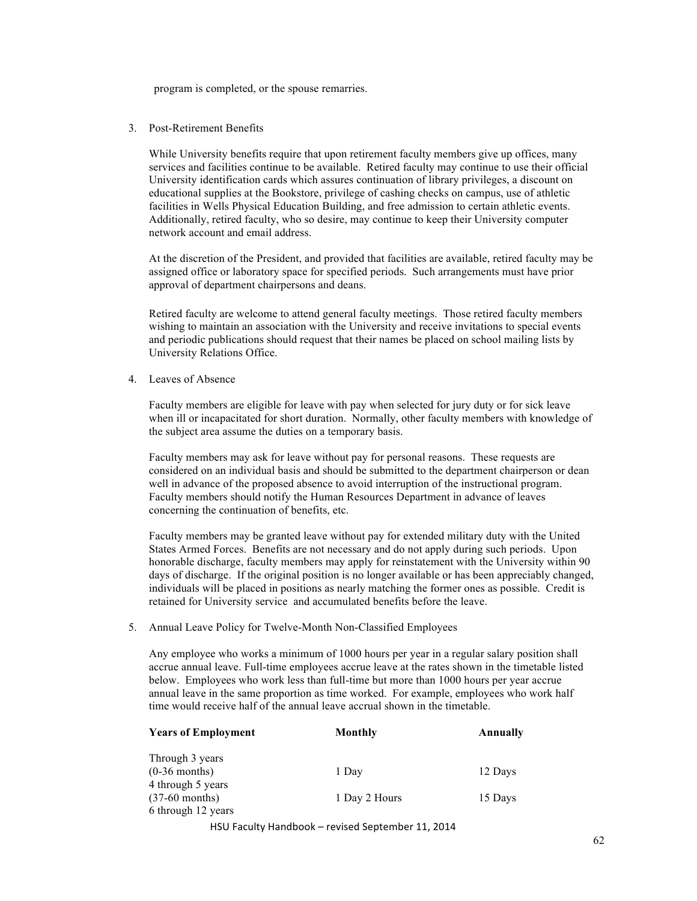program is completed, or the spouse remarries.

3. Post-Retirement Benefits

While University benefits require that upon retirement faculty members give up offices, many services and facilities continue to be available. Retired faculty may continue to use their official University identification cards which assures continuation of library privileges, a discount on educational supplies at the Bookstore, privilege of cashing checks on campus, use of athletic facilities in Wells Physical Education Building, and free admission to certain athletic events. Additionally, retired faculty, who so desire, may continue to keep their University computer network account and email address.

At the discretion of the President, and provided that facilities are available, retired faculty may be assigned office or laboratory space for specified periods. Such arrangements must have prior approval of department chairpersons and deans.

Retired faculty are welcome to attend general faculty meetings. Those retired faculty members wishing to maintain an association with the University and receive invitations to special events and periodic publications should request that their names be placed on school mailing lists by University Relations Office.

4. Leaves of Absence

Faculty members are eligible for leave with pay when selected for jury duty or for sick leave when ill or incapacitated for short duration. Normally, other faculty members with knowledge of the subject area assume the duties on a temporary basis.

Faculty members may ask for leave without pay for personal reasons. These requests are considered on an individual basis and should be submitted to the department chairperson or dean well in advance of the proposed absence to avoid interruption of the instructional program. Faculty members should notify the Human Resources Department in advance of leaves concerning the continuation of benefits, etc.

Faculty members may be granted leave without pay for extended military duty with the United States Armed Forces. Benefits are not necessary and do not apply during such periods. Upon honorable discharge, faculty members may apply for reinstatement with the University within 90 days of discharge. If the original position is no longer available or has been appreciably changed, individuals will be placed in positions as nearly matching the former ones as possible. Credit is retained for University service and accumulated benefits before the leave.

5. Annual Leave Policy for Twelve-Month Non-Classified Employees

Any employee who works a minimum of 1000 hours per year in a regular salary position shall accrue annual leave. Full-time employees accrue leave at the rates shown in the timetable listed below. Employees who work less than full-time but more than 1000 hours per year accrue annual leave in the same proportion as time worked. For example, employees who work half time would receive half of the annual leave accrual shown in the timetable.

| <b>Years of Employment</b> | Monthly                                                    | Annually |
|----------------------------|------------------------------------------------------------|----------|
| Through 3 years            |                                                            |          |
| $(0-36$ months)            | 1 Day                                                      | 12 Days  |
| 4 through 5 years          |                                                            |          |
| $(37-60$ months)           | 1 Day 2 Hours                                              | 15 Days  |
| 6 through 12 years         |                                                            |          |
|                            | $11011$ Feather Heredless Linear Section Leads on 11, 2014 |          |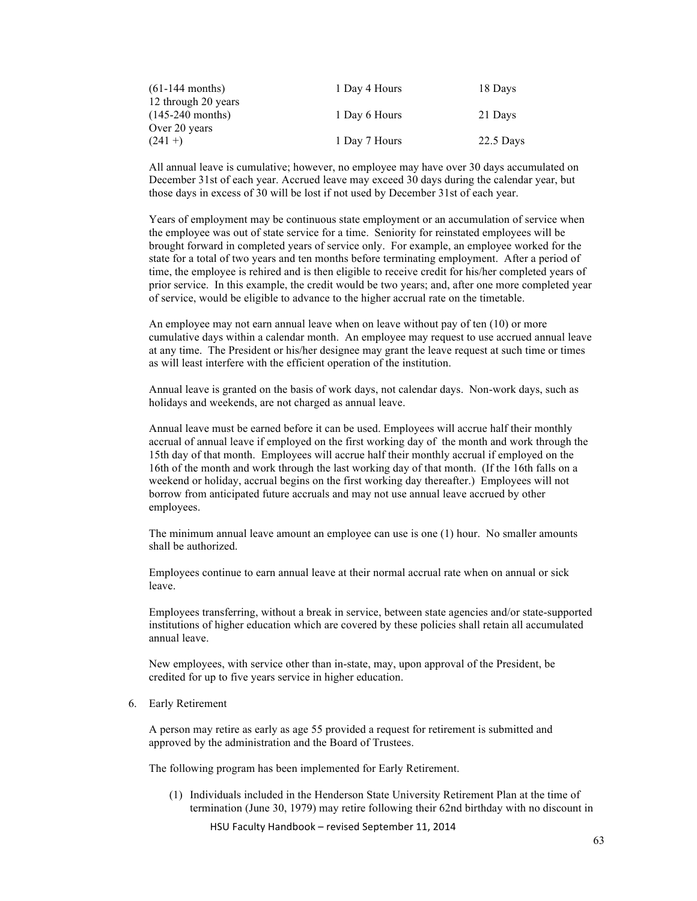| $(61-144$ months)   | 1 Day 4 Hours | 18 Days     |
|---------------------|---------------|-------------|
| 12 through 20 years |               |             |
| $(145-240$ months)  | 1 Day 6 Hours | 21 Days     |
| Over 20 years       |               |             |
| $(241 + )$          | 1 Day 7 Hours | $22.5$ Days |

All annual leave is cumulative; however, no employee may have over 30 days accumulated on December 31st of each year. Accrued leave may exceed 30 days during the calendar year, but those days in excess of 30 will be lost if not used by December 31st of each year.

Years of employment may be continuous state employment or an accumulation of service when the employee was out of state service for a time. Seniority for reinstated employees will be brought forward in completed years of service only. For example, an employee worked for the state for a total of two years and ten months before terminating employment. After a period of time, the employee is rehired and is then eligible to receive credit for his/her completed years of prior service. In this example, the credit would be two years; and, after one more completed year of service, would be eligible to advance to the higher accrual rate on the timetable.

An employee may not earn annual leave when on leave without pay of ten (10) or more cumulative days within a calendar month. An employee may request to use accrued annual leave at any time. The President or his/her designee may grant the leave request at such time or times as will least interfere with the efficient operation of the institution.

Annual leave is granted on the basis of work days, not calendar days. Non-work days, such as holidays and weekends, are not charged as annual leave.

Annual leave must be earned before it can be used. Employees will accrue half their monthly accrual of annual leave if employed on the first working day of the month and work through the 15th day of that month. Employees will accrue half their monthly accrual if employed on the 16th of the month and work through the last working day of that month. (If the 16th falls on a weekend or holiday, accrual begins on the first working day thereafter.) Employees will not borrow from anticipated future accruals and may not use annual leave accrued by other employees.

The minimum annual leave amount an employee can use is one (1) hour. No smaller amounts shall be authorized.

Employees continue to earn annual leave at their normal accrual rate when on annual or sick leave.

Employees transferring, without a break in service, between state agencies and/or state-supported institutions of higher education which are covered by these policies shall retain all accumulated annual leave.

New employees, with service other than in-state, may, upon approval of the President, be credited for up to five years service in higher education.

6. Early Retirement

A person may retire as early as age 55 provided a request for retirement is submitted and approved by the administration and the Board of Trustees.

The following program has been implemented for Early Retirement.

(1) Individuals included in the Henderson State University Retirement Plan at the time of termination (June 30, 1979) may retire following their 62nd birthday with no discount in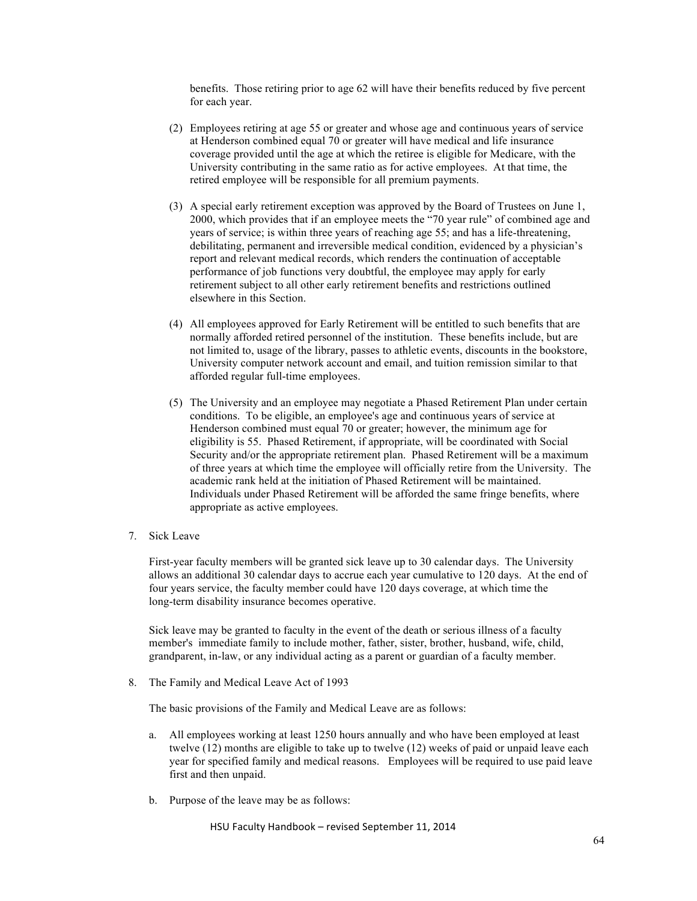benefits. Those retiring prior to age 62 will have their benefits reduced by five percent for each year.

- (2) Employees retiring at age 55 or greater and whose age and continuous years of service at Henderson combined equal 70 or greater will have medical and life insurance coverage provided until the age at which the retiree is eligible for Medicare, with the University contributing in the same ratio as for active employees. At that time, the retired employee will be responsible for all premium payments.
- (3) A special early retirement exception was approved by the Board of Trustees on June 1, 2000, which provides that if an employee meets the "70 year rule" of combined age and years of service; is within three years of reaching age 55; and has a life-threatening, debilitating, permanent and irreversible medical condition, evidenced by a physician's report and relevant medical records, which renders the continuation of acceptable performance of job functions very doubtful, the employee may apply for early retirement subject to all other early retirement benefits and restrictions outlined elsewhere in this Section.
- (4) All employees approved for Early Retirement will be entitled to such benefits that are normally afforded retired personnel of the institution. These benefits include, but are not limited to, usage of the library, passes to athletic events, discounts in the bookstore, University computer network account and email, and tuition remission similar to that afforded regular full-time employees.
- (5) The University and an employee may negotiate a Phased Retirement Plan under certain conditions. To be eligible, an employee's age and continuous years of service at Henderson combined must equal 70 or greater; however, the minimum age for eligibility is 55. Phased Retirement, if appropriate, will be coordinated with Social Security and/or the appropriate retirement plan. Phased Retirement will be a maximum of three years at which time the employee will officially retire from the University. The academic rank held at the initiation of Phased Retirement will be maintained. Individuals under Phased Retirement will be afforded the same fringe benefits, where appropriate as active employees.
- 7. Sick Leave

First-year faculty members will be granted sick leave up to 30 calendar days. The University allows an additional 30 calendar days to accrue each year cumulative to 120 days. At the end of four years service, the faculty member could have 120 days coverage, at which time the long-term disability insurance becomes operative.

Sick leave may be granted to faculty in the event of the death or serious illness of a faculty member's immediate family to include mother, father, sister, brother, husband, wife, child, grandparent, in-law, or any individual acting as a parent or guardian of a faculty member.

8. The Family and Medical Leave Act of 1993

The basic provisions of the Family and Medical Leave are as follows:

- a. All employees working at least 1250 hours annually and who have been employed at least twelve (12) months are eligible to take up to twelve (12) weeks of paid or unpaid leave each year for specified family and medical reasons. Employees will be required to use paid leave first and then unpaid.
- b. Purpose of the leave may be as follows: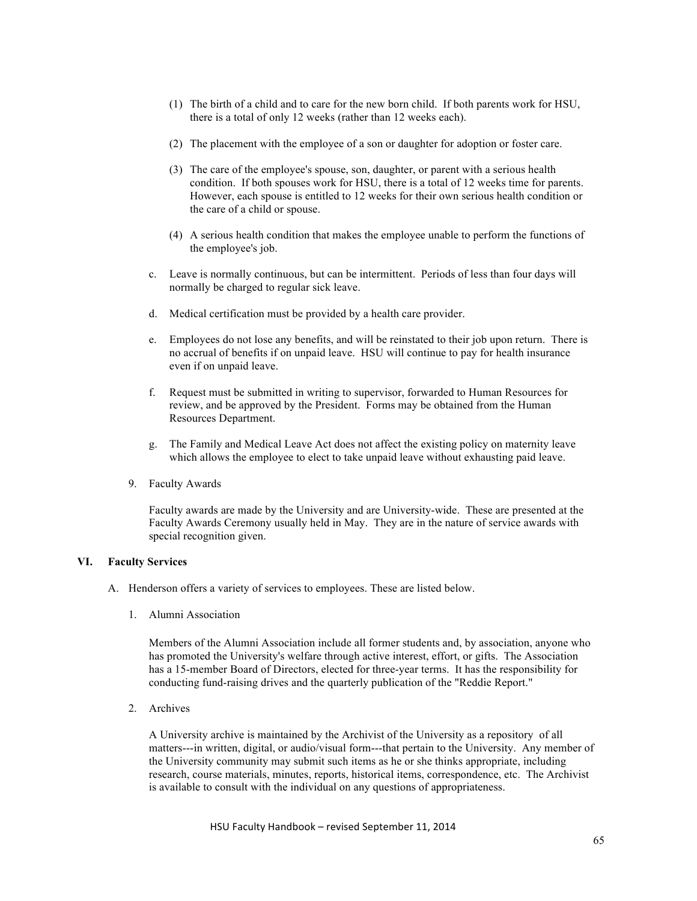- (1) The birth of a child and to care for the new born child. If both parents work for HSU, there is a total of only 12 weeks (rather than 12 weeks each).
- (2) The placement with the employee of a son or daughter for adoption or foster care.
- (3) The care of the employee's spouse, son, daughter, or parent with a serious health condition. If both spouses work for HSU, there is a total of 12 weeks time for parents. However, each spouse is entitled to 12 weeks for their own serious health condition or the care of a child or spouse.
- (4) A serious health condition that makes the employee unable to perform the functions of the employee's job.
- c. Leave is normally continuous, but can be intermittent. Periods of less than four days will normally be charged to regular sick leave.
- d. Medical certification must be provided by a health care provider.
- e. Employees do not lose any benefits, and will be reinstated to their job upon return. There is no accrual of benefits if on unpaid leave. HSU will continue to pay for health insurance even if on unpaid leave.
- f. Request must be submitted in writing to supervisor, forwarded to Human Resources for review, and be approved by the President. Forms may be obtained from the Human Resources Department.
- g. The Family and Medical Leave Act does not affect the existing policy on maternity leave which allows the employee to elect to take unpaid leave without exhausting paid leave.
- 9. Faculty Awards

Faculty awards are made by the University and are University-wide. These are presented at the Faculty Awards Ceremony usually held in May. They are in the nature of service awards with special recognition given.

## **VI. Faculty Services**

- A. Henderson offers a variety of services to employees. These are listed below.
	- 1. Alumni Association

Members of the Alumni Association include all former students and, by association, anyone who has promoted the University's welfare through active interest, effort, or gifts. The Association has a 15-member Board of Directors, elected for three-year terms. It has the responsibility for conducting fund-raising drives and the quarterly publication of the "Reddie Report."

2. Archives

A University archive is maintained by the Archivist of the University as a repository of all matters---in written, digital, or audio/visual form---that pertain to the University. Any member of the University community may submit such items as he or she thinks appropriate, including research, course materials, minutes, reports, historical items, correspondence, etc. The Archivist is available to consult with the individual on any questions of appropriateness.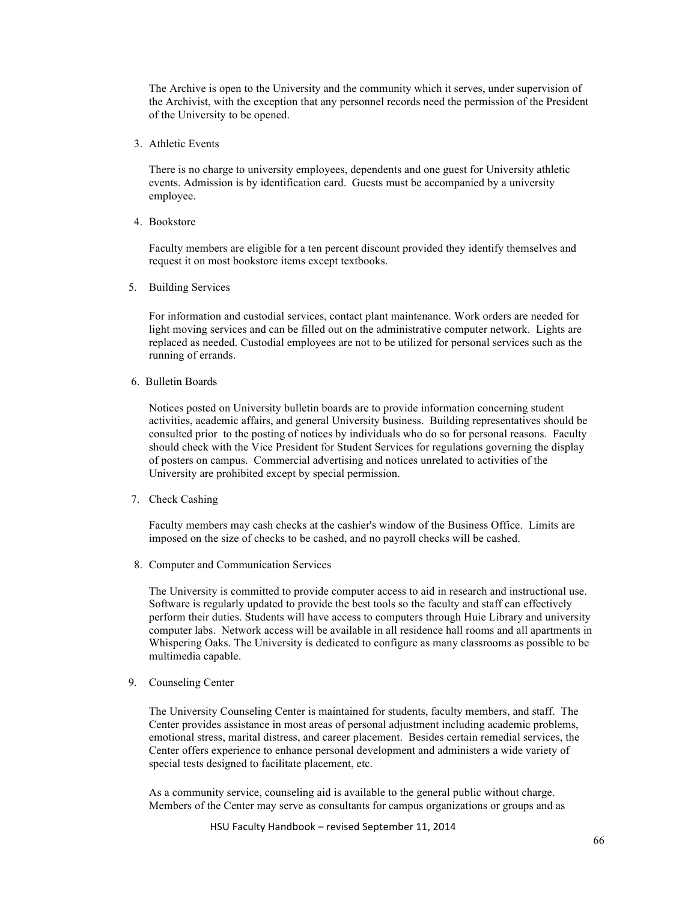The Archive is open to the University and the community which it serves, under supervision of the Archivist, with the exception that any personnel records need the permission of the President of the University to be opened.

3. Athletic Events

There is no charge to university employees, dependents and one guest for University athletic events. Admission is by identification card. Guests must be accompanied by a university employee.

4. Bookstore

Faculty members are eligible for a ten percent discount provided they identify themselves and request it on most bookstore items except textbooks.

5. Building Services

For information and custodial services, contact plant maintenance. Work orders are needed for light moving services and can be filled out on the administrative computer network. Lights are replaced as needed. Custodial employees are not to be utilized for personal services such as the running of errands.

6. Bulletin Boards

Notices posted on University bulletin boards are to provide information concerning student activities, academic affairs, and general University business. Building representatives should be consulted prior to the posting of notices by individuals who do so for personal reasons. Faculty should check with the Vice President for Student Services for regulations governing the display of posters on campus. Commercial advertising and notices unrelated to activities of the University are prohibited except by special permission.

7. Check Cashing

Faculty members may cash checks at the cashier's window of the Business Office. Limits are imposed on the size of checks to be cashed, and no payroll checks will be cashed.

8. Computer and Communication Services

The University is committed to provide computer access to aid in research and instructional use. Software is regularly updated to provide the best tools so the faculty and staff can effectively perform their duties. Students will have access to computers through Huie Library and university computer labs. Network access will be available in all residence hall rooms and all apartments in Whispering Oaks. The University is dedicated to configure as many classrooms as possible to be multimedia capable.

9. Counseling Center

The University Counseling Center is maintained for students, faculty members, and staff. The Center provides assistance in most areas of personal adjustment including academic problems, emotional stress, marital distress, and career placement. Besides certain remedial services, the Center offers experience to enhance personal development and administers a wide variety of special tests designed to facilitate placement, etc.

As a community service, counseling aid is available to the general public without charge. Members of the Center may serve as consultants for campus organizations or groups and as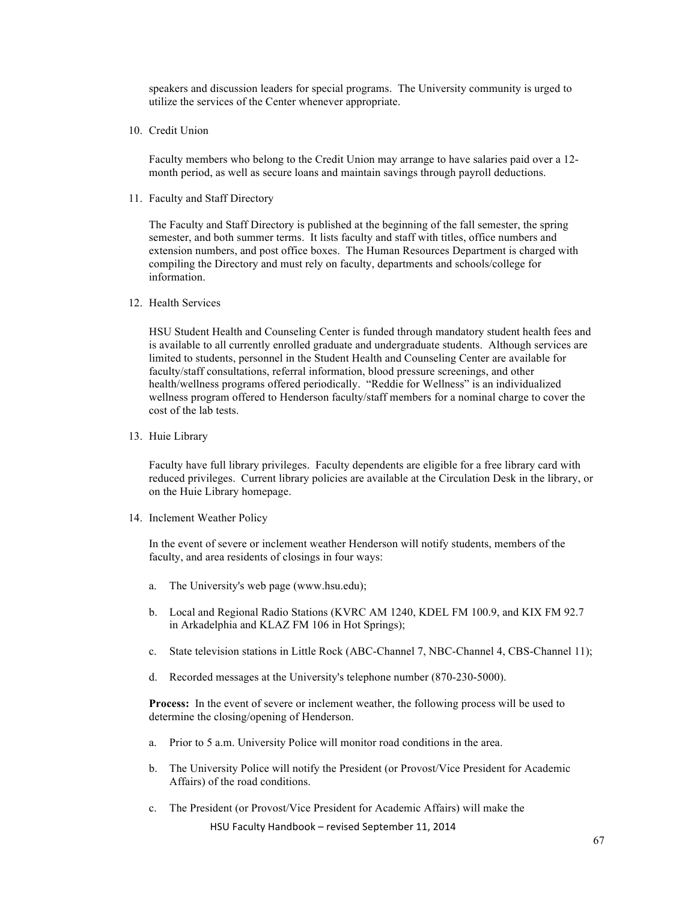speakers and discussion leaders for special programs. The University community is urged to utilize the services of the Center whenever appropriate.

10. Credit Union

Faculty members who belong to the Credit Union may arrange to have salaries paid over a 12 month period, as well as secure loans and maintain savings through payroll deductions.

11. Faculty and Staff Directory

The Faculty and Staff Directory is published at the beginning of the fall semester, the spring semester, and both summer terms. It lists faculty and staff with titles, office numbers and extension numbers, and post office boxes. The Human Resources Department is charged with compiling the Directory and must rely on faculty, departments and schools/college for information.

12. Health Services

HSU Student Health and Counseling Center is funded through mandatory student health fees and is available to all currently enrolled graduate and undergraduate students. Although services are limited to students, personnel in the Student Health and Counseling Center are available for faculty/staff consultations, referral information, blood pressure screenings, and other health/wellness programs offered periodically. "Reddie for Wellness" is an individualized wellness program offered to Henderson faculty/staff members for a nominal charge to cover the cost of the lab tests.

13. Huie Library

Faculty have full library privileges. Faculty dependents are eligible for a free library card with reduced privileges. Current library policies are available at the Circulation Desk in the library, or on the Huie Library homepage.

14. Inclement Weather Policy

In the event of severe or inclement weather Henderson will notify students, members of the faculty, and area residents of closings in four ways:

- a. The University's web page (www.hsu.edu);
- b. Local and Regional Radio Stations (KVRC AM 1240, KDEL FM 100.9, and KIX FM 92.7 in Arkadelphia and KLAZ FM 106 in Hot Springs);
- c. State television stations in Little Rock (ABC-Channel 7, NBC-Channel 4, CBS-Channel 11);
- d. Recorded messages at the University's telephone number (870-230-5000).

**Process:** In the event of severe or inclement weather, the following process will be used to determine the closing/opening of Henderson.

- a. Prior to 5 a.m. University Police will monitor road conditions in the area.
- b. The University Police will notify the President (or Provost/Vice President for Academic Affairs) of the road conditions.
- c. The President (or Provost/Vice President for Academic Affairs) will make the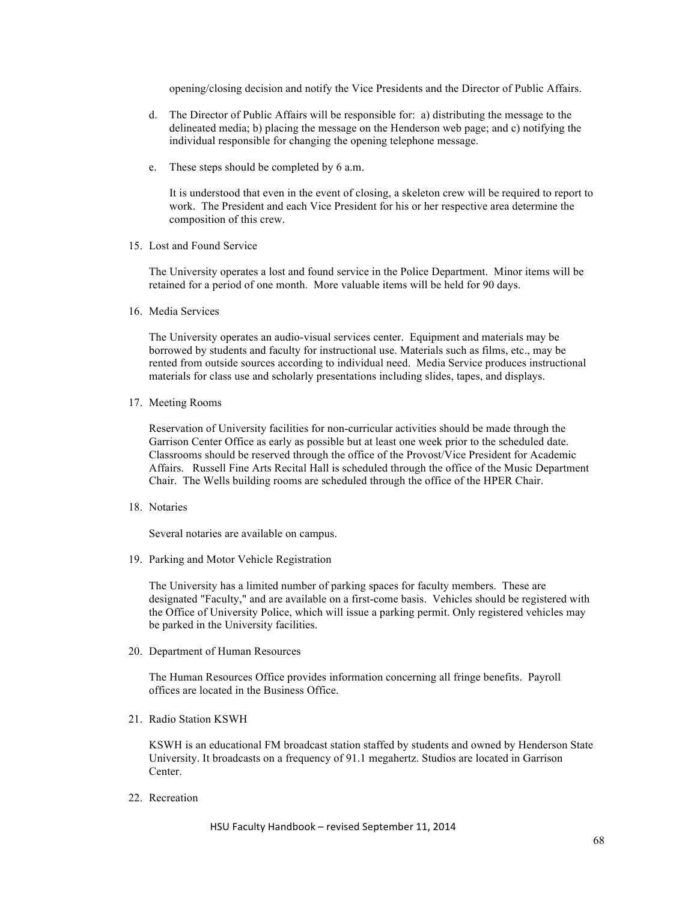opening/closing decision and notify the Vice Presidents and the Director of Public Affairs.

- d. The Director of Public Affairs will be responsible for: a) distributing the message to the delineated media; b) placing the message on the Henderson web page; and c) notifying the individual responsible for changing the opening telephone message.
- e. These steps should be completed by 6 a.m.

It is understood that even in the event of closing, a skeleton crew will be required to report to work. The President and each Vice President for his or her respective area determine the composition of this crew.

15. Lost and Found Service

The University operates a lost and found service in the Police Department. Minor items will be retained for a period of one month. More valuable items will be held for 90 days.

16. Media Services

The University operates an audio-visual services center. Equipment and materials may be borrowed by students and faculty for instructional use. Materials such as films, etc., may be rented from outside sources according to individual need. Media Service produces instructional materials for class use and scholarly presentations including slides, tapes, and displays.

17. Meeting Rooms

Reservation of University facilities for non-curricular activities should be made through the Garrison Center Office as early as possible but at least one week prior to the scheduled date. Classrooms should be reserved through the office of the Provost/Vice President for Academic Affairs. Russell Fine Arts Recital Hall is scheduled through the office of the Music Department Chair. The Wells building rooms are scheduled through the office of the HPER Chair.

18. Notaries

Several notaries are available on campus.

19. Parking and Motor Vehicle Registration

The University has a limited number of parking spaces for faculty members. These are designated "Faculty," and are available on a first-come basis. Vehicles should be registered with the Office of University Police, which will issue a parking permit. Only registered vehicles may be parked in the University facilities.

20. Department of Human Resources

The Human Resources Office provides information concerning all fringe benefits. Payroll offices are located in the Business Office.

21. Radio Station KSWH

KSWH is an educational FM broadcast station staffed by students and owned by Henderson State University. It broadcasts on a frequency of 91.1 megahertz. Studios are located in Garrison Center.

22. Recreation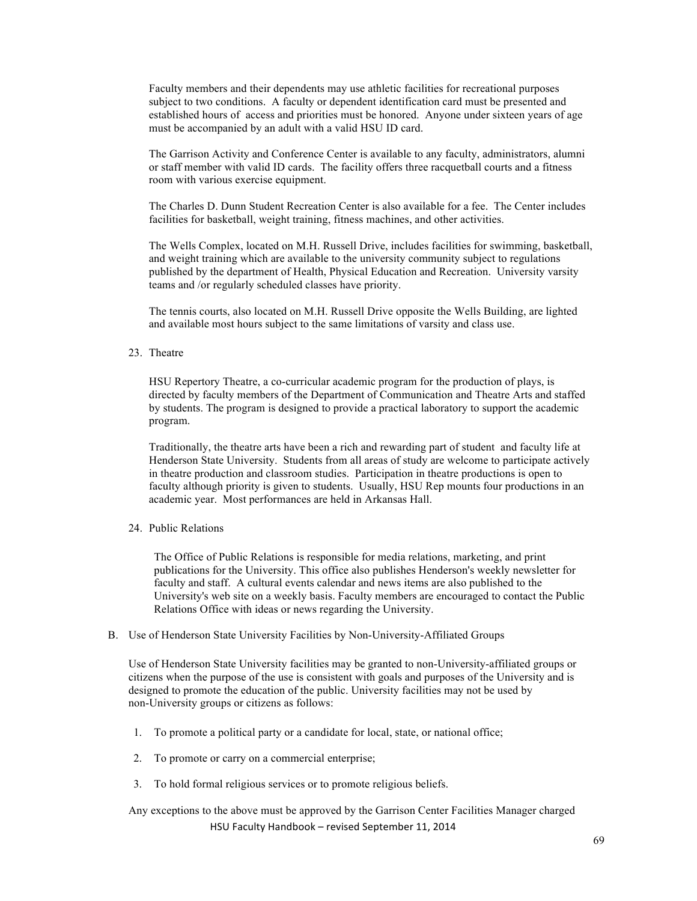Faculty members and their dependents may use athletic facilities for recreational purposes subject to two conditions. A faculty or dependent identification card must be presented and established hours of access and priorities must be honored. Anyone under sixteen years of age must be accompanied by an adult with a valid HSU ID card.

The Garrison Activity and Conference Center is available to any faculty, administrators, alumni or staff member with valid ID cards. The facility offers three racquetball courts and a fitness room with various exercise equipment.

The Charles D. Dunn Student Recreation Center is also available for a fee. The Center includes facilities for basketball, weight training, fitness machines, and other activities.

The Wells Complex, located on M.H. Russell Drive, includes facilities for swimming, basketball, and weight training which are available to the university community subject to regulations published by the department of Health, Physical Education and Recreation. University varsity teams and /or regularly scheduled classes have priority.

The tennis courts, also located on M.H. Russell Drive opposite the Wells Building, are lighted and available most hours subject to the same limitations of varsity and class use.

## 23. Theatre

HSU Repertory Theatre, a co-curricular academic program for the production of plays, is directed by faculty members of the Department of Communication and Theatre Arts and staffed by students. The program is designed to provide a practical laboratory to support the academic program.

Traditionally, the theatre arts have been a rich and rewarding part of student and faculty life at Henderson State University. Students from all areas of study are welcome to participate actively in theatre production and classroom studies. Participation in theatre productions is open to faculty although priority is given to students. Usually, HSU Rep mounts four productions in an academic year. Most performances are held in Arkansas Hall.

24. Public Relations

The Office of Public Relations is responsible for media relations, marketing, and print publications for the University. This office also publishes Henderson's weekly newsletter for faculty and staff. A cultural events calendar and news items are also published to the University's web site on a weekly basis. Faculty members are encouraged to contact the Public Relations Office with ideas or news regarding the University.

#### B. Use of Henderson State University Facilities by Non-University-Affiliated Groups

Use of Henderson State University facilities may be granted to non-University-affiliated groups or citizens when the purpose of the use is consistent with goals and purposes of the University and is designed to promote the education of the public. University facilities may not be used by non-University groups or citizens as follows:

- 1. To promote a political party or a candidate for local, state, or national office;
- 2. To promote or carry on a commercial enterprise;
- 3. To hold formal religious services or to promote religious beliefs.

HSU Faculty Handbook - revised September 11, 2014 Any exceptions to the above must be approved by the Garrison Center Facilities Manager charged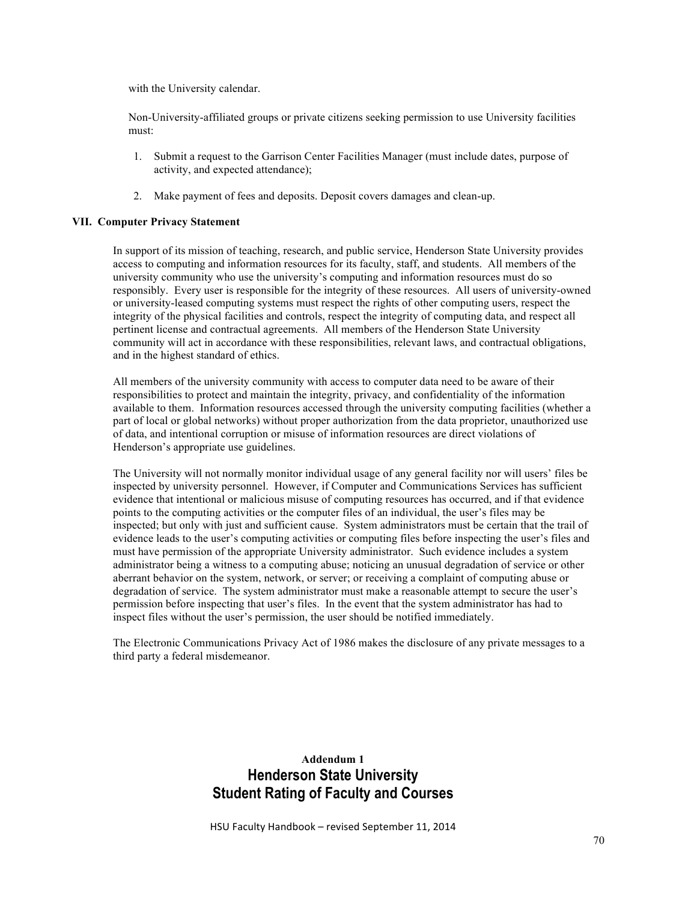with the University calendar.

Non-University-affiliated groups or private citizens seeking permission to use University facilities must:

- 1. Submit a request to the Garrison Center Facilities Manager (must include dates, purpose of activity, and expected attendance);
- 2. Make payment of fees and deposits. Deposit covers damages and clean-up.

## **VII. Computer Privacy Statement**

In support of its mission of teaching, research, and public service, Henderson State University provides access to computing and information resources for its faculty, staff, and students. All members of the university community who use the university's computing and information resources must do so responsibly. Every user is responsible for the integrity of these resources. All users of university-owned or university-leased computing systems must respect the rights of other computing users, respect the integrity of the physical facilities and controls, respect the integrity of computing data, and respect all pertinent license and contractual agreements. All members of the Henderson State University community will act in accordance with these responsibilities, relevant laws, and contractual obligations, and in the highest standard of ethics.

All members of the university community with access to computer data need to be aware of their responsibilities to protect and maintain the integrity, privacy, and confidentiality of the information available to them. Information resources accessed through the university computing facilities (whether a part of local or global networks) without proper authorization from the data proprietor, unauthorized use of data, and intentional corruption or misuse of information resources are direct violations of Henderson's appropriate use guidelines.

The University will not normally monitor individual usage of any general facility nor will users' files be inspected by university personnel. However, if Computer and Communications Services has sufficient evidence that intentional or malicious misuse of computing resources has occurred, and if that evidence points to the computing activities or the computer files of an individual, the user's files may be inspected; but only with just and sufficient cause. System administrators must be certain that the trail of evidence leads to the user's computing activities or computing files before inspecting the user's files and must have permission of the appropriate University administrator. Such evidence includes a system administrator being a witness to a computing abuse; noticing an unusual degradation of service or other aberrant behavior on the system, network, or server; or receiving a complaint of computing abuse or degradation of service. The system administrator must make a reasonable attempt to secure the user's permission before inspecting that user's files. In the event that the system administrator has had to inspect files without the user's permission, the user should be notified immediately.

The Electronic Communications Privacy Act of 1986 makes the disclosure of any private messages to a third party a federal misdemeanor.

# **Addendum 1 Henderson State University Student Rating of Faculty and Courses**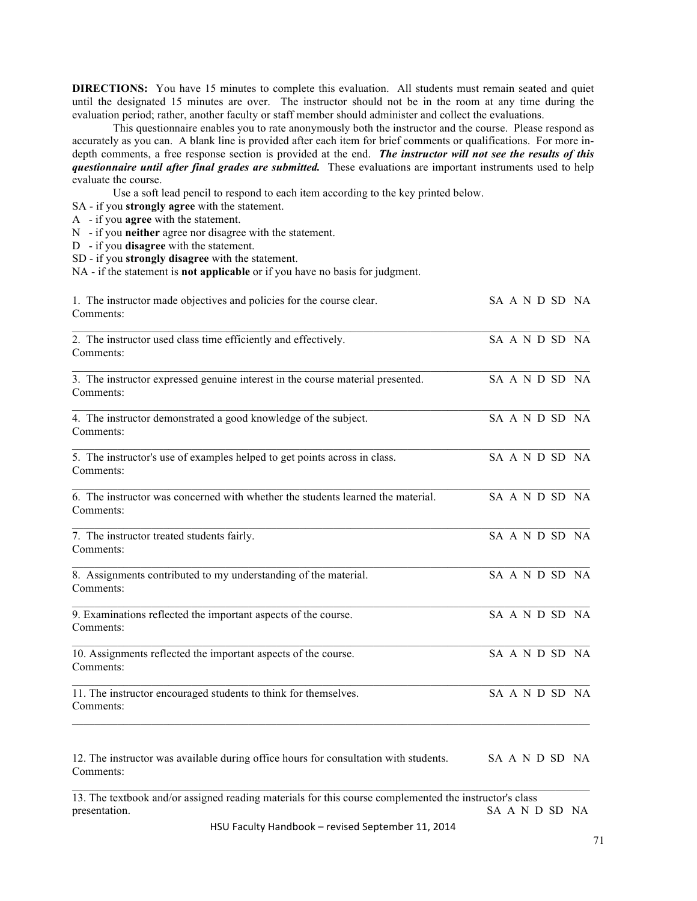**DIRECTIONS:** You have 15 minutes to complete this evaluation. All students must remain seated and quiet until the designated 15 minutes are over. The instructor should not be in the room at any time during the evaluation period; rather, another faculty or staff member should administer and collect the evaluations.

This questionnaire enables you to rate anonymously both the instructor and the course. Please respond as accurately as you can. A blank line is provided after each item for brief comments or qualifications. For more indepth comments, a free response section is provided at the end. *The instructor will not see the results of this questionnaire until after final grades are submitted.* These evaluations are important instruments used to help evaluate the course.

Use a soft lead pencil to respond to each item according to the key printed below.

- SA if you **strongly agree** with the statement.
- A if you **agree** with the statement.
- N if you **neither** agree nor disagree with the statement.
- D if you **disagree** with the statement.
- SD if you **strongly disagree** with the statement.

NA - if the statement is **not applicable** or if you have no basis for judgment.

| 1. The instructor made objectives and policies for the course clear.<br>Comments:                                       |  |  |  | SA A N D SD NA |
|-------------------------------------------------------------------------------------------------------------------------|--|--|--|----------------|
| 2. The instructor used class time efficiently and effectively.<br>Comments:                                             |  |  |  | SA A N D SD NA |
| 3. The instructor expressed genuine interest in the course material presented.<br>Comments:                             |  |  |  | SA A N D SD NA |
| 4. The instructor demonstrated a good knowledge of the subject.<br>Comments:                                            |  |  |  | SA A N D SD NA |
| 5. The instructor's use of examples helped to get points across in class.<br>Comments:                                  |  |  |  | SA A N D SD NA |
| 6. The instructor was concerned with whether the students learned the material.<br>Comments:                            |  |  |  | SA A N D SD NA |
| 7. The instructor treated students fairly.<br>Comments:                                                                 |  |  |  | SA A N D SD NA |
| 8. Assignments contributed to my understanding of the material.<br>Comments:                                            |  |  |  | SA A N D SD NA |
| 9. Examinations reflected the important aspects of the course.<br>Comments:                                             |  |  |  | SA A N D SD NA |
| 10. Assignments reflected the important aspects of the course.<br>Comments:                                             |  |  |  | SA A N D SD NA |
| 11. The instructor encouraged students to think for themselves.<br>Comments:                                            |  |  |  | SA A N D SD NA |
| 12. The instructor was available during office hours for consultation with students.<br>Comments:                       |  |  |  | SA A N D SD NA |
| 13. The textbook and/or assigned reading materials for this course complemented the instructor's class<br>presentation. |  |  |  | SA A N D SD NA |